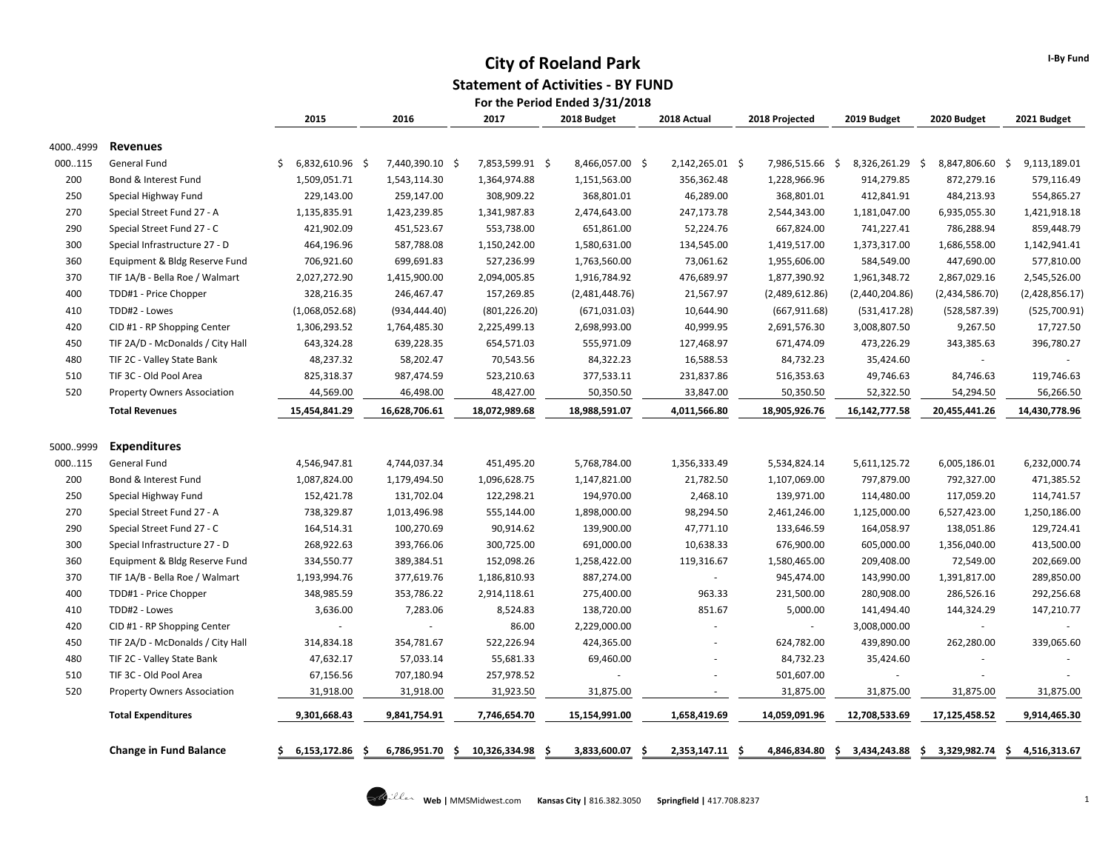#### **City of Roeland Park Statement of Activities - BY FUND For the Period Ended 3/31/2018**

|            |                                                                 | 2015                       | 2016                     | 2017                         | 2018 Budget                | 2018 Actual         | 2018 Projected             | 2019 Budget              | 2020 Budget               | 2021 Budget              |
|------------|-----------------------------------------------------------------|----------------------------|--------------------------|------------------------------|----------------------------|---------------------|----------------------------|--------------------------|---------------------------|--------------------------|
| 40004999   | <b>Revenues</b>                                                 |                            |                          |                              |                            |                     |                            |                          |                           |                          |
| 000115     | General Fund                                                    | Ś.<br>6,832,610.96 \$      | 7,440,390.10 \$          | 7,853,599.91 \$              | 8,466,057.00 \$            | 2,142,265.01 \$     | 7,986,515.66 \$            | 8,326,261.29 \$          | 8,847,806.60 \$           | 9,113,189.01             |
| 200        | Bond & Interest Fund                                            | 1,509,051.71               | 1,543,114.30             | 1,364,974.88                 | 1,151,563.00               | 356,362.48          | 1,228,966.96               | 914,279.85               | 872,279.16                | 579,116.49               |
| 250        | Special Highway Fund                                            | 229,143.00                 | 259,147.00               | 308,909.22                   | 368,801.01                 | 46,289.00           | 368,801.01                 | 412,841.91               | 484,213.93                | 554,865.27               |
| 270        | Special Street Fund 27 - A                                      | 1,135,835.91               | 1,423,239.85             | 1,341,987.83                 | 2,474,643.00               | 247,173.78          | 2,544,343.00               | 1,181,047.00             | 6,935,055.30              | 1,421,918.18             |
| 290        | Special Street Fund 27 - C                                      | 421,902.09                 | 451,523.67               | 553,738.00                   | 651,861.00                 | 52,224.76           | 667,824.00                 | 741,227.41               | 786,288.94                | 859,448.79               |
| 300        | Special Infrastructure 27 - D                                   | 464,196.96                 | 587,788.08               | 1,150,242.00                 | 1,580,631.00               | 134,545.00          | 1,419,517.00               | 1,373,317.00             | 1,686,558.00              | 1,142,941.41             |
| 360        | Equipment & Bldg Reserve Fund                                   | 706,921.60                 | 699,691.83               | 527,236.99                   | 1,763,560.00               | 73,061.62           | 1,955,606.00               | 584,549.00               | 447,690.00                | 577,810.00               |
| 370        | TIF 1A/B - Bella Roe / Walmart                                  | 2,027,272.90               | 1,415,900.00             | 2,094,005.85                 | 1,916,784.92               | 476,689.97          | 1,877,390.92               | 1,961,348.72             | 2,867,029.16              | 2,545,526.00             |
| 400        | TDD#1 - Price Chopper                                           | 328,216.35                 | 246,467.47               | 157,269.85                   | (2,481,448.76)             | 21,567.97           | (2,489,612.86)             | (2,440,204.86)           | (2,434,586.70)            | (2,428,856.17)           |
| 410        | TDD#2 - Lowes                                                   | (1,068,052.68)             | (934, 444.40)            | (801, 226.20)                | (671, 031.03)              | 10,644.90           | (667, 911.68)              | (531, 417.28)            | (528, 587.39)             | (525,700.91)             |
| 420        | CID #1 - RP Shopping Center                                     | 1,306,293.52               | 1,764,485.30             | 2,225,499.13                 | 2,698,993.00               | 40,999.95           | 2,691,576.30               | 3,008,807.50             | 9,267.50                  | 17,727.50                |
| 450        | TIF 2A/D - McDonalds / City Hall                                | 643,324.28                 | 639,228.35               | 654,571.03                   | 555,971.09                 | 127,468.97          | 671,474.09                 | 473,226.29               | 343,385.63                | 396,780.27               |
| 480        | TIF 2C - Valley State Bank                                      | 48,237.32                  | 58,202.47                | 70,543.56                    | 84,322.23                  | 16,588.53           | 84,732.23                  | 35,424.60                | $\sim$                    |                          |
| 510        | TIF 3C - Old Pool Area                                          | 825,318.37                 | 987,474.59               | 523,210.63                   | 377,533.11                 | 231,837.86          | 516,353.63                 | 49,746.63                | 84,746.63                 | 119,746.63               |
| 520        | <b>Property Owners Association</b>                              | 44,569.00                  | 46,498.00                | 48,427.00                    | 50,350.50                  | 33,847.00           | 50,350.50                  | 52,322.50                | 54,294.50                 | 56,266.50                |
|            | <b>Total Revenues</b>                                           | 15,454,841.29              | 16,628,706.61            | 18,072,989.68                | 18,988,591.07              | 4,011,566.80        | 18,905,926.76              | 16,142,777.58            | 20,455,441.26             | 14,430,778.96            |
|            |                                                                 |                            |                          |                              |                            |                     |                            |                          |                           |                          |
| 50009999   | <b>Expenditures</b>                                             |                            |                          |                              |                            |                     |                            |                          |                           |                          |
| 000115     | General Fund                                                    | 4,546,947.81               | 4,744,037.34             | 451,495.20                   | 5,768,784.00               | 1,356,333.49        | 5,534,824.14               | 5,611,125.72             | 6,005,186.01              | 6,232,000.74             |
| 200        | Bond & Interest Fund                                            | 1,087,824.00               | 1,179,494.50             | 1,096,628.75                 | 1,147,821.00               | 21,782.50           | 1,107,069.00               | 797,879.00               | 792,327.00                | 471,385.52               |
| 250<br>270 | Special Highway Fund                                            | 152,421.78                 | 131,702.04               | 122,298.21                   | 194,970.00                 | 2,468.10            | 139,971.00                 | 114,480.00               | 117,059.20                | 114,741.57               |
| 290        | Special Street Fund 27 - A                                      | 738,329.87                 | 1,013,496.98             | 555,144.00                   | 1,898,000.00               | 98,294.50           | 2,461,246.00               | 1,125,000.00             | 6,527,423.00              | 1,250,186.00             |
| 300        | Special Street Fund 27 - C                                      | 164,514.31<br>268,922.63   | 100,270.69               | 90,914.62                    | 139,900.00<br>691,000.00   | 47,771.10           | 133,646.59                 | 164,058.97               | 138,051.86                | 129,724.41<br>413,500.00 |
| 360        | Special Infrastructure 27 - D                                   | 334,550.77                 | 393,766.06<br>389,384.51 | 300,725.00<br>152,098.26     |                            | 10,638.33           | 676,900.00                 | 605,000.00<br>209,408.00 | 1,356,040.00<br>72,549.00 |                          |
| 370        | Equipment & Bldg Reserve Fund<br>TIF 1A/B - Bella Roe / Walmart |                            | 377,619.76               |                              | 1,258,422.00<br>887,274.00 | 119,316.67          | 1,580,465.00<br>945,474.00 | 143,990.00               | 1,391,817.00              | 202,669.00<br>289,850.00 |
| 400        | TDD#1 - Price Chopper                                           | 1,193,994.76<br>348,985.59 | 353,786.22               | 1,186,810.93<br>2,914,118.61 | 275,400.00                 | 963.33              | 231,500.00                 | 280,908.00               | 286,526.16                | 292,256.68               |
| 410        | TDD#2 - Lowes                                                   | 3,636.00                   | 7,283.06                 | 8,524.83                     | 138,720.00                 | 851.67              | 5,000.00                   | 141,494.40               | 144,324.29                | 147,210.77               |
| 420        | CID #1 - RP Shopping Center                                     |                            |                          | 86.00                        | 2,229,000.00               |                     | $\sim$                     | 3,008,000.00             |                           |                          |
| 450        | TIF 2A/D - McDonalds / City Hall                                | 314,834.18                 | 354,781.67               | 522,226.94                   | 424,365.00                 |                     | 624,782.00                 | 439,890.00               | 262,280.00                | 339,065.60               |
| 480        | TIF 2C - Valley State Bank                                      | 47,632.17                  | 57,033.14                | 55,681.33                    | 69,460.00                  |                     | 84,732.23                  | 35,424.60                |                           |                          |
| 510        | TIF 3C - Old Pool Area                                          | 67,156.56                  | 707,180.94               | 257,978.52                   |                            |                     | 501,607.00                 |                          |                           |                          |
| 520        | <b>Property Owners Association</b>                              | 31,918.00                  | 31,918.00                | 31,923.50                    | 31,875.00                  | $\sim$              | 31,875.00                  | 31,875.00                | 31,875.00                 | 31,875.00                |
|            |                                                                 |                            |                          |                              |                            |                     |                            |                          |                           |                          |
|            | <b>Total Expenditures</b>                                       | 9,301,668.43               | 9,841,754.91             | 7,746,654.70                 | 15,154,991.00              | 1,658,419.69        | 14,059,091.96              | 12,708,533.69            | 17,125,458.52             | 9,914,465.30             |
|            | <b>Change in Fund Balance</b>                                   | 6,153,172.86<br>-S         | 6,786,951.70<br>\$       | 10,326,334.98                | 3,833,600.07<br>-\$        | 2,353,147.11<br>-\$ | 4,846,834.80<br>-\$        | 3,434,243.88<br>\$       | \$3,329,982.74            | \$<br>4,516,313.67       |



**I-By Fund**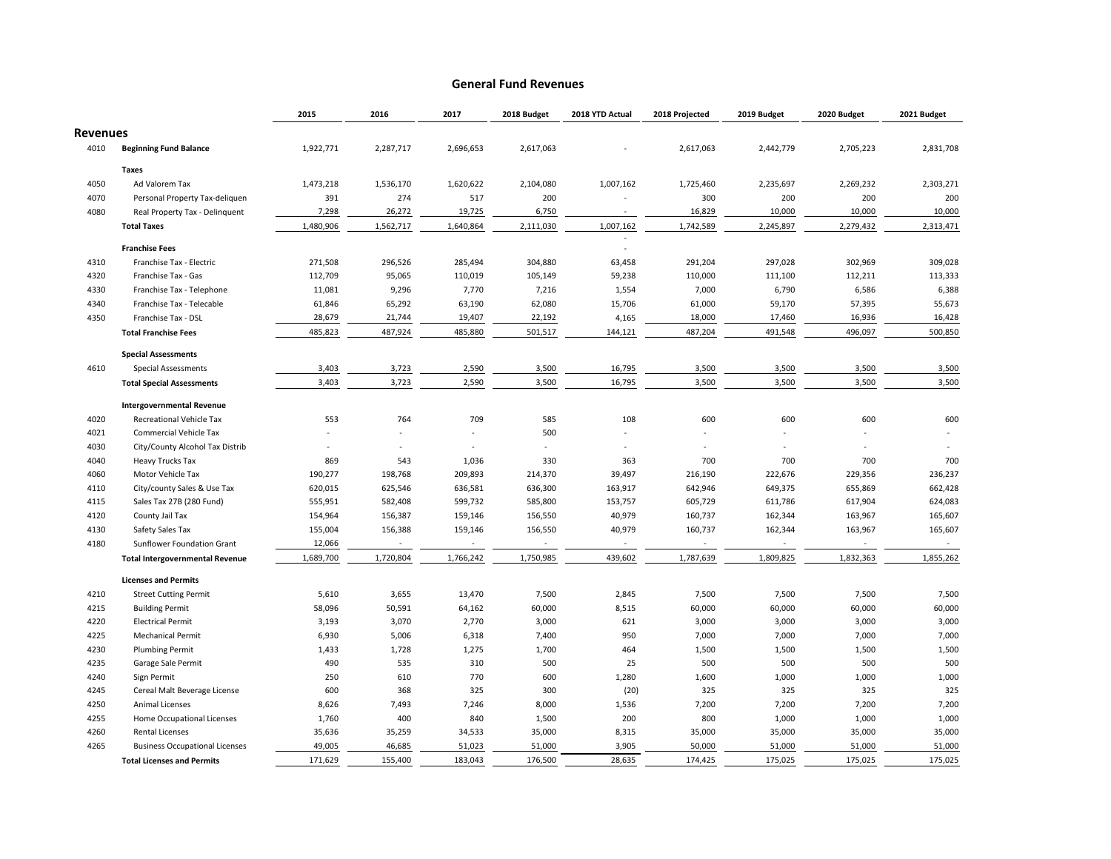#### **General Fund Revenues**

|                 |                                                                      | 2015                | 2016                                | 2017              | 2018 Budget | 2018 YTD Actual  | 2018 Projected    | 2019 Budget | 2020 Budget       | 2021 Budget        |
|-----------------|----------------------------------------------------------------------|---------------------|-------------------------------------|-------------------|-------------|------------------|-------------------|-------------|-------------------|--------------------|
| <b>Revenues</b> |                                                                      |                     |                                     |                   |             |                  |                   |             |                   |                    |
| 4010            | <b>Beginning Fund Balance</b>                                        | 1,922,771           | 2,287,717                           | 2,696,653         | 2,617,063   |                  | 2,617,063         | 2,442,779   | 2,705,223         | 2,831,708          |
|                 | <b>Taxes</b>                                                         |                     |                                     |                   |             |                  |                   |             |                   |                    |
| 4050            | Ad Valorem Tax                                                       | 1,473,218           | 1,536,170                           | 1,620,622         | 2,104,080   | 1,007,162        | 1,725,460         | 2,235,697   | 2,269,232         | 2,303,271          |
| 4070            | Personal Property Tax-deliguen                                       | 391                 | 274                                 | 517               | 200         |                  | 300               | 200         | 200               | 200                |
| 4080            | Real Property Tax - Delinquent                                       | 7,298               | 26,272                              | 19,725            | 6,750       |                  | 16,829            | 10,000      | 10,000            | 10,000             |
|                 | <b>Total Taxes</b>                                                   | 1,480,906           | 1,562,717                           | 1,640,864         | 2,111,030   | 1,007,162        | 1,742,589         | 2,245,897   | 2,279,432         | 2,313,471          |
|                 | <b>Franchise Fees</b>                                                |                     |                                     |                   |             |                  |                   |             |                   |                    |
| 4310            | Franchise Tax - Electric                                             | 271,508             | 296,526                             | 285,494           | 304,880     | 63,458           | 291,204           | 297,028     | 302,969           | 309,028            |
| 4320            | Franchise Tax - Gas                                                  | 112,709             | 95,065                              | 110,019           | 105,149     | 59,238           | 110,000           | 111,100     | 112,211           | 113,333            |
| 4330            | Franchise Tax - Telephone                                            | 11,081              | 9,296                               | 7,770             | 7,216       | 1,554            | 7,000             | 6,790       | 6,586             | 6,388              |
| 4340            | Franchise Tax - Telecable                                            | 61,846              | 65,292                              | 63,190            | 62,080      | 15,706           | 61,000            | 59,170      | 57,395            | 55,673             |
| 4350            | Franchise Tax - DSL                                                  | 28,679              | 21,744                              | 19,407            | 22,192      | 4,165            | 18,000            | 17,460      | 16,936            | 16,428             |
|                 | <b>Total Franchise Fees</b>                                          | 485,823             | 487,924                             | 485,880           | 501,517     | 144,121          | 487,204           | 491,548     | 496,097           | 500,850            |
|                 | <b>Special Assessments</b>                                           |                     |                                     |                   |             |                  |                   |             |                   |                    |
| 4610            | <b>Special Assessments</b>                                           | 3,403               | 3,723                               | 2,590             | 3,500       | 16,795           | 3,500             | 3,500       | 3,500             | 3,500              |
|                 | <b>Total Special Assessments</b>                                     | 3,403               | 3,723                               | 2,590             | 3,500       | 16,795           | 3,500             | 3,500       | 3,500             | 3,500              |
|                 | <b>Intergovernmental Revenue</b>                                     |                     |                                     |                   |             |                  |                   |             |                   |                    |
| 4020            | Recreational Vehicle Tax                                             | 553                 | 764                                 | 709               | 585         | 108              | 600               | 600         | 600               | 600                |
| 4021            | Commercial Vehicle Tax                                               |                     |                                     |                   | 500         |                  |                   |             |                   |                    |
| 4030            | City/County Alcohol Tax Distrib                                      |                     |                                     |                   |             |                  |                   |             |                   |                    |
| 4040            | <b>Heavy Trucks Tax</b>                                              | 869                 | 543                                 | 1,036             | 330         | 363              | 700               | 700         | 700               | 700                |
|                 |                                                                      |                     |                                     |                   |             |                  |                   |             |                   |                    |
| 4060            | Motor Vehicle Tax                                                    | 190,277             | 198,768                             | 209,893           | 214,370     | 39,497           | 216,190           | 222,676     | 229,356           | 236,237<br>662,428 |
| 4110            | City/county Sales & Use Tax                                          | 620,015             | 625,546                             | 636,581           | 636,300     | 163,917          | 642,946           | 649,375     | 655,869           |                    |
| 4115            | Sales Tax 27B (280 Fund)                                             | 555,951             | 582,408                             | 599,732           | 585,800     | 153,757          | 605,729           | 611,786     | 617,904           | 624,083            |
| 4120            | County Jail Tax                                                      | 154,964             | 156,387                             | 159,146           | 156,550     | 40,979           | 160,737           | 162,344     | 163,967           | 165,607            |
| 4130            | Safety Sales Tax                                                     | 155,004             | 156,388<br>$\overline{\phantom{a}}$ | 159,146<br>$\sim$ | 156,550     | 40,979<br>$\sim$ | 160,737<br>$\sim$ | 162,344     | 163,967<br>$\sim$ | 165,607            |
| 4180            | Sunflower Foundation Grant<br><b>Total Intergovernmental Revenue</b> | 12,066<br>1,689,700 | 1,720,804                           | 1,766,242         | 1,750,985   | 439,602          | 1,787,639         | 1,809,825   | 1,832,363         | 1,855,262          |
|                 |                                                                      |                     |                                     |                   |             |                  |                   |             |                   |                    |
|                 | <b>Licenses and Permits</b>                                          |                     |                                     |                   |             |                  |                   |             |                   |                    |
| 4210            | <b>Street Cutting Permit</b>                                         | 5,610               | 3,655                               | 13,470            | 7,500       | 2,845            | 7,500             | 7,500       | 7,500             | 7,500              |
| 4215            | <b>Building Permit</b>                                               | 58,096              | 50,591                              | 64,162            | 60,000      | 8,515            | 60,000            | 60,000      | 60,000            | 60,000             |
| 4220            | <b>Electrical Permit</b>                                             | 3,193               | 3,070                               | 2,770             | 3,000       | 621              | 3,000             | 3,000       | 3,000             | 3,000              |
| 4225            | <b>Mechanical Permit</b>                                             | 6,930               | 5,006                               | 6,318             | 7,400       | 950              | 7,000             | 7,000       | 7,000             | 7,000              |
| 4230            | <b>Plumbing Permit</b>                                               | 1,433               | 1,728                               | 1,275             | 1,700       | 464              | 1,500             | 1,500       | 1,500             | 1,500              |
| 4235            | Garage Sale Permit                                                   | 490                 | 535                                 | 310               | 500         | 25               | 500               | 500         | 500               | 500                |
| 4240            | Sign Permit                                                          | 250                 | 610                                 | 770               | 600         | 1,280            | 1,600             | 1,000       | 1,000             | 1,000              |
| 4245            | Cereal Malt Beverage License                                         | 600                 | 368                                 | 325               | 300         | (20)             | 325               | 325         | 325               | 325                |
| 4250            | <b>Animal Licenses</b>                                               | 8,626               | 7,493                               | 7,246             | 8,000       | 1,536            | 7,200             | 7,200       | 7,200             | 7,200              |
| 4255            | Home Occupational Licenses                                           | 1,760               | 400                                 | 840               | 1,500       | 200              | 800               | 1,000       | 1,000             | 1,000              |
| 4260            | <b>Rental Licenses</b>                                               | 35,636              | 35,259                              | 34,533            | 35,000      | 8,315            | 35,000            | 35,000      | 35,000            | 35,000             |
| 4265            | <b>Business Occupational Licenses</b>                                | 49,005              | 46,685                              | 51,023            | 51,000      | 3,905            | 50,000            | 51,000      | 51,000            | 51,000             |
|                 | <b>Total Licenses and Permits</b>                                    | 171,629             | 155,400                             | 183,043           | 176,500     | 28,635           | 174,425           | 175,025     | 175,025           | 175,025            |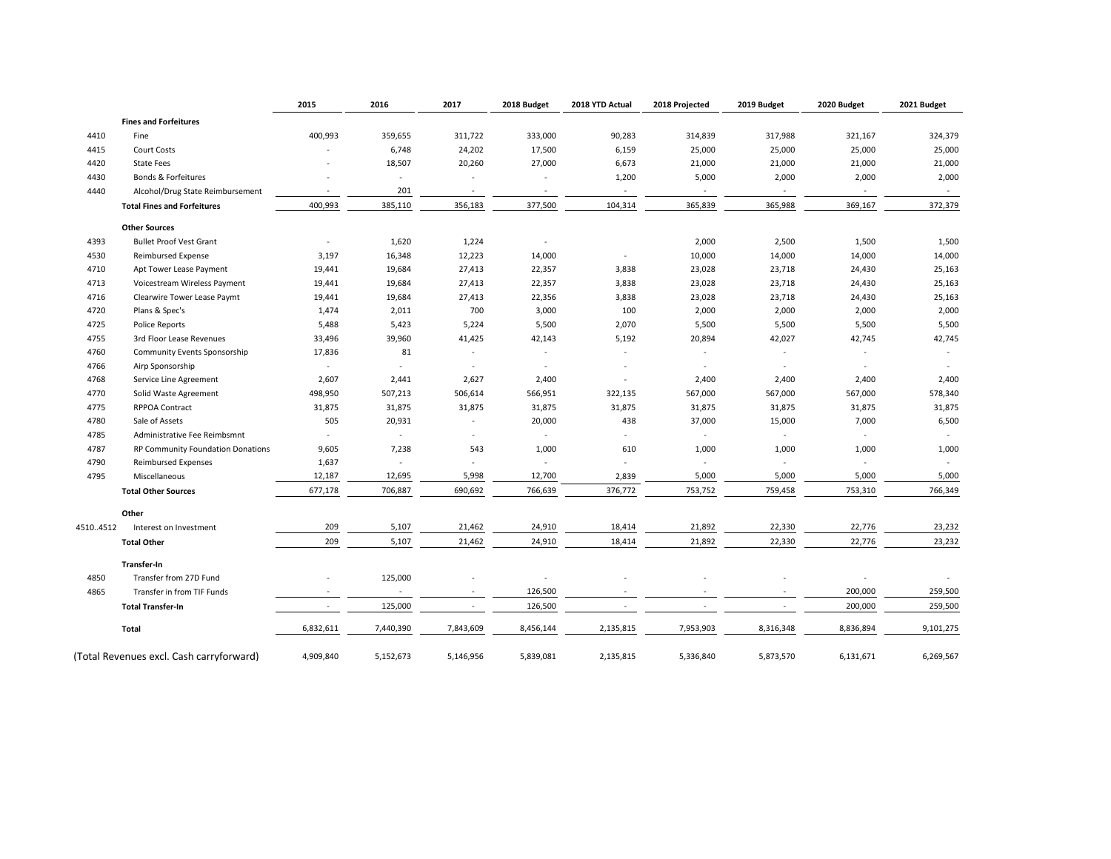|          |                                          | 2015      | 2016                     | 2017                     | 2018 Budget              | 2018 YTD Actual | 2018 Projected           | 2019 Budget | 2020 Budget | 2021 Budget |
|----------|------------------------------------------|-----------|--------------------------|--------------------------|--------------------------|-----------------|--------------------------|-------------|-------------|-------------|
|          | <b>Fines and Forfeitures</b>             |           |                          |                          |                          |                 |                          |             |             |             |
| 4410     | Fine                                     | 400,993   | 359,655                  | 311,722                  | 333,000                  | 90,283          | 314,839                  | 317,988     | 321,167     | 324,379     |
| 4415     | <b>Court Costs</b>                       |           | 6,748                    | 24,202                   | 17,500                   | 6,159           | 25,000                   | 25,000      | 25,000      | 25,000      |
| 4420     | <b>State Fees</b>                        |           | 18,507                   | 20,260                   | 27,000                   | 6,673           | 21,000                   | 21,000      | 21,000      | 21,000      |
| 4430     | Bonds & Forfeitures                      |           | ä,                       |                          |                          | 1,200           | 5,000                    | 2,000       | 2,000       | 2,000       |
| 4440     | Alcohol/Drug State Reimbursement         | $\sim$    | 201                      | $\sim$                   | $\overline{\phantom{a}}$ | $\sim$          | $\sim$                   |             |             |             |
|          | <b>Total Fines and Forfeitures</b>       | 400,993   | 385,110                  | 356,183                  | 377,500                  | 104,314         | 365,839                  | 365,988     | 369,167     | 372,379     |
|          | <b>Other Sources</b>                     |           |                          |                          |                          |                 |                          |             |             |             |
| 4393     | <b>Bullet Proof Vest Grant</b>           | $\sim$    | 1,620                    | 1,224                    | $\overline{\phantom{a}}$ |                 | 2,000                    | 2,500       | 1,500       | 1,500       |
| 4530     | <b>Reimbursed Expense</b>                | 3,197     | 16,348                   | 12,223                   | 14,000                   |                 | 10,000                   | 14,000      | 14,000      | 14,000      |
| 4710     | Apt Tower Lease Payment                  | 19,441    | 19,684                   | 27,413                   | 22,357                   | 3,838           | 23,028                   | 23,718      | 24,430      | 25,163      |
| 4713     | Voicestream Wireless Payment             | 19,441    | 19,684                   | 27,413                   | 22,357                   | 3,838           | 23,028                   | 23,718      | 24,430      | 25,163      |
| 4716     | Clearwire Tower Lease Paymt              | 19,441    | 19,684                   | 27,413                   | 22,356                   | 3,838           | 23,028                   | 23,718      | 24,430      | 25,163      |
| 4720     | Plans & Spec's                           | 1,474     | 2,011                    | 700                      | 3,000                    | 100             | 2,000                    | 2,000       | 2,000       | 2,000       |
| 4725     | <b>Police Reports</b>                    | 5,488     | 5,423                    | 5,224                    | 5,500                    | 2,070           | 5,500                    | 5,500       | 5,500       | 5,500       |
| 4755     | 3rd Floor Lease Revenues                 | 33,496    | 39,960                   | 41,425                   | 42,143                   | 5,192           | 20,894                   | 42,027      | 42,745      | 42,745      |
| 4760     | Community Events Sponsorship             | 17,836    | 81                       | $\sim$                   |                          |                 | ÷.                       |             |             |             |
| 4766     | Airp Sponsorship                         | ×         | ä,                       | $\sim$                   |                          |                 | $\overline{\phantom{a}}$ |             |             |             |
| 4768     | Service Line Agreement                   | 2,607     | 2,441                    | 2,627                    | 2,400                    |                 | 2,400                    | 2,400       | 2,400       | 2,400       |
| 4770     | Solid Waste Agreement                    | 498,950   | 507,213                  | 506,614                  | 566,951                  | 322,135         | 567,000                  | 567,000     | 567,000     | 578,340     |
| 4775     | <b>RPPOA Contract</b>                    | 31,875    | 31,875                   | 31,875                   | 31,875                   | 31,875          | 31,875                   | 31,875      | 31,875      | 31,875      |
| 4780     | Sale of Assets                           | 505       | 20,931                   | $\sim$                   | 20,000                   | 438             | 37,000                   | 15,000      | 7,000       | 6,500       |
| 4785     | Administrative Fee Reimbsmnt             | $\sim$    | $\sim$                   | $\sim$                   | $\omega$                 | $\sim$          | $\omega$                 | $\sim$      | $\sim$      | $\sim$      |
| 4787     | RP Community Foundation Donations        | 9,605     | 7,238                    | 543                      | 1,000                    | 610             | 1,000                    | 1,000       | 1,000       | 1,000       |
| 4790     | <b>Reimbursed Expenses</b>               | 1,637     | $\sim$                   | $\sim$                   | $\sim$                   |                 |                          |             |             |             |
| 4795     | Miscellaneous                            | 12,187    | 12,695                   | 5,998                    | 12,700                   | 2,839           | 5,000                    | 5,000       | 5,000       | 5,000       |
|          | <b>Total Other Sources</b>               | 677,178   | 706,887                  | 690,692                  | 766,639                  | 376,772         | 753,752                  | 759,458     | 753,310     | 766,349     |
|          | Other                                    |           |                          |                          |                          |                 |                          |             |             |             |
| 45104512 | Interest on Investment                   | 209       | 5,107                    | 21,462                   | 24,910                   | 18,414          | 21,892                   | 22,330      | 22,776      | 23,232      |
|          | <b>Total Other</b>                       | 209       | 5,107                    | 21,462                   | 24,910                   | 18,414          | 21,892                   | 22,330      | 22,776      | 23,232      |
|          | <b>Transfer-In</b>                       |           |                          |                          |                          |                 |                          |             |             |             |
| 4850     | Transfer from 27D Fund                   | $\sim$    | 125,000                  |                          | ä,                       |                 |                          |             |             |             |
| 4865     | Transfer in from TIF Funds               |           | $\overline{\phantom{a}}$ |                          | 126,500                  |                 |                          |             | 200,000     | 259,500     |
|          | <b>Total Transfer-In</b>                 | $\sim$    | 125,000                  | $\overline{\phantom{a}}$ | 126,500                  | $\sim$          |                          |             | 200,000     | 259,500     |
|          | Total                                    | 6,832,611 | 7,440,390                | 7,843,609                | 8,456,144                | 2,135,815       | 7,953,903                | 8,316,348   | 8,836,894   | 9,101,275   |
|          | (Total Revenues excl. Cash carryforward) | 4,909,840 | 5,152,673                | 5,146,956                | 5,839,081                | 2,135,815       | 5,336,840                | 5,873,570   | 6,131,671   | 6,269,567   |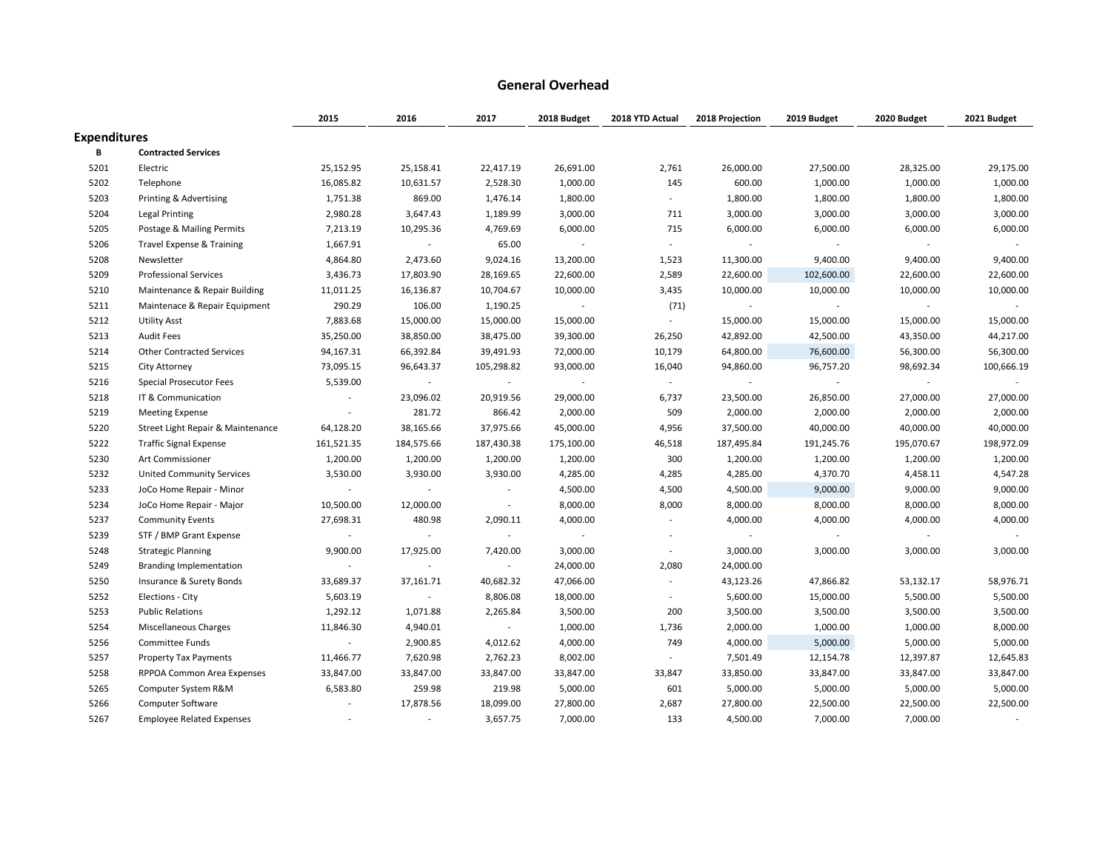#### **General Overhead**

|                     |                                      | 2015                     | 2016                     | 2017           | 2018 Budget              | 2018 YTD Actual          | 2018 Projection | 2019 Budget | 2020 Budget              | 2021 Budget |
|---------------------|--------------------------------------|--------------------------|--------------------------|----------------|--------------------------|--------------------------|-----------------|-------------|--------------------------|-------------|
| <b>Expenditures</b> |                                      |                          |                          |                |                          |                          |                 |             |                          |             |
| В                   | <b>Contracted Services</b>           |                          |                          |                |                          |                          |                 |             |                          |             |
| 5201                | Electric                             | 25,152.95                | 25,158.41                | 22,417.19      | 26,691.00                | 2,761                    | 26,000.00       | 27,500.00   | 28,325.00                | 29,175.00   |
| 5202                | Telephone                            | 16,085.82                | 10,631.57                | 2,528.30       | 1,000.00                 | 145                      | 600.00          | 1,000.00    | 1,000.00                 | 1,000.00    |
| 5203                | Printing & Advertising               | 1,751.38                 | 869.00                   | 1,476.14       | 1,800.00                 | $\overline{\phantom{a}}$ | 1,800.00        | 1,800.00    | 1,800.00                 | 1,800.00    |
| 5204                | Legal Printing                       | 2,980.28                 | 3,647.43                 | 1,189.99       | 3,000.00                 | 711                      | 3,000.00        | 3,000.00    | 3,000.00                 | 3,000.00    |
| 5205                | Postage & Mailing Permits            | 7,213.19                 | 10,295.36                | 4,769.69       | 6,000.00                 | 715                      | 6,000.00        | 6,000.00    | 6,000.00                 | 6,000.00    |
| 5206                | <b>Travel Expense &amp; Training</b> | 1,667.91                 | $\overline{a}$           | 65.00          | $\sim$                   | $\overline{a}$           |                 | $\sim$      | $\sim$                   |             |
| 5208                | Newsletter                           | 4,864.80                 | 2,473.60                 | 9,024.16       | 13,200.00                | 1,523                    | 11,300.00       | 9,400.00    | 9,400.00                 | 9,400.00    |
| 5209                | <b>Professional Services</b>         | 3,436.73                 | 17,803.90                | 28,169.65      | 22,600.00                | 2,589                    | 22,600.00       | 102,600.00  | 22,600.00                | 22,600.00   |
| 5210                | Maintenance & Repair Building        | 11,011.25                | 16,136.87                | 10,704.67      | 10,000.00                | 3,435                    | 10,000.00       | 10,000.00   | 10,000.00                | 10,000.00   |
| 5211                | Maintenace & Repair Equipment        | 290.29                   | 106.00                   | 1,190.25       | $\sim$                   | (71)                     | $\sim$          | $\sim$      | $\overline{\phantom{a}}$ |             |
| 5212                | <b>Utility Asst</b>                  | 7,883.68                 | 15,000.00                | 15,000.00      | 15,000.00                | $\sim$                   | 15,000.00       | 15,000.00   | 15,000.00                | 15,000.00   |
| 5213                | <b>Audit Fees</b>                    | 35,250.00                | 38,850.00                | 38,475.00      | 39,300.00                | 26,250                   | 42,892.00       | 42,500.00   | 43,350.00                | 44,217.00   |
| 5214                | <b>Other Contracted Services</b>     | 94,167.31                | 66,392.84                | 39,491.93      | 72,000.00                | 10,179                   | 64,800.00       | 76,600.00   | 56,300.00                | 56,300.00   |
| 5215                | City Attorney                        | 73,095.15                | 96,643.37                | 105,298.82     | 93,000.00                | 16,040                   | 94,860.00       | 96,757.20   | 98,692.34                | 100,666.19  |
| 5216                | <b>Special Prosecutor Fees</b>       | 5,539.00                 | $\sim$                   | $\sim$         | $\overline{\phantom{a}}$ | $\sim$                   | $\sim$          | $\sim$      | $\sim$                   |             |
| 5218                | IT & Communication                   | $\overline{\phantom{a}}$ | 23,096.02                | 20,919.56      | 29,000.00                | 6,737                    | 23,500.00       | 26,850.00   | 27,000.00                | 27,000.00   |
| 5219                | <b>Meeting Expense</b>               | $\overline{\phantom{a}}$ | 281.72                   | 866.42         | 2,000.00                 | 509                      | 2,000.00        | 2,000.00    | 2,000.00                 | 2,000.00    |
| 5220                | Street Light Repair & Maintenance    | 64,128.20                | 38,165.66                | 37,975.66      | 45,000.00                | 4,956                    | 37,500.00       | 40,000.00   | 40,000.00                | 40,000.00   |
| 5222                | <b>Traffic Signal Expense</b>        | 161,521.35               | 184,575.66               | 187,430.38     | 175,100.00               | 46,518                   | 187,495.84      | 191,245.76  | 195,070.67               | 198,972.09  |
| 5230                | Art Commissioner                     | 1,200.00                 | 1,200.00                 | 1,200.00       | 1,200.00                 | 300                      | 1,200.00        | 1,200.00    | 1,200.00                 | 1,200.00    |
| 5232                | <b>United Community Services</b>     | 3,530.00                 | 3,930.00                 | 3,930.00       | 4,285.00                 | 4,285                    | 4,285.00        | 4,370.70    | 4,458.11                 | 4,547.28    |
| 5233                | JoCo Home Repair - Minor             | $\overline{\phantom{a}}$ | $\sim$                   | $\sim$         | 4,500.00                 | 4,500                    | 4,500.00        | 9,000.00    | 9,000.00                 | 9,000.00    |
| 5234                | JoCo Home Repair - Major             | 10,500.00                | 12,000.00                | $\sim$         | 8,000.00                 | 8,000                    | 8,000.00        | 8,000.00    | 8,000.00                 | 8,000.00    |
| 5237                | <b>Community Events</b>              | 27,698.31                | 480.98                   | 2,090.11       | 4,000.00                 | $\overline{\phantom{a}}$ | 4,000.00        | 4,000.00    | 4,000.00                 | 4,000.00    |
| 5239                | STF / BMP Grant Expense              | $\overline{\phantom{a}}$ | $\overline{\phantom{a}}$ | $\sim$         | $\overline{\phantom{a}}$ | $\overline{a}$           | $\blacksquare$  | $\sim$      |                          |             |
| 5248                | <b>Strategic Planning</b>            | 9,900.00                 | 17,925.00                | 7,420.00       | 3,000.00                 | $\sim$                   | 3,000.00        | 3,000.00    | 3,000.00                 | 3,000.00    |
| 5249                | Branding Implementation              | $\overline{\phantom{a}}$ | $\sim$                   | $\blacksquare$ | 24,000.00                | 2,080                    | 24,000.00       |             |                          |             |
| 5250                | Insurance & Surety Bonds             | 33,689.37                | 37,161.71                | 40,682.32      | 47,066.00                |                          | 43,123.26       | 47,866.82   | 53,132.17                | 58,976.71   |
| 5252                | Elections - City                     | 5,603.19                 |                          | 8,806.08       | 18,000.00                |                          | 5,600.00        | 15,000.00   | 5,500.00                 | 5,500.00    |
| 5253                | <b>Public Relations</b>              | 1,292.12                 | 1,071.88                 | 2,265.84       | 3,500.00                 | 200                      | 3,500.00        | 3,500.00    | 3,500.00                 | 3,500.00    |
| 5254                | Miscellaneous Charges                | 11,846.30                | 4,940.01                 | $\sim$         | 1,000.00                 | 1,736                    | 2,000.00        | 1,000.00    | 1,000.00                 | 8,000.00    |
| 5256                | Committee Funds                      | $\overline{\phantom{a}}$ | 2,900.85                 | 4,012.62       | 4,000.00                 | 749                      | 4,000.00        | 5,000.00    | 5,000.00                 | 5,000.00    |
| 5257                | <b>Property Tax Payments</b>         | 11,466.77                | 7,620.98                 | 2,762.23       | 8,002.00                 | $\sim$                   | 7,501.49        | 12,154.78   | 12,397.87                | 12,645.83   |
| 5258                | RPPOA Common Area Expenses           | 33,847.00                | 33,847.00                | 33,847.00      | 33,847.00                | 33,847                   | 33,850.00       | 33,847.00   | 33,847.00                | 33,847.00   |
| 5265                | Computer System R&M                  | 6,583.80                 | 259.98                   | 219.98         | 5,000.00                 | 601                      | 5,000.00        | 5,000.00    | 5,000.00                 | 5,000.00    |
| 5266                | <b>Computer Software</b>             |                          | 17,878.56                | 18,099.00      | 27,800.00                | 2,687                    | 27,800.00       | 22,500.00   | 22,500.00                | 22,500.00   |
| 5267                | <b>Employee Related Expenses</b>     |                          | $\overline{\phantom{a}}$ | 3,657.75       | 7,000.00                 | 133                      | 4,500.00        | 7,000.00    | 7,000.00                 |             |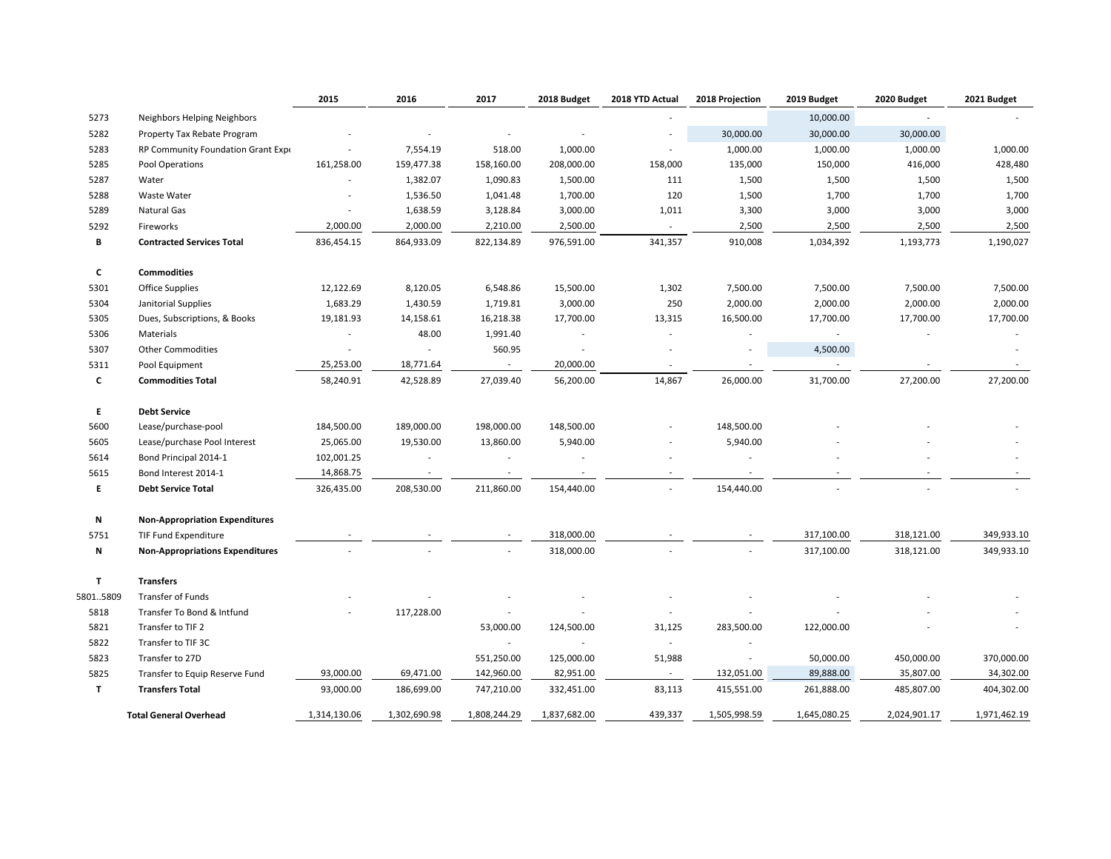|          |                                        | 2015                     | 2016         | 2017         | 2018 Budget  | 2018 YTD Actual          | 2018 Projection          | 2019 Budget  | 2020 Budget  | 2021 Budget  |
|----------|----------------------------------------|--------------------------|--------------|--------------|--------------|--------------------------|--------------------------|--------------|--------------|--------------|
| 5273     | Neighbors Helping Neighbors            |                          |              |              |              |                          |                          | 10,000.00    | $\sim$       |              |
| 5282     | Property Tax Rebate Program            |                          |              |              |              |                          | 30,000.00                | 30,000.00    | 30,000.00    |              |
| 5283     | RP Community Foundation Grant Expe     | $\overline{\phantom{a}}$ | 7,554.19     | 518.00       | 1,000.00     | ÷                        | 1,000.00                 | 1,000.00     | 1,000.00     | 1,000.00     |
| 5285     | Pool Operations                        | 161,258.00               | 159,477.38   | 158,160.00   | 208,000.00   | 158,000                  | 135,000                  | 150,000      | 416,000      | 428,480      |
| 5287     | Water                                  | $\overline{\phantom{a}}$ | 1,382.07     | 1,090.83     | 1,500.00     | 111                      | 1,500                    | 1,500        | 1,500        | 1,500        |
| 5288     | <b>Waste Water</b>                     |                          | 1,536.50     | 1,041.48     | 1,700.00     | 120                      | 1,500                    | 1,700        | 1,700        | 1,700        |
| 5289     | Natural Gas                            | $\overline{\phantom{a}}$ | 1,638.59     | 3,128.84     | 3,000.00     | 1,011                    | 3,300                    | 3,000        | 3,000        | 3,000        |
| 5292     | Fireworks                              | 2,000.00                 | 2,000.00     | 2,210.00     | 2,500.00     |                          | 2,500                    | 2,500        | 2,500        | 2,500        |
| В        | <b>Contracted Services Total</b>       | 836,454.15               | 864,933.09   | 822,134.89   | 976,591.00   | 341,357                  | 910,008                  | 1,034,392    | 1,193,773    | 1,190,027    |
| C        | <b>Commodities</b>                     |                          |              |              |              |                          |                          |              |              |              |
| 5301     | <b>Office Supplies</b>                 | 12,122.69                | 8,120.05     | 6,548.86     | 15,500.00    | 1,302                    | 7,500.00                 | 7,500.00     | 7,500.00     | 7,500.00     |
| 5304     | Janitorial Supplies                    | 1,683.29                 | 1,430.59     | 1,719.81     | 3,000.00     | 250                      | 2,000.00                 | 2,000.00     | 2,000.00     | 2,000.00     |
| 5305     | Dues, Subscriptions, & Books           | 19,181.93                | 14,158.61    | 16,218.38    | 17,700.00    | 13,315                   | 16,500.00                | 17,700.00    | 17,700.00    | 17,700.00    |
| 5306     | Materials                              | $\overline{\phantom{a}}$ | 48.00        | 1,991.40     |              |                          |                          |              |              |              |
| 5307     | <b>Other Commodities</b>               | $\overline{\phantom{a}}$ | $\sim$       | 560.95       |              |                          |                          | 4,500.00     |              |              |
| 5311     | Pool Equipment                         | 25,253.00                | 18,771.64    | $\sim$       | 20,000.00    | $\overline{\phantom{a}}$ | $\overline{\phantom{a}}$ |              |              |              |
| C        | <b>Commodities Total</b>               | 58,240.91                | 42,528.89    | 27,039.40    | 56,200.00    | 14,867                   | 26,000.00                | 31,700.00    | 27,200.00    | 27,200.00    |
| E.       | <b>Debt Service</b>                    |                          |              |              |              |                          |                          |              |              |              |
| 5600     | Lease/purchase-pool                    | 184,500.00               | 189,000.00   | 198,000.00   | 148,500.00   |                          | 148,500.00               |              |              |              |
| 5605     | Lease/purchase Pool Interest           | 25,065.00                | 19,530.00    | 13,860.00    | 5,940.00     |                          | 5,940.00                 |              |              |              |
| 5614     | Bond Principal 2014-1                  | 102,001.25               |              |              |              |                          |                          |              |              |              |
| 5615     | Bond Interest 2014-1                   | 14,868.75                |              |              |              |                          |                          |              |              |              |
| E        | <b>Debt Service Total</b>              | 326,435.00               | 208,530.00   | 211,860.00   | 154,440.00   |                          | 154,440.00               |              |              |              |
| Ν        | <b>Non-Appropriation Expenditures</b>  |                          |              |              |              |                          |                          |              |              |              |
| 5751     | TIF Fund Expenditure                   |                          |              |              | 318,000.00   |                          |                          | 317,100.00   | 318,121.00   | 349,933.10   |
| N        | <b>Non-Appropriations Expenditures</b> |                          |              |              | 318,000.00   |                          |                          | 317,100.00   | 318,121.00   | 349,933.10   |
| T        | <b>Transfers</b>                       |                          |              |              |              |                          |                          |              |              |              |
| 58015809 | Transfer of Funds                      |                          |              |              |              |                          |                          |              |              |              |
| 5818     | Transfer To Bond & Intfund             |                          | 117,228.00   |              |              |                          |                          |              |              |              |
| 5821     | Transfer to TIF 2                      |                          |              | 53,000.00    | 124,500.00   | 31,125                   | 283,500.00               | 122,000.00   |              |              |
| 5822     | Transfer to TIF 3C                     |                          |              | $\sim$       |              | $\overline{\phantom{a}}$ |                          |              |              |              |
| 5823     | Transfer to 27D                        |                          |              | 551,250.00   | 125,000.00   | 51,988                   | $\overline{\phantom{a}}$ | 50,000.00    | 450,000.00   | 370,000.00   |
| 5825     | Transfer to Equip Reserve Fund         | 93,000.00                | 69,471.00    | 142,960.00   | 82,951.00    | $\sim$                   | 132,051.00               | 89,888.00    | 35,807.00    | 34,302.00    |
| T        | <b>Transfers Total</b>                 | 93,000.00                | 186,699.00   | 747,210.00   | 332,451.00   | 83,113                   | 415,551.00               | 261,888.00   | 485,807.00   | 404,302.00   |
|          | <b>Total General Overhead</b>          | 1,314,130.06             | 1,302,690.98 | 1,808,244.29 | 1,837,682.00 | 439,337                  | 1,505,998.59             | 1,645,080.25 | 2,024,901.17 | 1,971,462.19 |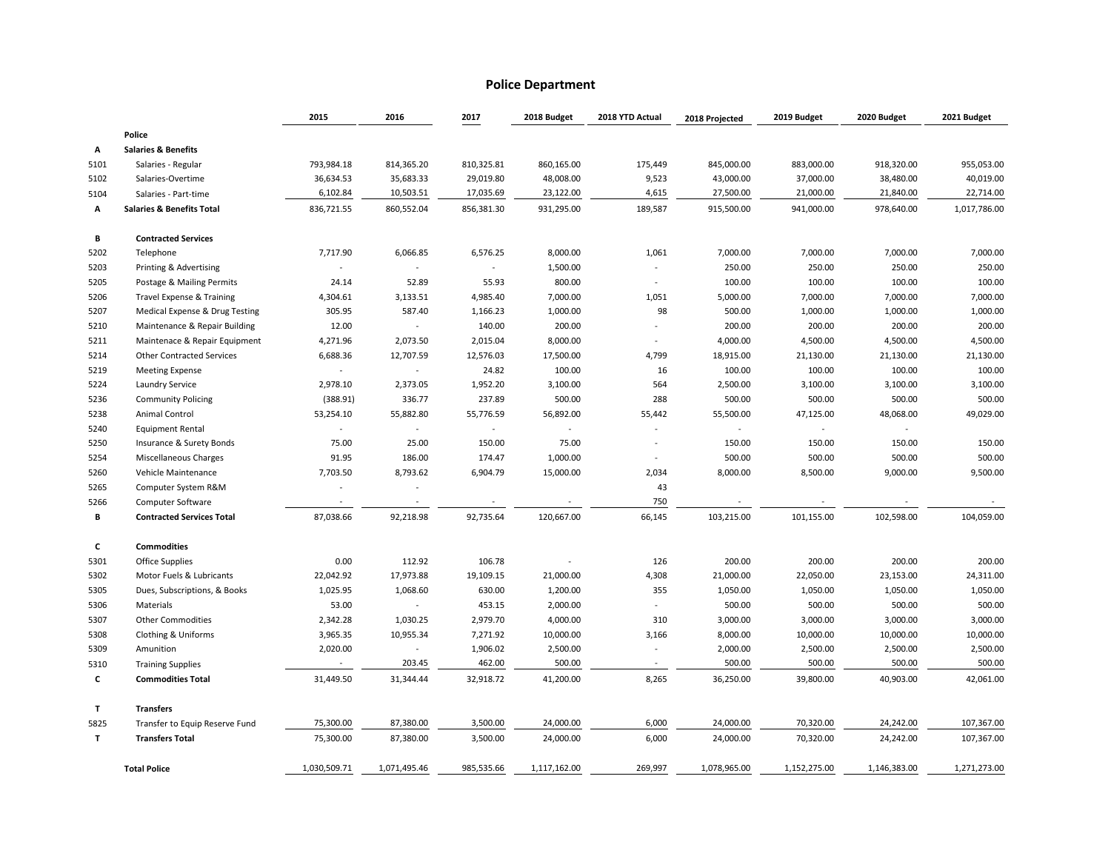#### **Police Department**

|      |                                      | 2015                 | 2016         | 2017       | 2018 Budget    | 2018 YTD Actual | 2018 Projected | 2019 Budget  | 2020 Budget  | 2021 Budget  |
|------|--------------------------------------|----------------------|--------------|------------|----------------|-----------------|----------------|--------------|--------------|--------------|
|      | Police                               |                      |              |            |                |                 |                |              |              |              |
| А    | <b>Salaries &amp; Benefits</b>       |                      |              |            |                |                 |                |              |              |              |
| 5101 | Salaries - Regular                   | 793,984.18           | 814,365.20   | 810,325.81 | 860,165.00     | 175,449         | 845,000.00     | 883,000.00   | 918,320.00   | 955,053.00   |
| 5102 | Salaries-Overtime                    | 36,634.53            | 35,683.33    | 29,019.80  | 48,008.00      | 9,523           | 43,000.00      | 37,000.00    | 38,480.00    | 40,019.00    |
| 5104 | Salaries - Part-time                 | 6,102.84             | 10,503.51    | 17,035.69  | 23,122.00      | 4,615           | 27,500.00      | 21,000.00    | 21,840.00    | 22,714.00    |
| А    | <b>Salaries &amp; Benefits Total</b> | 836,721.55           | 860,552.04   | 856,381.30 | 931,295.00     | 189,587         | 915,500.00     | 941,000.00   | 978,640.00   | 1,017,786.00 |
| В    | <b>Contracted Services</b>           |                      |              |            |                |                 |                |              |              |              |
| 5202 | Telephone                            | 7,717.90             | 6,066.85     | 6,576.25   | 8,000.00       | 1,061           | 7,000.00       | 7,000.00     | 7,000.00     | 7,000.00     |
| 5203 | Printing & Advertising               |                      |              | $\sim$     | 1,500.00       |                 | 250.00         | 250.00       | 250.00       | 250.00       |
| 5205 | Postage & Mailing Permits            | 24.14                | 52.89        | 55.93      | 800.00         |                 | 100.00         | 100.00       | 100.00       | 100.00       |
| 5206 | Travel Expense & Training            | 4,304.61             | 3,133.51     | 4,985.40   | 7,000.00       | 1,051           | 5,000.00       | 7,000.00     | 7,000.00     | 7,000.00     |
| 5207 | Medical Expense & Drug Testing       | 305.95               | 587.40       | 1,166.23   | 1,000.00       | 98              | 500.00         | 1,000.00     | 1,000.00     | 1,000.00     |
| 5210 | Maintenance & Repair Building        | 12.00                |              | 140.00     | 200.00         |                 | 200.00         | 200.00       | 200.00       | 200.00       |
| 5211 | Maintenace & Repair Equipment        | 4,271.96             | 2,073.50     | 2,015.04   | 8,000.00       |                 | 4,000.00       | 4,500.00     | 4,500.00     | 4,500.00     |
| 5214 | <b>Other Contracted Services</b>     | 6,688.36             | 12,707.59    | 12,576.03  | 17,500.00      | 4,799           | 18,915.00      | 21,130.00    | 21,130.00    | 21,130.00    |
| 5219 | <b>Meeting Expense</b>               |                      | $\sim$       | 24.82      | 100.00         | 16              | 100.00         | 100.00       | 100.00       | 100.00       |
| 5224 | <b>Laundry Service</b>               | 2,978.10             | 2,373.05     | 1,952.20   | 3,100.00       | 564             | 2,500.00       | 3,100.00     | 3,100.00     | 3,100.00     |
| 5236 | <b>Community Policing</b>            | (388.91)             | 336.77       | 237.89     | 500.00         | 288             | 500.00         | 500.00       | 500.00       | 500.00       |
| 5238 | Animal Control                       | 53,254.10            | 55,882.80    | 55,776.59  | 56,892.00      | 55,442          | 55,500.00      | 47,125.00    | 48,068.00    | 49,029.00    |
| 5240 | <b>Equipment Rental</b>              |                      |              | $\sim$     | $\blacksquare$ |                 | $\sim$         |              |              |              |
| 5250 | Insurance & Surety Bonds             | 75.00                | 25.00        | 150.00     | 75.00          | $\sim$          | 150.00         | 150.00       | 150.00       | 150.00       |
| 5254 | Miscellaneous Charges                | 91.95                | 186.00       | 174.47     | 1,000.00       |                 | 500.00         | 500.00       | 500.00       | 500.00       |
| 5260 | Vehicle Maintenance                  | 7,703.50             | 8,793.62     | 6,904.79   | 15,000.00      | 2,034           | 8,000.00       | 8,500.00     | 9,000.00     | 9,500.00     |
| 5265 | Computer System R&M                  | $\sim$               | $\sim$       |            |                | 43              |                |              |              |              |
| 5266 | <b>Computer Software</b>             | $\ddot{\phantom{1}}$ |              |            |                | 750             |                |              |              |              |
| В    | <b>Contracted Services Total</b>     | 87,038.66            | 92,218.98    | 92,735.64  | 120,667.00     | 66,145          | 103,215.00     | 101,155.00   | 102,598.00   | 104,059.00   |
| c    | <b>Commodities</b>                   |                      |              |            |                |                 |                |              |              |              |
| 5301 | Office Supplies                      | 0.00                 | 112.92       | 106.78     | $\sim$         | 126             | 200.00         | 200.00       | 200.00       | 200.00       |
| 5302 | Motor Fuels & Lubricants             | 22,042.92            | 17,973.88    | 19,109.15  | 21,000.00      | 4,308           | 21,000.00      | 22,050.00    | 23,153.00    | 24,311.00    |
| 5305 | Dues, Subscriptions, & Books         | 1,025.95             | 1,068.60     | 630.00     | 1,200.00       | 355             | 1,050.00       | 1,050.00     | 1,050.00     | 1,050.00     |
| 5306 | Materials                            | 53.00                | $\sim$       | 453.15     | 2,000.00       |                 | 500.00         | 500.00       | 500.00       | 500.00       |
| 5307 | <b>Other Commodities</b>             | 2,342.28             | 1,030.25     | 2,979.70   | 4,000.00       | 310             | 3,000.00       | 3,000.00     | 3,000.00     | 3,000.00     |
| 5308 | Clothing & Uniforms                  | 3,965.35             | 10,955.34    | 7,271.92   | 10,000.00      | 3,166           | 8,000.00       | 10,000.00    | 10,000.00    | 10,000.00    |
| 5309 | Amunition                            | 2,020.00             | $\sim$       | 1,906.02   | 2,500.00       |                 | 2,000.00       | 2,500.00     | 2,500.00     | 2,500.00     |
| 5310 | <b>Training Supplies</b>             |                      | 203.45       | 462.00     | 500.00         | $\sim$          | 500.00         | 500.00       | 500.00       | 500.00       |
| c    | <b>Commodities Total</b>             | 31,449.50            | 31,344.44    | 32,918.72  | 41,200.00      | 8,265           | 36,250.00      | 39,800.00    | 40,903.00    | 42,061.00    |
| T    | <b>Transfers</b>                     |                      |              |            |                |                 |                |              |              |              |
| 5825 | Transfer to Equip Reserve Fund       | 75,300.00            | 87,380.00    | 3,500.00   | 24,000.00      | 6,000           | 24,000.00      | 70,320.00    | 24,242.00    | 107,367.00   |
| T    | <b>Transfers Total</b>               | 75,300.00            | 87,380.00    | 3,500.00   | 24,000.00      | 6,000           | 24,000.00      | 70,320.00    | 24,242.00    | 107,367.00   |
|      | <b>Total Police</b>                  | 1,030,509.71         | 1,071,495.46 | 985,535.66 | 1,117,162.00   | 269.997         | 1,078,965.00   | 1,152,275.00 | 1,146,383.00 | 1,271,273.00 |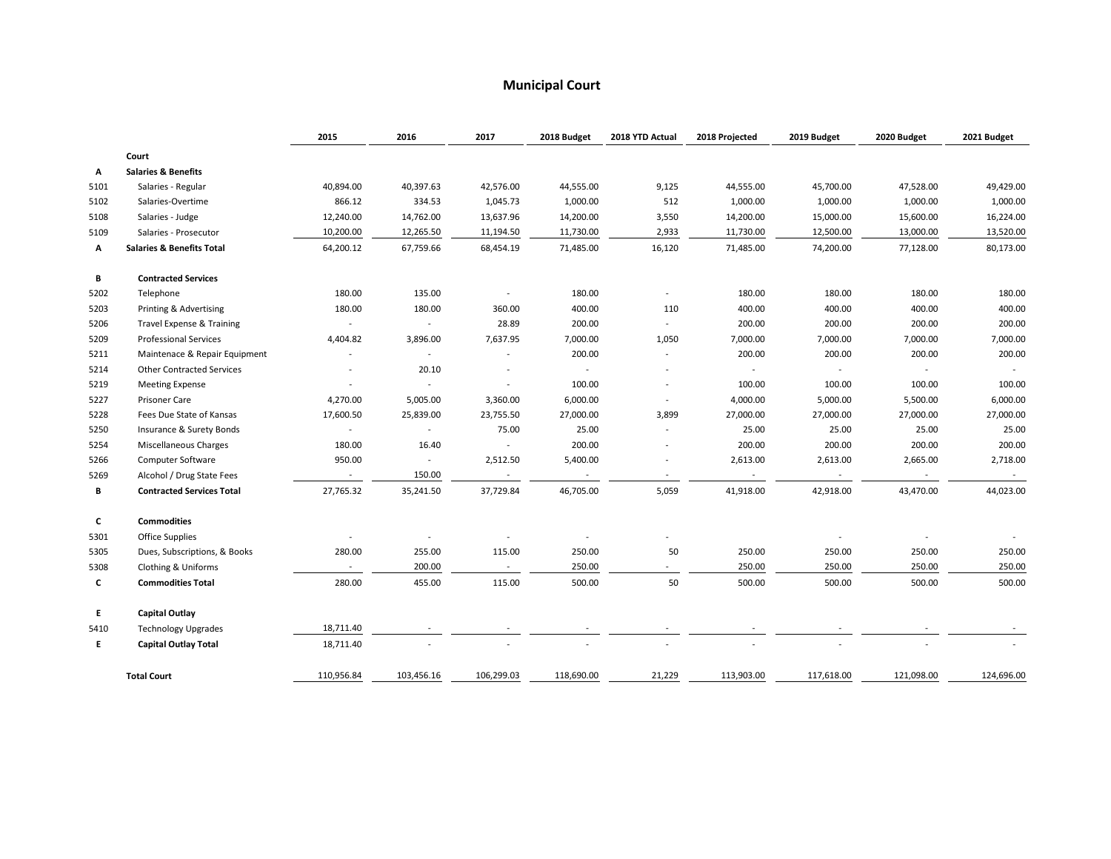#### **Municipal Court**

|      |                                      | 2015                     | 2016                        | 2017                     | 2018 Budget    | 2018 YTD Actual          | 2018 Projected | 2019 Budget              | 2020 Budget | 2021 Budget |
|------|--------------------------------------|--------------------------|-----------------------------|--------------------------|----------------|--------------------------|----------------|--------------------------|-------------|-------------|
|      | Court                                |                          |                             |                          |                |                          |                |                          |             |             |
| А    | <b>Salaries &amp; Benefits</b>       |                          |                             |                          |                |                          |                |                          |             |             |
| 5101 | Salaries - Regular                   | 40,894.00                | 40,397.63                   | 42,576.00                | 44,555.00      | 9,125                    | 44,555.00      | 45,700.00                | 47,528.00   | 49,429.00   |
| 5102 | Salaries-Overtime                    | 866.12                   | 334.53                      | 1,045.73                 | 1,000.00       | 512                      | 1,000.00       | 1,000.00                 | 1,000.00    | 1,000.00    |
| 5108 | Salaries - Judge                     | 12,240.00                | 14,762.00                   | 13,637.96                | 14,200.00      | 3,550                    | 14,200.00      | 15,000.00                | 15,600.00   | 16,224.00   |
| 5109 | Salaries - Prosecutor                | 10,200.00                | 12,265.50                   | 11,194.50                | 11,730.00      | 2,933                    | 11,730.00      | 12,500.00                | 13,000.00   | 13,520.00   |
| А    | <b>Salaries &amp; Benefits Total</b> | 64,200.12                | 67,759.66                   | 68,454.19                | 71,485.00      | 16,120                   | 71,485.00      | 74,200.00                | 77,128.00   | 80,173.00   |
| В    | <b>Contracted Services</b>           |                          |                             |                          |                |                          |                |                          |             |             |
| 5202 | Telephone                            | 180.00                   | 135.00                      | $\overline{\phantom{a}}$ | 180.00         |                          | 180.00         | 180.00                   | 180.00      | 180.00      |
| 5203 | Printing & Advertising               | 180.00                   | 180.00                      | 360.00                   | 400.00         | 110                      | 400.00         | 400.00                   | 400.00      | 400.00      |
| 5206 | Travel Expense & Training            | $\overline{\phantom{a}}$ | $\sim$                      | 28.89                    | 200.00         |                          | 200.00         | 200.00                   | 200.00      | 200.00      |
| 5209 | <b>Professional Services</b>         | 4,404.82                 | 3,896.00                    | 7,637.95                 | 7,000.00       | 1,050                    | 7,000.00       | 7,000.00                 | 7,000.00    | 7,000.00    |
| 5211 | Maintenace & Repair Equipment        |                          | $\overline{\phantom{a}}$    | $\overline{\phantom{a}}$ | 200.00         |                          | 200.00         | 200.00                   | 200.00      | 200.00      |
| 5214 | <b>Other Contracted Services</b>     |                          | 20.10                       |                          | $\sim$         |                          |                | $\overline{\phantom{a}}$ | $\sim$      | $\sim$      |
| 5219 | <b>Meeting Expense</b>               |                          | $\mathbf{r}$                | $\overline{a}$           | 100.00         |                          | 100.00         | 100.00                   | 100.00      | 100.00      |
| 5227 | Prisoner Care                        | 4,270.00                 | 5,005.00                    | 3,360.00                 | 6,000.00       |                          | 4,000.00       | 5,000.00                 | 5,500.00    | 6,000.00    |
| 5228 | Fees Due State of Kansas             | 17,600.50                | 25,839.00                   | 23,755.50                | 27,000.00      | 3,899                    | 27,000.00      | 27,000.00                | 27,000.00   | 27,000.00   |
| 5250 | Insurance & Surety Bonds             | $\sim$                   | $\mathcal{L}_{\mathcal{A}}$ | 75.00                    | 25.00          |                          | 25.00          | 25.00                    | 25.00       | 25.00       |
| 5254 | Miscellaneous Charges                | 180.00                   | 16.40                       | $\sim$                   | 200.00         |                          | 200.00         | 200.00                   | 200.00      | 200.00      |
| 5266 | Computer Software                    | 950.00                   | ÷                           | 2,512.50                 | 5,400.00       |                          | 2,613.00       | 2,613.00                 | 2,665.00    | 2,718.00    |
| 5269 | Alcohol / Drug State Fees            |                          | 150.00                      | $\sim$                   | $\sim$         |                          | $\sim$         | $\sim$                   | $\sim$      |             |
| В    | <b>Contracted Services Total</b>     | 27,765.32                | 35,241.50                   | 37,729.84                | 46,705.00      | 5,059                    | 41,918.00      | 42,918.00                | 43,470.00   | 44,023.00   |
| c    | <b>Commodities</b>                   |                          |                             |                          |                |                          |                |                          |             |             |
| 5301 | Office Supplies                      | $\overline{\phantom{a}}$ | $\overline{\phantom{a}}$    |                          | $\overline{a}$ |                          |                |                          |             |             |
| 5305 | Dues, Subscriptions, & Books         | 280.00                   | 255.00                      | 115.00                   | 250.00         | 50                       | 250.00         | 250.00                   | 250.00      | 250.00      |
| 5308 | Clothing & Uniforms                  |                          | 200.00                      | $\sim$                   | 250.00         | $\overline{\phantom{a}}$ | 250.00         | 250.00                   | 250.00      | 250.00      |
| C    | <b>Commodities Total</b>             | 280.00                   | 455.00                      | 115.00                   | 500.00         | 50                       | 500.00         | 500.00                   | 500.00      | 500.00      |
| E.   | Capital Outlay                       |                          |                             |                          |                |                          |                |                          |             |             |
| 5410 | <b>Technology Upgrades</b>           | 18,711.40                |                             |                          |                |                          |                |                          |             |             |
| E.   | <b>Capital Outlay Total</b>          | 18,711.40                |                             |                          |                |                          |                |                          |             |             |
|      | <b>Total Court</b>                   | 110,956.84               | 103,456.16                  | 106,299.03               | 118,690.00     | 21,229                   | 113,903.00     | 117,618.00               | 121,098.00  | 124,696.00  |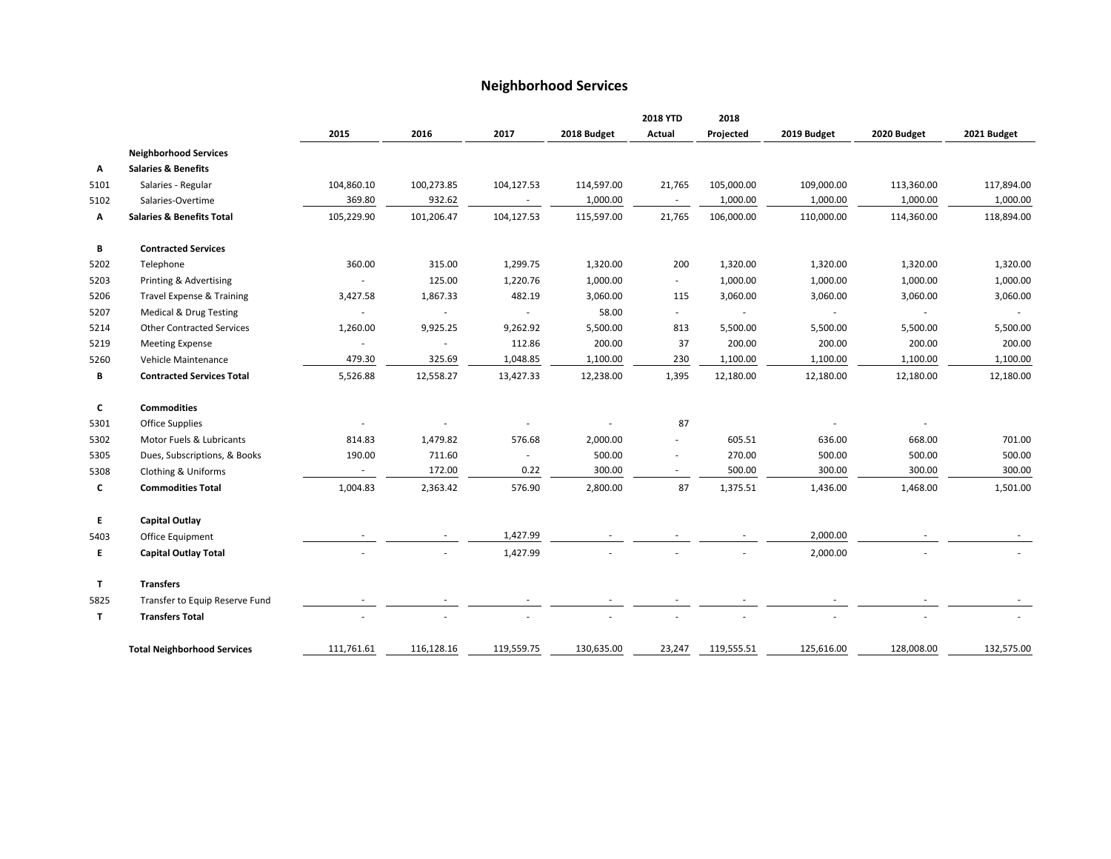#### **Neighborhood Services**

|              |                                      |                          |            |            |             | <b>2018 YTD</b>          | 2018       |             |             |             |
|--------------|--------------------------------------|--------------------------|------------|------------|-------------|--------------------------|------------|-------------|-------------|-------------|
|              |                                      | 2015                     | 2016       | 2017       | 2018 Budget | Actual                   | Projected  | 2019 Budget | 2020 Budget | 2021 Budget |
|              | <b>Neighborhood Services</b>         |                          |            |            |             |                          |            |             |             |             |
| Α            | <b>Salaries &amp; Benefits</b>       |                          |            |            |             |                          |            |             |             |             |
| 5101         | Salaries - Regular                   | 104,860.10               | 100,273.85 | 104,127.53 | 114,597.00  | 21,765                   | 105,000.00 | 109,000.00  | 113,360.00  | 117,894.00  |
| 5102         | Salaries-Overtime                    | 369.80                   | 932.62     |            | 1,000.00    | $\sim$                   | 1,000.00   | 1,000.00    | 1,000.00    | 1,000.00    |
| А            | <b>Salaries &amp; Benefits Total</b> | 105,229.90               | 101,206.47 | 104,127.53 | 115,597.00  | 21,765                   | 106,000.00 | 110,000.00  | 114,360.00  | 118,894.00  |
| В            | <b>Contracted Services</b>           |                          |            |            |             |                          |            |             |             |             |
| 5202         | Telephone                            | 360.00                   | 315.00     | 1,299.75   | 1,320.00    | 200                      | 1,320.00   | 1,320.00    | 1,320.00    | 1,320.00    |
| 5203         | Printing & Advertising               |                          | 125.00     | 1,220.76   | 1,000.00    | $\sim$                   | 1,000.00   | 1,000.00    | 1,000.00    | 1,000.00    |
| 5206         | Travel Expense & Training            | 3,427.58                 | 1,867.33   | 482.19     | 3,060.00    | 115                      | 3,060.00   | 3,060.00    | 3,060.00    | 3,060.00    |
| 5207         | Medical & Drug Testing               |                          | $\sim$     |            | 58.00       | $\sim$                   |            | $\sim$      | $\sim$      |             |
| 5214         | <b>Other Contracted Services</b>     | 1,260.00                 | 9,925.25   | 9,262.92   | 5,500.00    | 813                      | 5,500.00   | 5,500.00    | 5,500.00    | 5,500.00    |
| 5219         | <b>Meeting Expense</b>               | $\overline{\phantom{a}}$ | $\sim$     | 112.86     | 200.00      | 37                       | 200.00     | 200.00      | 200.00      | 200.00      |
| 5260         | Vehicle Maintenance                  | 479.30                   | 325.69     | 1,048.85   | 1,100.00    | 230                      | 1,100.00   | 1,100.00    | 1,100.00    | 1,100.00    |
| В            | <b>Contracted Services Total</b>     | 5,526.88                 | 12,558.27  | 13,427.33  | 12,238.00   | 1,395                    | 12,180.00  | 12,180.00   | 12,180.00   | 12,180.00   |
| C            | <b>Commodities</b>                   |                          |            |            |             |                          |            |             |             |             |
| 5301         | <b>Office Supplies</b>               |                          |            |            |             | 87                       |            |             |             |             |
| 5302         | Motor Fuels & Lubricants             | 814.83                   | 1,479.82   | 576.68     | 2,000.00    |                          | 605.51     | 636.00      | 668.00      | 701.00      |
| 5305         | Dues, Subscriptions, & Books         | 190.00                   | 711.60     |            | 500.00      | $\overline{\phantom{a}}$ | 270.00     | 500.00      | 500.00      | 500.00      |
| 5308         | Clothing & Uniforms                  | $\sim$                   | 172.00     | 0.22       | 300.00      | $\sim$                   | 500.00     | 300.00      | 300.00      | 300.00      |
| c            | <b>Commodities Total</b>             | 1,004.83                 | 2,363.42   | 576.90     | 2,800.00    | 87                       | 1,375.51   | 1,436.00    | 1,468.00    | 1,501.00    |
| E            | <b>Capital Outlay</b>                |                          |            |            |             |                          |            |             |             |             |
| 5403         | Office Equipment                     |                          |            | 1,427.99   |             |                          |            | 2,000.00    |             |             |
| E            | <b>Capital Outlay Total</b>          |                          |            | 1,427.99   |             |                          |            | 2,000.00    |             |             |
| $\mathbf{T}$ | <b>Transfers</b>                     |                          |            |            |             |                          |            |             |             |             |
| 5825         | Transfer to Equip Reserve Fund       |                          |            |            |             |                          |            |             |             |             |
| $\mathbf{T}$ | <b>Transfers Total</b>               |                          |            |            |             |                          |            |             |             |             |
|              | <b>Total Neighborhood Services</b>   | 111,761.61               | 116,128.16 | 119,559.75 | 130,635.00  | 23,247                   | 119,555.51 | 125,616.00  | 128,008.00  | 132,575.00  |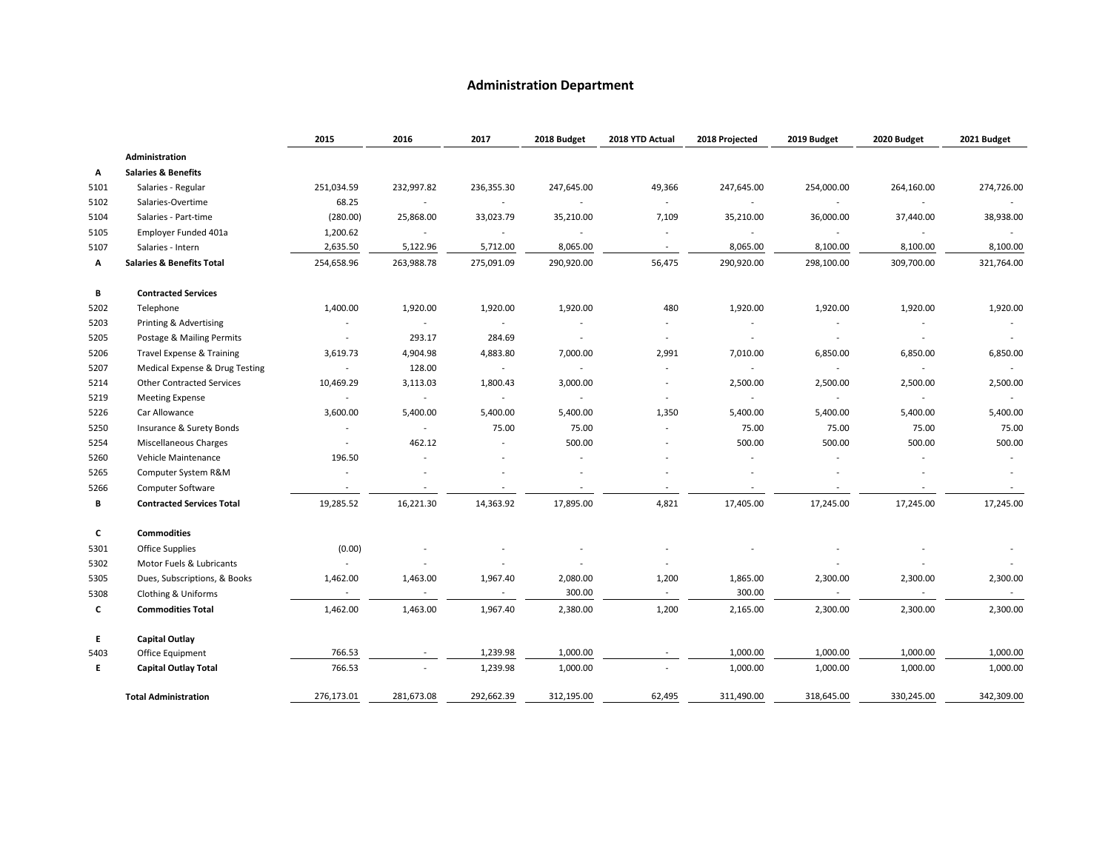#### **Administration Department**

|      |                                      | 2015                     | 2016                     | 2017                     | 2018 Budget | 2018 YTD Actual          | 2018 Projected           | 2019 Budget              | 2020 Budget | 2021 Budget |
|------|--------------------------------------|--------------------------|--------------------------|--------------------------|-------------|--------------------------|--------------------------|--------------------------|-------------|-------------|
|      | Administration                       |                          |                          |                          |             |                          |                          |                          |             |             |
| А    | <b>Salaries &amp; Benefits</b>       |                          |                          |                          |             |                          |                          |                          |             |             |
| 5101 | Salaries - Regular                   | 251,034.59               | 232,997.82               | 236,355.30               | 247,645.00  | 49,366                   | 247,645.00               | 254,000.00               | 264,160.00  | 274,726.00  |
| 5102 | Salaries-Overtime                    | 68.25                    | $\sim$                   | $\sim$                   | $\sim$      | $\sim$                   | $\blacksquare$           |                          | $\sim$      |             |
| 5104 | Salaries - Part-time                 | (280.00)                 | 25,868.00                | 33,023.79                | 35,210.00   | 7,109                    | 35,210.00                | 36,000.00                | 37,440.00   | 38,938.00   |
| 5105 | Employer Funded 401a                 | 1,200.62                 |                          | $\overline{\phantom{a}}$ | $\sim$      | $\sim$                   | ÷                        |                          | $\sim$      |             |
| 5107 | Salaries - Intern                    | 2,635.50                 | 5,122.96                 | 5,712.00                 | 8,065.00    | $\sim$                   | 8,065.00                 | 8,100.00                 | 8,100.00    | 8,100.00    |
| А    | <b>Salaries &amp; Benefits Total</b> | 254,658.96               | 263,988.78               | 275,091.09               | 290,920.00  | 56,475                   | 290,920.00               | 298,100.00               | 309,700.00  | 321,764.00  |
| В    | <b>Contracted Services</b>           |                          |                          |                          |             |                          |                          |                          |             |             |
| 5202 | Telephone                            | 1,400.00                 | 1,920.00                 | 1,920.00                 | 1,920.00    | 480                      | 1,920.00                 | 1,920.00                 | 1,920.00    | 1,920.00    |
| 5203 | Printing & Advertising               | $\sim$                   | $\sim$                   | $\sim$                   |             |                          | $\overline{\phantom{a}}$ | $\overline{\phantom{a}}$ | $\sim$      |             |
| 5205 | Postage & Mailing Permits            | $\overline{\phantom{a}}$ | 293.17                   | 284.69                   | $\sim$      | $\overline{\phantom{a}}$ | $\overline{\phantom{a}}$ | $\overline{a}$           | $\sim$      | $\sim$      |
| 5206 | Travel Expense & Training            | 3,619.73                 | 4,904.98                 | 4,883.80                 | 7,000.00    | 2,991                    | 7,010.00                 | 6,850.00                 | 6,850.00    | 6,850.00    |
| 5207 | Medical Expense & Drug Testing       | $\sim$                   | 128.00                   | $\sim$                   | $\sim$      | $\overline{\phantom{a}}$ | $\sim$                   | $\sim$                   | $\sim$      |             |
| 5214 | <b>Other Contracted Services</b>     | 10,469.29                | 3,113.03                 | 1,800.43                 | 3,000.00    |                          | 2,500.00                 | 2,500.00                 | 2,500.00    | 2,500.00    |
| 5219 | <b>Meeting Expense</b>               | $\sim$                   | $\sim$                   | $\sim$                   | $\sim$      | $\sim$                   | $\sim$                   | $\sim$                   | $\sim$      | $\sim$      |
| 5226 | Car Allowance                        | 3,600.00                 | 5,400.00                 | 5,400.00                 | 5,400.00    | 1,350                    | 5,400.00                 | 5,400.00                 | 5,400.00    | 5,400.00    |
| 5250 | Insurance & Surety Bonds             | $\overline{\phantom{a}}$ | $\sim$                   | 75.00                    | 75.00       | $\overline{\phantom{a}}$ | 75.00                    | 75.00                    | 75.00       | 75.00       |
| 5254 | Miscellaneous Charges                | $\overline{\phantom{a}}$ | 462.12                   | $\sim$                   | 500.00      |                          | 500.00                   | 500.00                   | 500.00      | 500.00      |
| 5260 | Vehicle Maintenance                  | 196.50                   |                          |                          |             |                          | $\overline{a}$           |                          |             |             |
| 5265 | Computer System R&M                  | $\overline{\phantom{a}}$ |                          |                          |             |                          | $\overline{a}$           |                          |             |             |
| 5266 | Computer Software                    | $\sim$                   | $\sim$                   | $\sim$                   | $\sim$      | $\sim$                   | $\overline{\phantom{a}}$ | $\overline{\phantom{a}}$ | $\sim$      | $\sim$      |
| В    | <b>Contracted Services Total</b>     | 19,285.52                | 16,221.30                | 14,363.92                | 17,895.00   | 4,821                    | 17,405.00                | 17,245.00                | 17,245.00   | 17,245.00   |
| C    | <b>Commodities</b>                   |                          |                          |                          |             |                          |                          |                          |             |             |
| 5301 | <b>Office Supplies</b>               | (0.00)                   |                          |                          |             |                          |                          |                          |             |             |
| 5302 | Motor Fuels & Lubricants             |                          | $\overline{\phantom{0}}$ | $\overline{\phantom{a}}$ |             |                          |                          |                          |             |             |
| 5305 | Dues, Subscriptions, & Books         | 1,462.00                 | 1,463.00                 | 1,967.40                 | 2,080.00    | 1,200                    | 1,865.00                 | 2,300.00                 | 2,300.00    | 2,300.00    |
| 5308 | Clothing & Uniforms                  |                          |                          | $\overline{\phantom{a}}$ | 300.00      | $\sim$                   | 300.00                   |                          | $\sim$      | $\sim$      |
| C    | <b>Commodities Total</b>             | 1,462.00                 | 1,463.00                 | 1,967.40                 | 2,380.00    | 1,200                    | 2,165.00                 | 2,300.00                 | 2,300.00    | 2,300.00    |
| E.   | <b>Capital Outlay</b>                |                          |                          |                          |             |                          |                          |                          |             |             |
| 5403 | Office Equipment                     | 766.53                   |                          | 1,239.98                 | 1,000.00    | $\sim$                   | 1,000.00                 | 1,000.00                 | 1,000.00    | 1,000.00    |
| E.   | <b>Capital Outlay Total</b>          | 766.53                   |                          | 1,239.98                 | 1,000.00    |                          | 1,000.00                 | 1,000.00                 | 1,000.00    | 1,000.00    |
|      | <b>Total Administration</b>          | 276,173.01               | 281,673.08               | 292,662.39               | 312,195.00  | 62,495                   | 311,490.00               | 318,645.00               | 330,245.00  | 342,309.00  |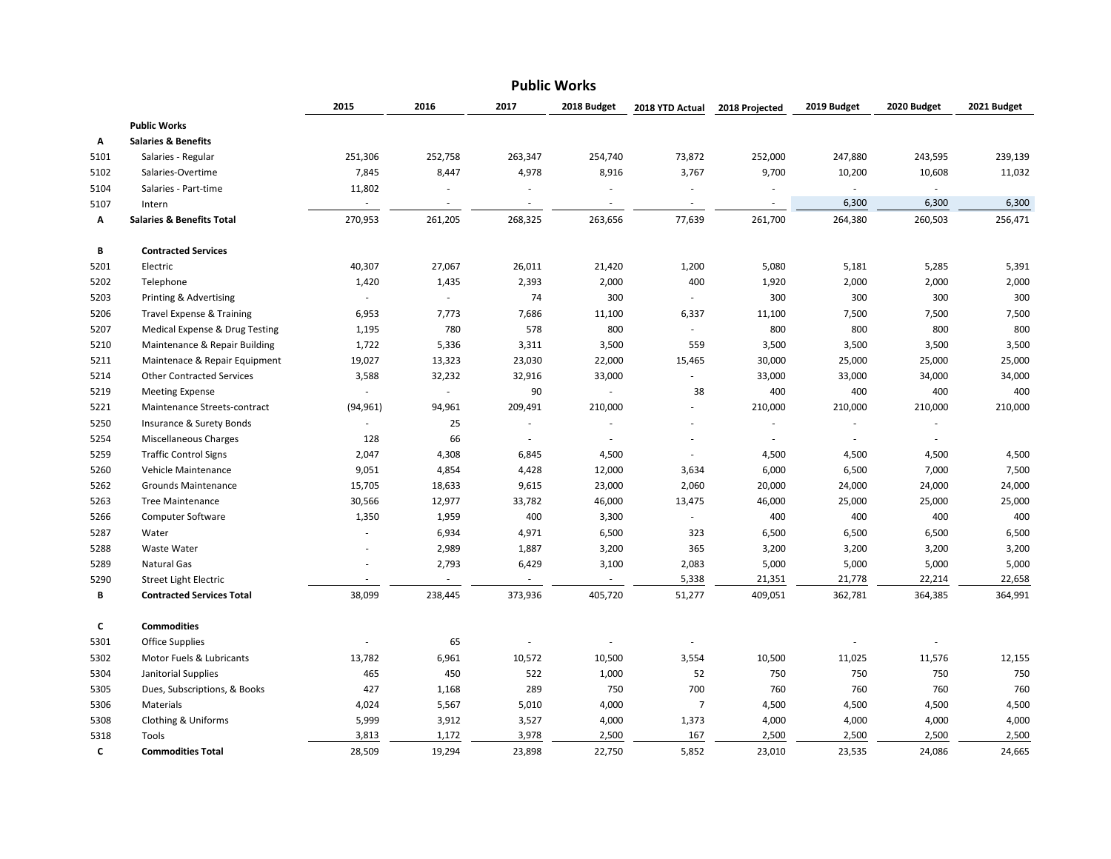|      |                                      |                          |                          |         | <b>Public Works</b> |                          |                          |             |                             |             |
|------|--------------------------------------|--------------------------|--------------------------|---------|---------------------|--------------------------|--------------------------|-------------|-----------------------------|-------------|
|      |                                      | 2015                     | 2016                     | 2017    | 2018 Budget         | 2018 YTD Actual          | 2018 Projected           | 2019 Budget | 2020 Budget                 | 2021 Budget |
|      | <b>Public Works</b>                  |                          |                          |         |                     |                          |                          |             |                             |             |
| А    | <b>Salaries &amp; Benefits</b>       |                          |                          |         |                     |                          |                          |             |                             |             |
| 5101 | Salaries - Regular                   | 251,306                  | 252,758                  | 263,347 | 254,740             | 73,872                   | 252,000                  | 247,880     | 243,595                     | 239,139     |
| 5102 | Salaries-Overtime                    | 7,845                    | 8,447                    | 4,978   | 8,916               | 3,767                    | 9,700                    | 10,200      | 10,608                      | 11,032      |
| 5104 | Salaries - Part-time                 | 11,802                   | J.                       | ä,      | $\sim$              | ÷,                       | $\overline{\phantom{a}}$ | $\sim$      | $\mathcal{L}_{\mathcal{A}}$ |             |
| 5107 | Intern                               | ÷                        |                          |         | $\sim$              | $\overline{\phantom{a}}$ | $\overline{\phantom{a}}$ | 6,300       | 6,300                       | 6,300       |
| Α    | <b>Salaries &amp; Benefits Total</b> | 270,953                  | 261,205                  | 268,325 | 263,656             | 77,639                   | 261,700                  | 264,380     | 260,503                     | 256,471     |
| В    | <b>Contracted Services</b>           |                          |                          |         |                     |                          |                          |             |                             |             |
| 5201 | Electric                             | 40,307                   | 27,067                   | 26,011  | 21,420              | 1,200                    | 5,080                    | 5,181       | 5,285                       | 5,391       |
| 5202 | Telephone                            | 1,420                    | 1,435                    | 2,393   | 2,000               | 400                      | 1,920                    | 2,000       | 2,000                       | 2,000       |
| 5203 | Printing & Advertising               | $\blacksquare$           | $\sim$                   | 74      | 300                 | ÷.                       | 300                      | 300         | 300                         | 300         |
| 5206 | <b>Travel Expense &amp; Training</b> | 6,953                    | 7,773                    | 7,686   | 11,100              | 6,337                    | 11,100                   | 7,500       | 7,500                       | 7,500       |
| 5207 | Medical Expense & Drug Testing       | 1,195                    | 780                      | 578     | 800                 | $\sim$                   | 800                      | 800         | 800                         | 800         |
| 5210 | Maintenance & Repair Building        | 1,722                    | 5,336                    | 3,311   | 3,500               | 559                      | 3,500                    | 3,500       | 3,500                       | 3,500       |
| 5211 | Maintenace & Repair Equipment        | 19,027                   | 13,323                   | 23,030  | 22,000              | 15,465                   | 30,000                   | 25,000      | 25,000                      | 25,000      |
| 5214 | <b>Other Contracted Services</b>     | 3,588                    | 32,232                   | 32,916  | 33,000              | $\sim$                   | 33,000                   | 33,000      | 34,000                      | 34,000      |
| 5219 | <b>Meeting Expense</b>               | $\overline{\phantom{a}}$ | $\overline{\phantom{a}}$ | 90      | $\sim$              | 38                       | 400                      | 400         | 400                         | 400         |
| 5221 | Maintenance Streets-contract         | (94, 961)                | 94,961                   | 209,491 | 210,000             |                          | 210,000                  | 210,000     | 210,000                     | 210,000     |
| 5250 | Insurance & Surety Bonds             | $\sim$                   | 25                       | ×.      |                     |                          |                          |             | $\overline{\phantom{a}}$    |             |
| 5254 | <b>Miscellaneous Charges</b>         | 128                      | 66                       | $\sim$  |                     |                          | ÷,                       |             | $\sim$                      |             |
| 5259 | <b>Traffic Control Signs</b>         | 2,047                    | 4,308                    | 6,845   | 4,500               |                          | 4,500                    | 4,500       | 4,500                       | 4,500       |
| 5260 | Vehicle Maintenance                  | 9,051                    | 4,854                    | 4,428   | 12,000              | 3,634                    | 6,000                    | 6,500       | 7,000                       | 7,500       |
| 5262 | Grounds Maintenance                  | 15,705                   | 18,633                   | 9,615   | 23,000              | 2,060                    | 20,000                   | 24,000      | 24,000                      | 24,000      |
| 5263 | <b>Tree Maintenance</b>              | 30,566                   | 12,977                   | 33,782  | 46,000              | 13,475                   | 46,000                   | 25,000      | 25,000                      | 25,000      |
| 5266 | <b>Computer Software</b>             | 1,350                    | 1,959                    | 400     | 3,300               | ÷.                       | 400                      | 400         | 400                         | 400         |
| 5287 | Water                                | ÷.                       | 6,934                    | 4,971   | 6,500               | 323                      | 6,500                    | 6,500       | 6,500                       | 6,500       |
| 5288 | <b>Waste Water</b>                   |                          | 2,989                    | 1,887   | 3,200               | 365                      | 3,200                    | 3,200       | 3,200                       | 3,200       |
| 5289 | Natural Gas                          |                          | 2,793                    | 6,429   | 3,100               | 2,083                    | 5,000                    | 5,000       | 5,000                       | 5,000       |
| 5290 | <b>Street Light Electric</b>         | $\sim$                   |                          |         |                     | 5,338                    | 21,351                   | 21,778      | 22,214                      | 22,658      |
| В    | <b>Contracted Services Total</b>     | 38,099                   | 238,445                  | 373,936 | 405,720             | 51,277                   | 409,051                  | 362,781     | 364,385                     | 364,991     |
| c    | <b>Commodities</b>                   |                          |                          |         |                     |                          |                          |             |                             |             |
| 5301 | <b>Office Supplies</b>               |                          | 65                       |         |                     |                          |                          |             | $\overline{\phantom{a}}$    |             |
| 5302 | Motor Fuels & Lubricants             | 13,782                   | 6,961                    | 10,572  | 10,500              | 3,554                    | 10,500                   | 11,025      | 11,576                      | 12,155      |
| 5304 | Janitorial Supplies                  | 465                      | 450                      | 522     | 1,000               | 52                       | 750                      | 750         | 750                         | 750         |
| 5305 | Dues, Subscriptions, & Books         | 427                      | 1,168                    | 289     | 750                 | 700                      | 760                      | 760         | 760                         | 760         |
| 5306 | Materials                            | 4,024                    | 5,567                    | 5,010   | 4,000               | $\overline{7}$           | 4,500                    | 4,500       | 4,500                       | 4,500       |
| 5308 | Clothing & Uniforms                  | 5,999                    | 3,912                    | 3,527   | 4,000               | 1,373                    | 4,000                    | 4,000       | 4,000                       | 4,000       |
| 5318 | Tools                                | 3,813                    | 1,172                    | 3,978   | 2,500               | 167                      | 2,500                    | 2,500       | 2,500                       | 2,500       |
| C    | <b>Commodities Total</b>             | 28,509                   | 19,294                   | 23,898  | 22,750              | 5,852                    | 23,010                   | 23,535      | 24,086                      | 24,665      |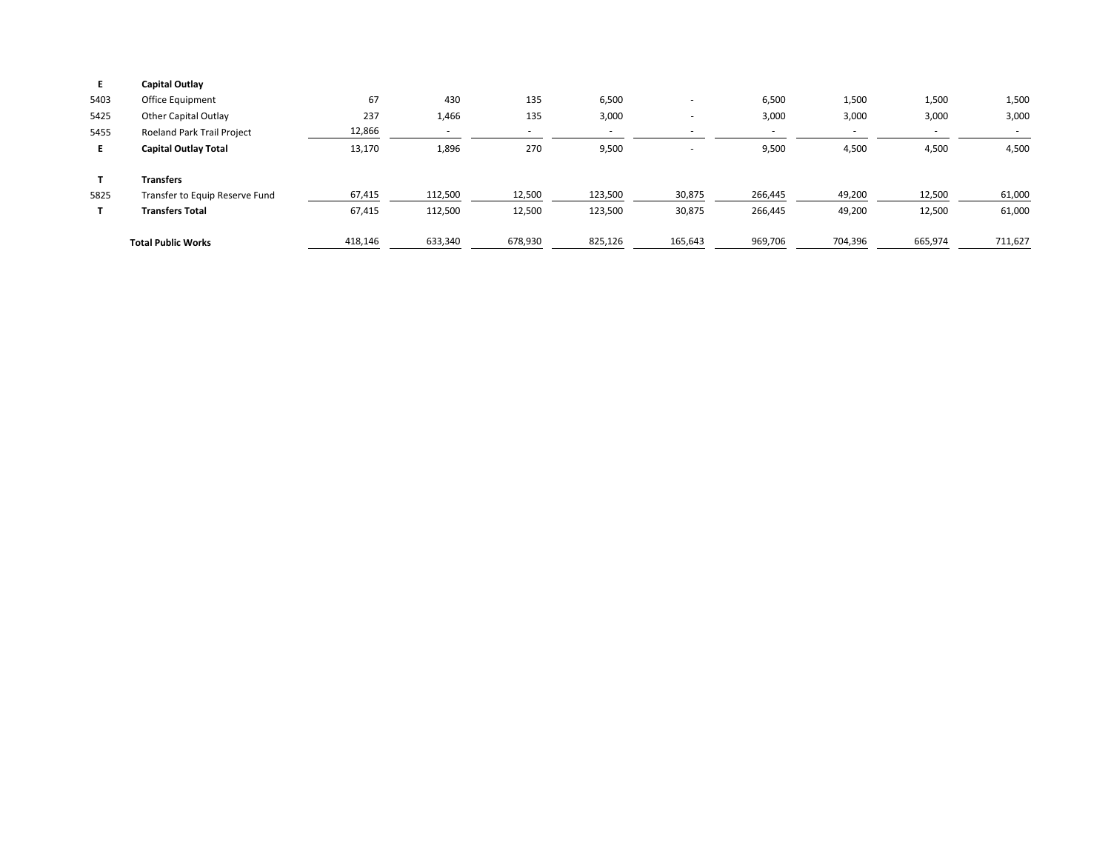| E.   | Capital Outlay                 |         |                          |         |         |                          |                          |         |         |         |
|------|--------------------------------|---------|--------------------------|---------|---------|--------------------------|--------------------------|---------|---------|---------|
| 5403 | Office Equipment               | 67      | 430                      | 135     | 6,500   |                          | 6,500                    | 1,500   | 1,500   | 1,500   |
| 5425 | Other Capital Outlay           | 237     | 1,466                    | 135     | 3,000   |                          | 3,000                    | 3,000   | 3,000   | 3,000   |
| 5455 | Roeland Park Trail Project     | 12,866  | $\overline{\phantom{a}}$ |         |         |                          | $\overline{\phantom{a}}$ |         |         | $\sim$  |
| E.   | <b>Capital Outlay Total</b>    | 13,170  | 1,896                    | 270     | 9,500   | $\overline{\phantom{a}}$ | 9,500                    | 4,500   | 4,500   | 4,500   |
|      | <b>Transfers</b>               |         |                          |         |         |                          |                          |         |         |         |
| 5825 | Transfer to Equip Reserve Fund | 67,415  | 112,500                  | 12,500  | 123,500 | 30,875                   | 266,445                  | 49,200  | 12,500  | 61,000  |
|      | <b>Transfers Total</b>         | 67,415  | 112,500                  | 12,500  | 123,500 | 30,875                   | 266,445                  | 49,200  | 12,500  | 61,000  |
|      | <b>Total Public Works</b>      | 418,146 | 633,340                  | 678,930 | 825,126 | 165,643                  | 969,706                  | 704,396 | 665,974 | 711,627 |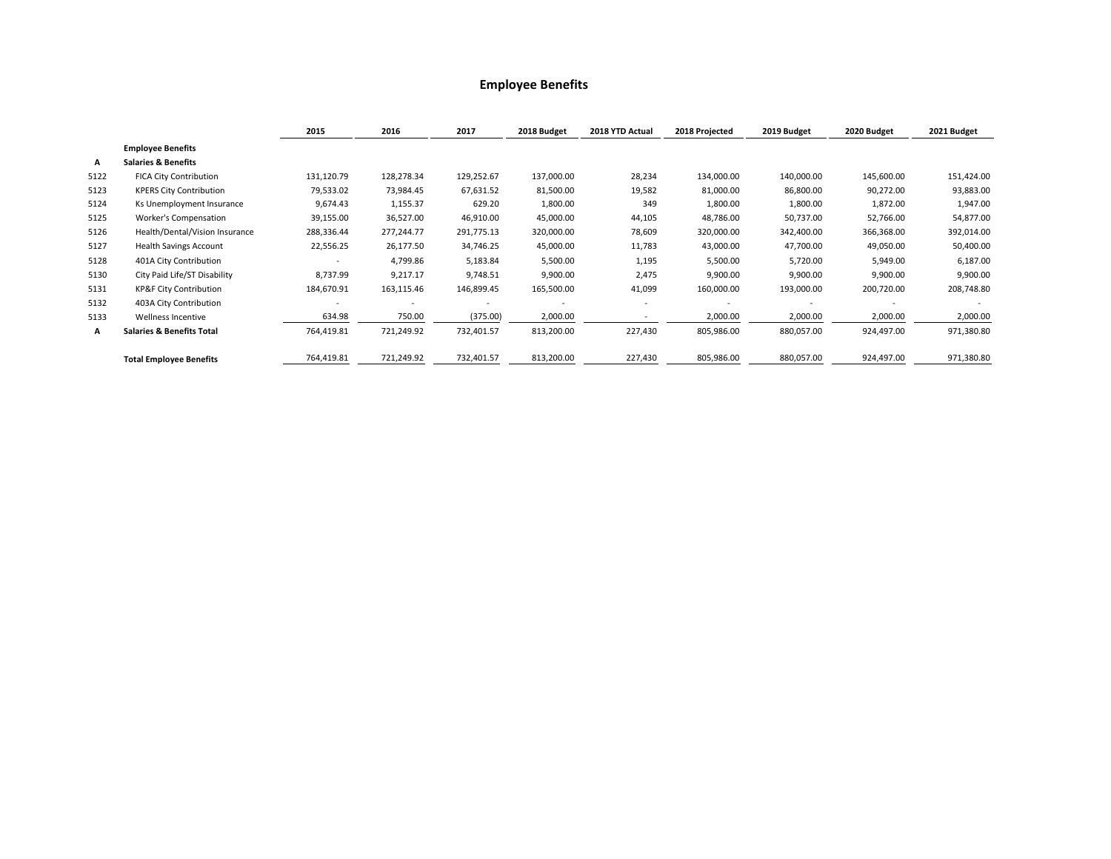#### **Employee Benefits**

|      |                                      | 2015       | 2016       | 2017       | 2018 Budget | 2018 YTD Actual          | 2018 Projected | 2019 Budget | 2020 Budget | 2021 Budget |
|------|--------------------------------------|------------|------------|------------|-------------|--------------------------|----------------|-------------|-------------|-------------|
|      | <b>Employee Benefits</b>             |            |            |            |             |                          |                |             |             |             |
| А    | <b>Salaries &amp; Benefits</b>       |            |            |            |             |                          |                |             |             |             |
| 5122 | <b>FICA City Contribution</b>        | 131,120.79 | 128,278.34 | 129,252.67 | 137,000.00  | 28,234                   | 134,000.00     | 140,000.00  | 145,600.00  | 151,424.00  |
| 5123 | <b>KPERS City Contribution</b>       | 79,533.02  | 73,984.45  | 67,631.52  | 81,500.00   | 19,582                   | 81,000.00      | 86,800.00   | 90,272.00   | 93,883.00   |
| 5124 | Ks Unemployment Insurance            | 9,674.43   | 1,155.37   | 629.20     | 1,800.00    | 349                      | 1,800.00       | 1,800.00    | 1,872.00    | 1,947.00    |
| 5125 | Worker's Compensation                | 39,155.00  | 36,527.00  | 46,910.00  | 45,000.00   | 44,105                   | 48,786.00      | 50,737.00   | 52,766.00   | 54,877.00   |
| 5126 | Health/Dental/Vision Insurance       | 288,336.44 | 277,244.77 | 291,775.13 | 320,000.00  | 78,609                   | 320,000.00     | 342,400.00  | 366,368.00  | 392,014.00  |
| 5127 | <b>Health Savings Account</b>        | 22,556.25  | 26,177.50  | 34,746.25  | 45,000.00   | 11,783                   | 43,000.00      | 47,700.00   | 49,050.00   | 50,400.00   |
| 5128 | 401A City Contribution               |            | 4,799.86   | 5,183.84   | 5,500.00    | 1,195                    | 5,500.00       | 5,720.00    | 5,949.00    | 6,187.00    |
| 5130 | City Paid Life/ST Disability         | 8,737.99   | 9,217.17   | 9,748.51   | 9,900.00    | 2,475                    | 9,900.00       | 9,900.00    | 9,900.00    | 9,900.00    |
| 5131 | KP&F City Contribution               | 184,670.91 | 163,115.46 | 146,899.45 | 165,500.00  | 41,099                   | 160,000.00     | 193,000.00  | 200,720.00  | 208,748.80  |
| 5132 | 403A City Contribution               |            |            | ٠          |             | $\overline{\phantom{a}}$ |                |             |             |             |
| 5133 | Wellness Incentive                   | 634.98     | 750.00     | (375.00)   | 2,000.00    |                          | 2,000.00       | 2,000.00    | 2,000.00    | 2,000.00    |
| А    | <b>Salaries &amp; Benefits Total</b> | 764,419.81 | 721,249.92 | 732,401.57 | 813,200.00  | 227,430                  | 805,986.00     | 880,057.00  | 924,497.00  | 971,380.80  |
|      | <b>Total Employee Benefits</b>       | 764,419.81 | 721,249.92 | 732,401.57 | 813,200.00  | 227,430                  | 805,986.00     | 880,057.00  | 924,497.00  | 971,380.80  |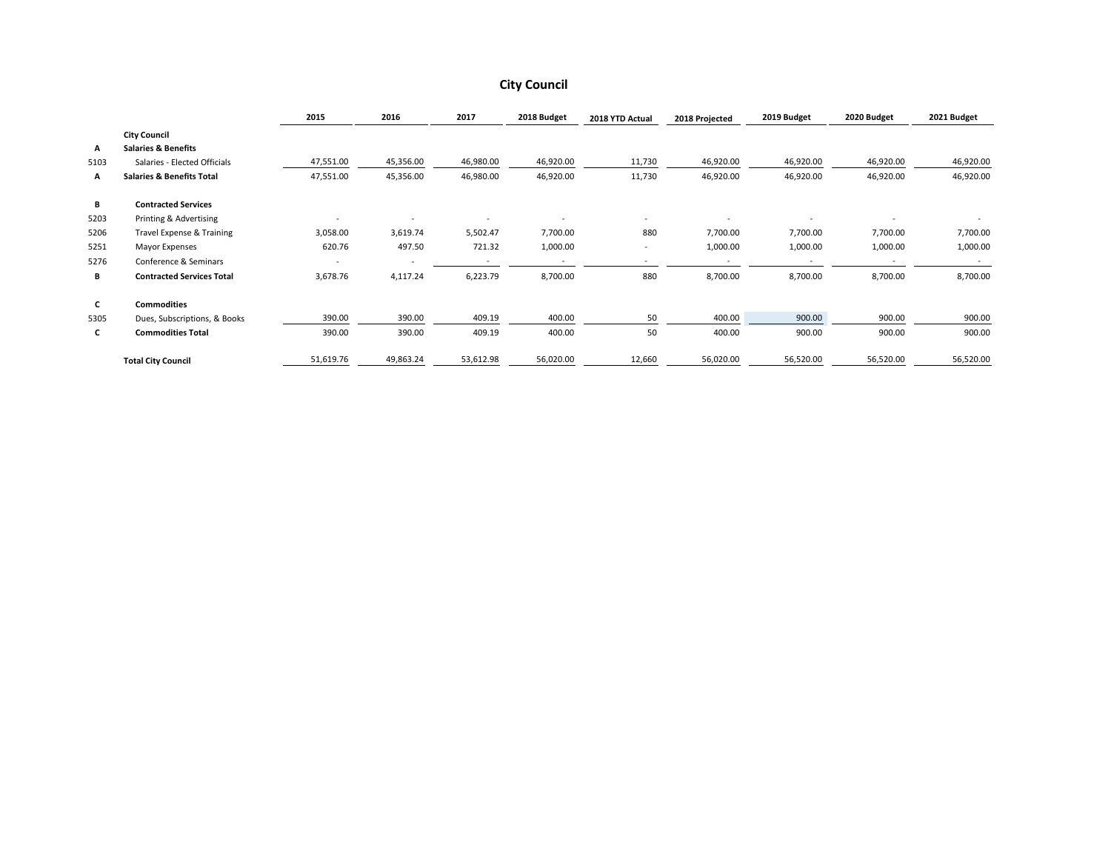#### **City Council**

|      |                                      | 2015      | 2016      | 2017                     | 2018 Budget | 2018 YTD Actual          | 2018 Projected | 2019 Budget | 2020 Budget | 2021 Budget |
|------|--------------------------------------|-----------|-----------|--------------------------|-------------|--------------------------|----------------|-------------|-------------|-------------|
|      | <b>City Council</b>                  |           |           |                          |             |                          |                |             |             |             |
| А    | <b>Salaries &amp; Benefits</b>       |           |           |                          |             |                          |                |             |             |             |
| 5103 | Salaries - Elected Officials         | 47,551.00 | 45,356.00 | 46,980.00                | 46,920.00   | 11,730                   | 46,920.00      | 46,920.00   | 46,920.00   | 46,920.00   |
| A    | <b>Salaries &amp; Benefits Total</b> | 47,551.00 | 45,356.00 | 46,980.00                | 46,920.00   | 11,730                   | 46,920.00      | 46,920.00   | 46,920.00   | 46,920.00   |
| В    | <b>Contracted Services</b>           |           |           |                          |             |                          |                |             |             |             |
| 5203 | Printing & Advertising               | ٠         | ٠         | $\overline{\phantom{a}}$ |             | $\overline{\phantom{a}}$ |                |             |             |             |
| 5206 | Travel Expense & Training            | 3,058.00  | 3,619.74  | 5,502.47                 | 7,700.00    | 880                      | 7,700.00       | 7,700.00    | 7,700.00    | 7,700.00    |
| 5251 | <b>Mayor Expenses</b>                | 620.76    | 497.50    | 721.32                   | 1,000.00    | $\overline{\phantom{a}}$ | 1,000.00       | 1,000.00    | 1,000.00    | 1,000.00    |
| 5276 | Conference & Seminars                |           |           | $\overline{\phantom{a}}$ |             | $\overline{\phantom{a}}$ |                |             |             |             |
| В    | <b>Contracted Services Total</b>     | 3,678.76  | 4,117.24  | 6,223.79                 | 8,700.00    | 880                      | 8,700.00       | 8,700.00    | 8,700.00    | 8,700.00    |
| C    | <b>Commodities</b>                   |           |           |                          |             |                          |                |             |             |             |
| 5305 | Dues, Subscriptions, & Books         | 390.00    | 390.00    | 409.19                   | 400.00      | 50                       | 400.00         | 900.00      | 900.00      | 900.00      |
| C    | <b>Commodities Total</b>             | 390.00    | 390.00    | 409.19                   | 400.00      | 50                       | 400.00         | 900.00      | 900.00      | 900.00      |
|      | <b>Total City Council</b>            | 51,619.76 | 49,863.24 | 53,612.98                | 56,020.00   | 12,660                   | 56,020.00      | 56,520.00   | 56,520.00   | 56,520.00   |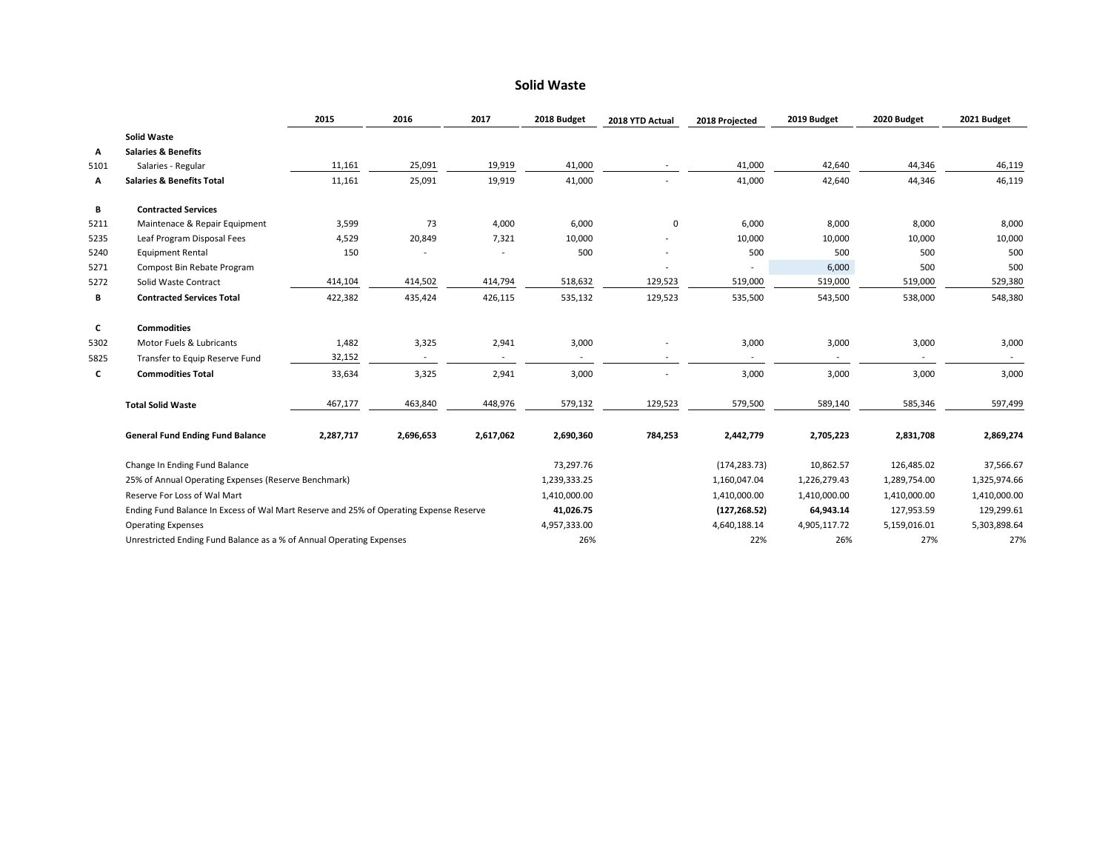#### **Solid Waste**

|      |                                                                                        | 2015      | 2016      | 2017                     | 2018 Budget  | 2018 YTD Actual | 2018 Projected           | 2019 Budget              | 2020 Budget    | 2021 Budget  |
|------|----------------------------------------------------------------------------------------|-----------|-----------|--------------------------|--------------|-----------------|--------------------------|--------------------------|----------------|--------------|
|      | <b>Solid Waste</b>                                                                     |           |           |                          |              |                 |                          |                          |                |              |
| А    | <b>Salaries &amp; Benefits</b>                                                         |           |           |                          |              |                 |                          |                          |                |              |
| 5101 | Salaries - Regular                                                                     | 11,161    | 25,091    | 19,919                   | 41,000       |                 | 41,000                   | 42,640                   | 44,346         | 46,119       |
| А    | <b>Salaries &amp; Benefits Total</b>                                                   | 11,161    | 25,091    | 19,919                   | 41,000       |                 | 41,000                   | 42,640                   | 44,346         | 46,119       |
| В    | <b>Contracted Services</b>                                                             |           |           |                          |              |                 |                          |                          |                |              |
| 5211 | Maintenace & Repair Equipment                                                          | 3,599     | 73        | 4,000                    | 6,000        | 0               | 6,000                    | 8,000                    | 8,000          | 8,000        |
| 5235 | Leaf Program Disposal Fees                                                             | 4,529     | 20,849    | 7,321                    | 10,000       |                 | 10,000                   | 10,000                   | 10,000         | 10,000       |
| 5240 | <b>Equipment Rental</b>                                                                | 150       |           |                          | 500          |                 | 500                      | 500                      | 500            | 500          |
| 5271 | Compost Bin Rebate Program                                                             |           |           |                          |              |                 |                          | 6,000                    | 500            | 500          |
| 5272 | Solid Waste Contract                                                                   | 414,104   | 414,502   | 414,794                  | 518,632      | 129,523         | 519,000                  | 519,000                  | 519,000        | 529,380      |
| В    | <b>Contracted Services Total</b>                                                       | 422,382   | 435,424   | 426,115                  | 535,132      | 129,523         | 535,500                  | 543,500                  | 538,000        | 548,380      |
| C    | <b>Commodities</b>                                                                     |           |           |                          |              |                 |                          |                          |                |              |
| 5302 | Motor Fuels & Lubricants                                                               | 1,482     | 3,325     | 2,941                    | 3,000        |                 | 3,000                    | 3,000                    | 3,000          | 3,000        |
| 5825 | Transfer to Equip Reserve Fund                                                         | 32,152    |           | $\overline{\phantom{a}}$ |              |                 | $\overline{\phantom{a}}$ | $\overline{\phantom{0}}$ | $\overline{a}$ |              |
| C    | <b>Commodities Total</b>                                                               | 33,634    | 3,325     | 2,941                    | 3,000        | $\sim$          | 3,000                    | 3,000                    | 3,000          | 3,000        |
|      | <b>Total Solid Waste</b>                                                               | 467,177   | 463,840   | 448,976                  | 579,132      | 129,523         | 579,500                  | 589,140                  | 585,346        | 597,499      |
|      | <b>General Fund Ending Fund Balance</b>                                                | 2,287,717 | 2,696,653 | 2,617,062                | 2,690,360    | 784,253         | 2,442,779                | 2,705,223                | 2,831,708      | 2,869,274    |
|      | Change In Ending Fund Balance                                                          |           |           |                          | 73,297.76    |                 | (174, 283.73)            | 10,862.57                | 126,485.02     | 37,566.67    |
|      | 25% of Annual Operating Expenses (Reserve Benchmark)                                   |           |           |                          | 1,239,333.25 |                 | 1,160,047.04             | 1,226,279.43             | 1,289,754.00   | 1,325,974.66 |
|      | Reserve For Loss of Wal Mart                                                           |           |           |                          | 1,410,000.00 |                 | 1,410,000.00             | 1,410,000.00             | 1,410,000.00   | 1,410,000.00 |
|      | Ending Fund Balance In Excess of Wal Mart Reserve and 25% of Operating Expense Reserve |           |           |                          | 41,026.75    |                 | (127, 268.52)            | 64,943.14                | 127,953.59     | 129,299.61   |
|      | <b>Operating Expenses</b>                                                              |           |           |                          | 4,957,333.00 |                 | 4,640,188.14             | 4,905,117.72             | 5,159,016.01   | 5,303,898.64 |
|      | Unrestricted Ending Fund Balance as a % of Annual Operating Expenses                   |           |           |                          | 26%          |                 | 22%                      | 26%                      | 27%            | 27%          |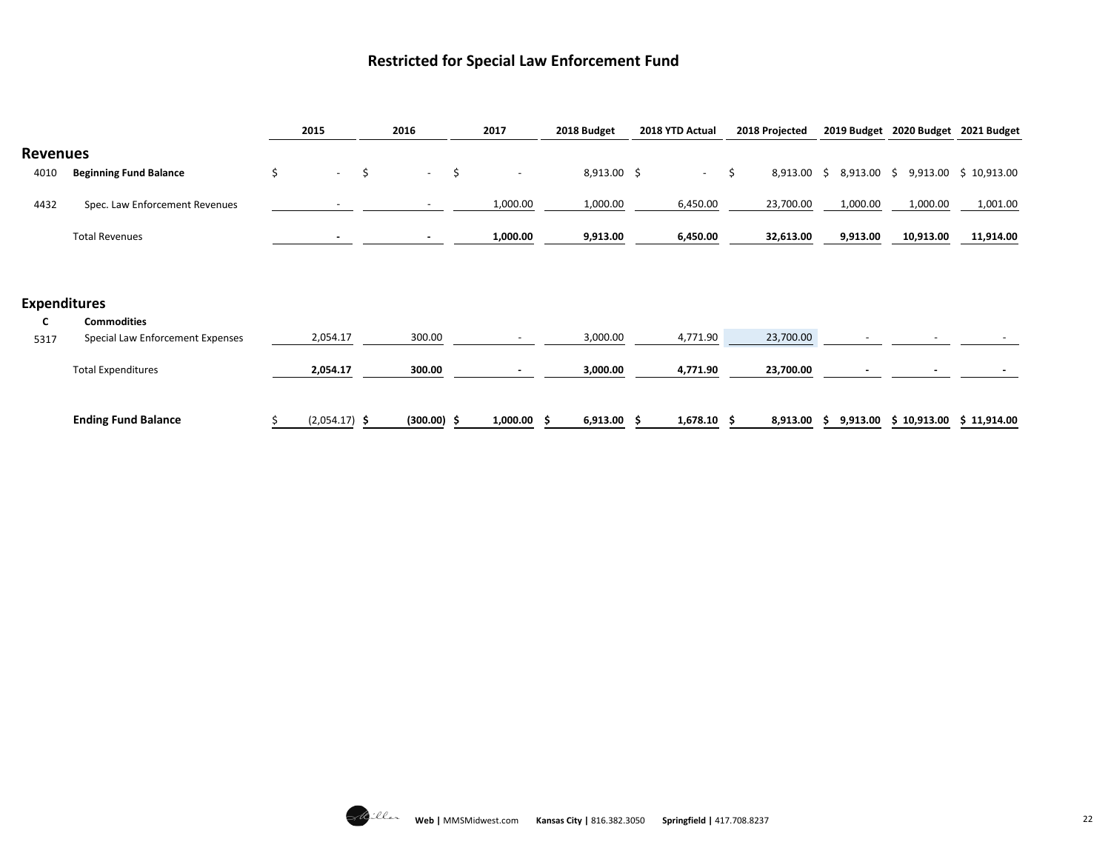#### **Restricted for Special Law Enforcement Fund**

|                 |                                         | 2015            | 2016          | 2017                           | 2018 Budget    | 2018 YTD Actual | 2018 Projected      |    |             | 2019 Budget 2020 Budget 2021 Budget |                       |
|-----------------|-----------------------------------------|-----------------|---------------|--------------------------------|----------------|-----------------|---------------------|----|-------------|-------------------------------------|-----------------------|
| <b>Revenues</b> |                                         |                 |               |                                |                |                 |                     |    |             |                                     |                       |
| 4010            | <b>Beginning Fund Balance</b>           | \$<br>$\sim$    | \$<br>$\sim$  | \$<br>$\overline{\phantom{a}}$ | $8,913.00$ \$  | $\sim$          | \$<br>$8,913.00$ \$ |    | 8,913.00 \$ |                                     | 9,913.00 \$ 10,913.00 |
| 4432            | Spec. Law Enforcement Revenues          |                 |               | 1,000.00                       | 1,000.00       | 6,450.00        | 23,700.00           |    | 1,000.00    | 1,000.00                            | 1,001.00              |
|                 | <b>Total Revenues</b>                   |                 | $\sim$        | 1,000.00                       | 9,913.00       | 6,450.00        | 32,613.00           |    | 9,913.00    | 10,913.00                           | 11,914.00             |
|                 |                                         |                 |               |                                |                |                 |                     |    |             |                                     |                       |
|                 | <b>Expenditures</b>                     |                 |               |                                |                |                 |                     |    |             |                                     |                       |
| C               | <b>Commodities</b>                      |                 |               |                                |                |                 |                     |    |             |                                     |                       |
| 5317            | <b>Special Law Enforcement Expenses</b> | 2,054.17        | 300.00        |                                | 3,000.00       | 4,771.90        | 23,700.00           |    |             |                                     |                       |
|                 | <b>Total Expenditures</b>               | 2,054.17        | 300.00        |                                | 3,000.00       | 4,771.90        | 23,700.00           |    |             |                                     |                       |
|                 |                                         |                 |               |                                |                |                 |                     |    |             |                                     |                       |
|                 | <b>Ending Fund Balance</b>              | $(2,054.17)$ \$ | $(300.00)$ \$ | 1,000.00                       | 6,913.00<br>-S | $1,678.10$ \$   | 8,913.00            | -S | 9,913.00    | \$10,913.00                         | \$11,914.00           |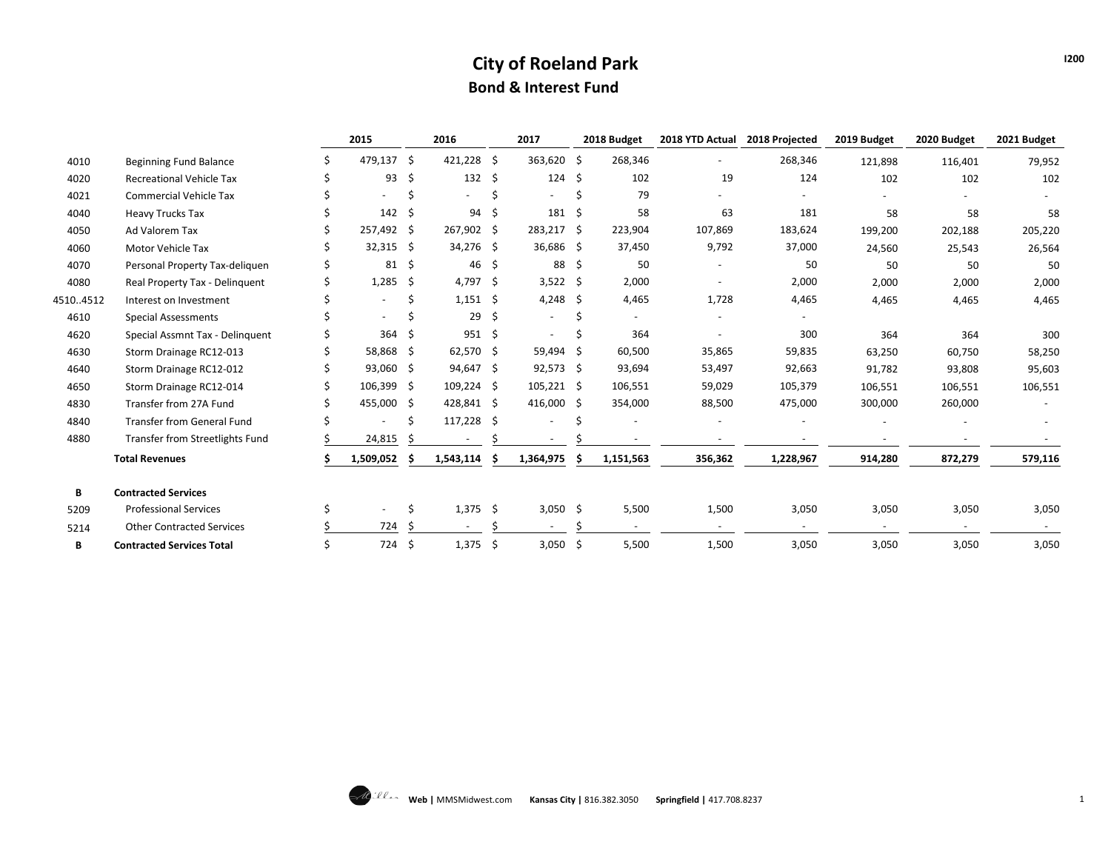### **City of Roeland Park Bond & Interest Fund**

|          |                                  | 2015                     |     | 2016           |     | 2017           |   | 2018 Budget | 2018 YTD Actual | 2018 Projected | 2019 Budget | 2020 Budget              | 2021 Budget |
|----------|----------------------------------|--------------------------|-----|----------------|-----|----------------|---|-------------|-----------------|----------------|-------------|--------------------------|-------------|
| 4010     | Beginning Fund Balance           | 479,137 \$               |     | 421,228 \$     |     | 363,620 \$     |   | 268,346     | $\blacksquare$  | 268,346        | 121,898     | 116,401                  | 79,952      |
| 4020     | <b>Recreational Vehicle Tax</b>  | 93                       | -\$ | $132 \quad$ \$ |     | $124 \quad$ \$ |   | 102         | 19              | 124            | 102         | 102                      | 102         |
| 4021     | <b>Commercial Vehicle Tax</b>    |                          |     |                |     | $\sim$         | Ś | 79          |                 |                |             |                          |             |
| 4040     | <b>Heavy Trucks Tax</b>          | 142                      | -\$ | 94             | -\$ | $181 \quad $$  |   | 58          | 63              | 181            | 58          | 58                       | 58          |
| 4050     | Ad Valorem Tax                   | 257,492 \$               |     | 267,902 \$     |     | 283,217 \$     |   | 223,904     | 107,869         | 183,624        | 199,200     | 202,188                  | 205,220     |
| 4060     | Motor Vehicle Tax                | $32,315$ \$              |     | 34,276 \$      |     | 36,686 \$      |   | 37,450      | 9,792           | 37,000         | 24,560      | 25,543                   | 26,564      |
| 4070     | Personal Property Tax-deliquen   | 81                       | -\$ | $46 \;$ \$     |     | 88 \$          |   | 50          |                 | 50             | 50          | 50                       | 50          |
| 4080     | Real Property Tax - Delinquent   | 1,285                    | S.  | 4,797 \$       |     | $3,522$ \$     |   | 2,000       |                 | 2,000          | 2,000       | 2,000                    | 2,000       |
| 45104512 | Interest on Investment           | $\blacksquare$           |     | $1,151$ \$     |     | 4,248 \$       |   | 4,465       | 1,728           | 4,465          | 4,465       | 4,465                    | 4,465       |
| 4610     | <b>Special Assessments</b>       |                          |     | 29             | -\$ |                | Ś |             |                 |                |             |                          |             |
| 4620     | Special Assmnt Tax - Delinquent  | 364                      | -S  | 951S           |     |                |   | 364         |                 | 300            | 364         | 364                      | 300         |
| 4630     | Storm Drainage RC12-013          | 58,868 \$                |     | 62,570 \$      |     | 59,494 \$      |   | 60,500      | 35,865          | 59,835         | 63,250      | 60,750                   | 58,250      |
| 4640     | Storm Drainage RC12-012          | 93,060 \$                |     | 94,647 \$      |     | $92,573$ \$    |   | 93,694      | 53,497          | 92,663         | 91,782      | 93,808                   | 95,603      |
| 4650     | Storm Drainage RC12-014          | $106,399$ \$             |     | $109,224$ \$   |     | $105,221$ \$   |   | 106,551     | 59,029          | 105,379        | 106,551     | 106,551                  | 106,551     |
| 4830     | Transfer from 27A Fund           | 455,000 \$               |     | 428,841 \$     |     | 416,000 \$     |   | 354,000     | 88,500          | 475,000        | 300,000     | 260,000                  |             |
| 4840     | Transfer from General Fund       | ۰                        |     | $117,228$ \$   |     |                |   |             |                 |                |             |                          |             |
| 4880     | Transfer from Streetlights Fund  | 24,815                   |     | $\sim$         |     |                |   |             |                 |                |             |                          |             |
|          | <b>Total Revenues</b>            | 1,509,052                |     | 1,543,114      |     | 1,364,975      |   | 1,151,563   | 356,362         | 1,228,967      | 914,280     | 872,279                  | 579,116     |
| В        | <b>Contracted Services</b>       |                          |     |                |     |                |   |             |                 |                |             |                          |             |
| 5209     | <b>Professional Services</b>     | $\overline{\phantom{0}}$ |     | $1,375$ \$     |     | $3,050$ \$     |   | 5,500       | 1,500           | 3,050          | 3,050       | 3,050                    | 3,050       |
| 5214     | <b>Other Contracted Services</b> | 724                      |     | $\sim$         |     | $\sim$         |   | $\sim$      | $\sim$          | $\sim$         | $\sim$      | $\overline{\phantom{a}}$ |             |
| В        | <b>Contracted Services Total</b> | 724 \$                   |     | $1,375$ \$     |     | $3,050$ \$     |   | 5,500       | 1,500           | 3,050          | 3,050       | 3,050                    | 3,050       |

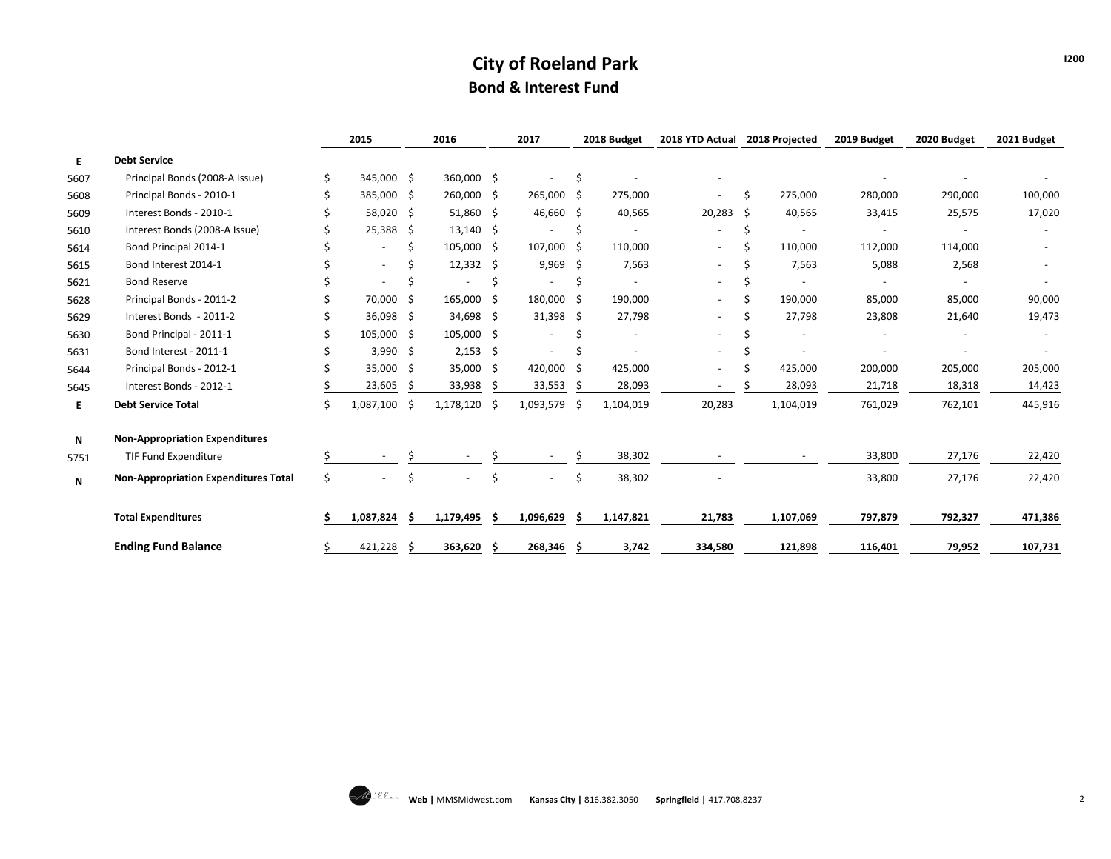# **City of Roeland Park Bond & Interest Fund**

|      |                                             |    | 2015         |    | 2016             |     | 2017                     |      | 2018 Budget | 2018 YTD Actual          |    | 2018 Projected | 2019 Budget | 2020 Budget | 2021 Budget |
|------|---------------------------------------------|----|--------------|----|------------------|-----|--------------------------|------|-------------|--------------------------|----|----------------|-------------|-------------|-------------|
| Е.   | <b>Debt Service</b>                         |    |              |    |                  |     |                          |      |             |                          |    |                |             |             |             |
| 5607 | Principal Bonds (2008-A Issue)              |    | 345,000 \$   |    | 360,000 \$       |     | $\overline{\phantom{a}}$ | \$   |             |                          |    |                |             |             |             |
| 5608 | Principal Bonds - 2010-1                    |    | 385,000 \$   |    | 260,000 \$       |     | 265,000 \$               |      | 275,000     | $\blacksquare$           | Ŝ. | 275,000        | 280,000     | 290,000     | 100,000     |
| 5609 | Interest Bonds - 2010-1                     |    | 58,020 \$    |    | 51,860 \$        |     | 46,660 \$                |      | 40,565      | $20,283$ \$              |    | 40,565         | 33,415      | 25,575      | 17,020      |
| 5610 | Interest Bonds (2008-A Issue)               |    | $25,388$ \$  |    | $13,140 \pm 5$   |     |                          | \$   |             |                          | \$ |                |             |             |             |
| 5614 | Bond Principal 2014-1                       |    |              | \$ | $105,000$ \$     |     | 107,000 \$               |      | 110,000     | $\sim$                   | \$ | 110,000        | 112,000     | 114,000     |             |
| 5615 | Bond Interest 2014-1                        |    |              |    | $12,332 \quad $$ |     | $9,969$ \$               |      | 7,563       | $\overline{\phantom{a}}$ | S  | 7,563          | 5,088       | 2,568       |             |
| 5621 | <b>Bond Reserve</b>                         |    | ۰            |    |                  | Ś   |                          | Ś    |             | $\overline{\phantom{a}}$ | Ŝ  |                |             |             |             |
| 5628 | Principal Bonds - 2011-2                    |    | 70,000 \$    |    | 165,000 \$       |     | 180,000 \$               |      | 190,000     | $\sim$                   | Ś  | 190,000        | 85,000      | 85,000      | 90,000      |
| 5629 | Interest Bonds - 2011-2                     |    | 36,098 \$    |    | 34,698 \$        |     | $31,398$ \$              |      | 27,798      | $\overline{\phantom{a}}$ | S  | 27,798         | 23,808      | 21,640      | 19,473      |
| 5630 | Bond Principal - 2011-1                     |    | 105,000 \$   |    | $105,000$ \$     |     | $\overline{\phantom{a}}$ | Ś    |             |                          |    |                |             |             |             |
| 5631 | Bond Interest - 2011-1                      |    | $3,990$ \$   |    | $2,153$ \$       |     |                          | Ś    |             | $\blacksquare$           | S  |                |             |             |             |
| 5644 | Principal Bonds - 2012-1                    |    | 35,000 \$    |    | 35,000           | -\$ | 420,000                  | -\$  | 425,000     | $\overline{\phantom{a}}$ | S  | 425,000        | 200,000     | 205,000     | 205,000     |
| 5645 | Interest Bonds - 2012-1                     |    | 23,605       | -S | 33,938           | S   | 33,553                   | \$   | 28,093      |                          |    | 28,093         | 21,718      | 18,318      | 14,423      |
| Е.   | <b>Debt Service Total</b>                   |    | 1,087,100 \$ |    | 1,178,120        | -\$ | 1,093,579                | - \$ | 1,104,019   | 20,283                   |    | 1,104,019      | 761,029     | 762,101     | 445,916     |
| N    | <b>Non-Appropriation Expenditures</b>       |    |              |    |                  |     |                          |      |             |                          |    |                |             |             |             |
| 5751 | <b>TIF Fund Expenditure</b>                 |    |              |    |                  |     |                          |      | 38,302      |                          |    |                | 33,800      | 27,176      | 22,420      |
| N    | <b>Non-Appropriation Expenditures Total</b> | Ś. |              | Ś  |                  | Ś   |                          | \$   | 38,302      |                          |    |                | 33,800      | 27,176      | 22,420      |
|      | <b>Total Expenditures</b>                   |    | 1,087,824    | -S | 1,179,495        | S   | 1,096,629                | S    | 1,147,821   | 21,783                   |    | 1,107,069      | 797,879     | 792,327     | 471,386     |
|      | <b>Ending Fund Balance</b>                  | Ś  | 421,228 \$   |    | 363,620 \$       |     | 268,346 \$               |      | 3,742       | 334,580                  |    | 121,898        | 116,401     | 79,952      | 107,731     |

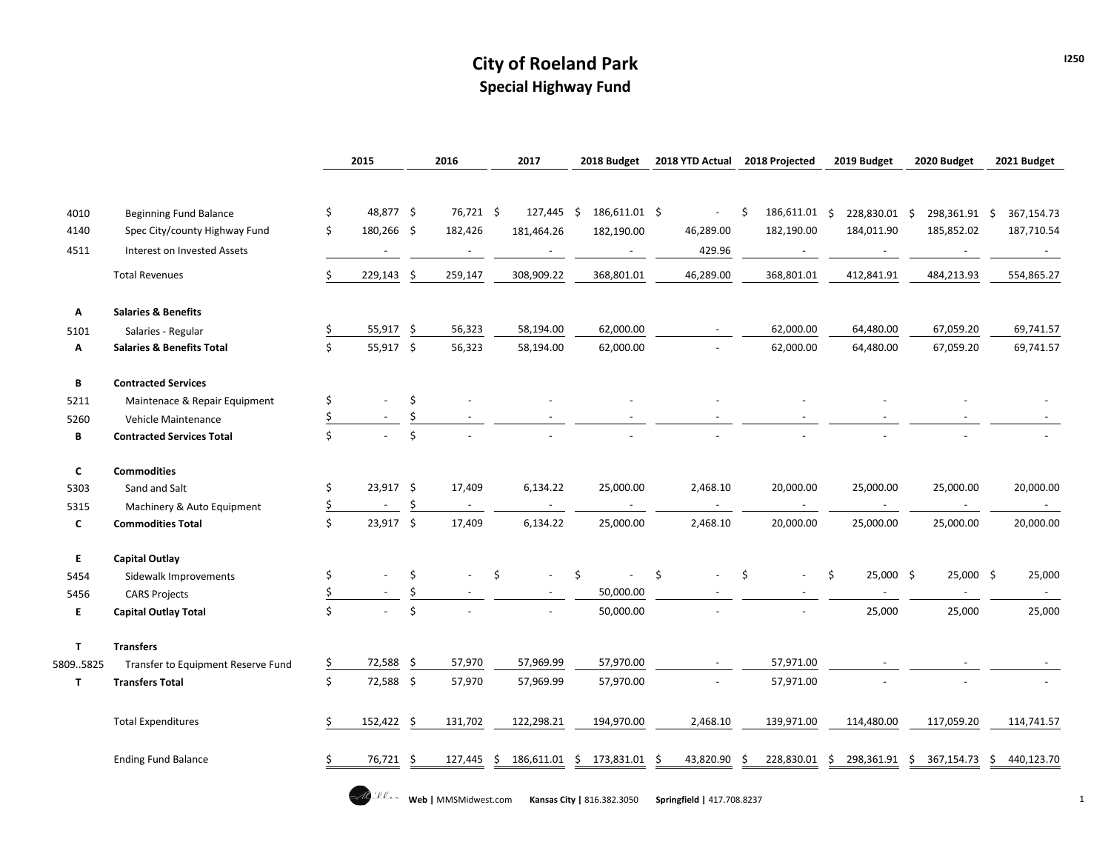# **City of Roeland Park Special Highway Fund**

|              |                                      |    | 2015                     |     | 2016                     | 2017                           | 2018 Budget         |        | 2018 YTD Actual |     | 2018 Projected           |    | 2019 Budget   |     | 2020 Budget   |    | 2021 Budget    |
|--------------|--------------------------------------|----|--------------------------|-----|--------------------------|--------------------------------|---------------------|--------|-----------------|-----|--------------------------|----|---------------|-----|---------------|----|----------------|
|              |                                      |    |                          |     |                          |                                |                     |        |                 |     |                          |    |               |     |               |    |                |
| 4010         | Beginning Fund Balance               | \$ | 48,877 \$                |     | 76,721 \$                | 127,445                        | Ŝ.<br>186,611.01 \$ |        |                 | \$  | 186,611.01 \$            |    | 228,830.01 \$ |     | 298,361.91 \$ |    | 367,154.73     |
| 4140         | Spec City/county Highway Fund        | \$ | 180,266 \$               |     | 182,426                  | 181,464.26                     | 182,190.00          |        | 46,289.00       |     | 182,190.00               |    | 184,011.90    |     | 185,852.02    |    | 187,710.54     |
| 4511         | Interest on Invested Assets          |    | $\overline{\phantom{a}}$ |     | $\overline{\phantom{a}}$ | $\overline{\phantom{a}}$       |                     | $\sim$ | 429.96          |     | $\overline{\phantom{a}}$ |    |               |     |               |    | $\sim$ $ \sim$ |
|              | <b>Total Revenues</b>                | \$ | 229,143                  | \$  | 259,147                  | 308,909.22                     | 368,801.01          |        | 46,289.00       |     | 368,801.01               |    | 412,841.91    |     | 484,213.93    |    | 554,865.27     |
| Α            | <b>Salaries &amp; Benefits</b>       |    |                          |     |                          |                                |                     |        |                 |     |                          |    |               |     |               |    |                |
| 5101         | Salaries - Regular                   |    | 55,917                   | \$  | 56,323                   | 58,194.00                      | 62,000.00           |        |                 |     | 62,000.00                |    | 64,480.00     |     | 67,059.20     |    | 69,741.57      |
| Α            | <b>Salaries &amp; Benefits Total</b> | \$ | 55,917 \$                |     | 56,323                   | 58,194.00                      | 62,000.00           |        |                 |     | 62,000.00                |    | 64,480.00     |     | 67,059.20     |    | 69,741.57      |
| В            | <b>Contracted Services</b>           |    |                          |     |                          |                                |                     |        |                 |     |                          |    |               |     |               |    |                |
| 5211         | Maintenace & Repair Equipment        | \$ |                          | \$  |                          |                                |                     |        |                 |     |                          |    |               |     |               |    |                |
| 5260         | Vehicle Maintenance                  |    |                          | \$  |                          |                                |                     |        |                 |     |                          |    |               |     |               |    |                |
| В            | <b>Contracted Services Total</b>     | \$ |                          | \$  |                          |                                |                     |        |                 |     |                          |    |               |     |               |    |                |
| C            | <b>Commodities</b>                   |    |                          |     |                          |                                |                     |        |                 |     |                          |    |               |     |               |    |                |
| 5303         | Sand and Salt                        | \$ | $23,917$ \$              |     | 17,409                   | 6,134.22                       | 25,000.00           |        | 2,468.10        |     | 20,000.00                |    | 25,000.00     |     | 25,000.00     |    | 20,000.00      |
| 5315         | Machinery & Auto Equipment           |    | $\sim$                   | \$  | $\sim$                   | $\blacksquare$                 |                     | $\sim$ |                 |     | $\sim$                   |    | $\sim$        |     | $\sim$        |    |                |
| C            | <b>Commodities Total</b>             | \$ | 23,917 \$                |     | 17,409                   | 6,134.22                       | 25,000.00           |        | 2,468.10        |     | 20,000.00                |    | 25,000.00     |     | 25,000.00     |    | 20,000.00      |
| E.           | <b>Capital Outlay</b>                |    |                          |     |                          |                                |                     |        |                 |     |                          |    |               |     |               |    |                |
| 5454         | Sidewalk Improvements                | \$ |                          | \$  |                          | \$<br>$\overline{\phantom{a}}$ | \$                  |        | Ŝ               | \$  |                          | \$ | 25,000 \$     |     | 25,000 \$     |    | 25,000         |
| 5456         | <b>CARS Projects</b>                 |    |                          | Ś   |                          |                                | 50,000.00           |        |                 |     |                          |    |               |     | $\sim$        |    |                |
| Е            | <b>Capital Outlay Total</b>          | \$ |                          | \$  |                          |                                | 50,000.00           |        |                 |     |                          |    | 25,000        |     | 25,000        |    | 25,000         |
| T            | <b>Transfers</b>                     |    |                          |     |                          |                                |                     |        |                 |     |                          |    |               |     |               |    |                |
| 58095825     | Transfer to Equipment Reserve Fund   | \$ | 72,588                   | \$  | 57,970                   | 57,969.99                      | 57,970.00           |        |                 |     | 57,971.00                |    |               |     |               |    |                |
| $\mathbf{T}$ | <b>Transfers Total</b>               | \$ | 72,588 \$                |     | 57,970                   | 57,969.99                      | 57,970.00           |        |                 |     | 57,971.00                |    |               |     |               |    |                |
|              | <b>Total Expenditures</b>            | Ś  | 152,422                  | -\$ | 131,702                  | 122,298.21                     | 194,970.00          |        | 2,468.10        |     | 139,971.00               |    | 114,480.00    |     | 117,059.20    |    | 114,741.57     |
|              | <b>Ending Fund Balance</b>           |    | 76,721                   | \$. | 127,445                  | 186,611.01<br>.S               | 173,831.01<br>Ŝ     |        | 43,820.90<br>.S | \$. | 228,830.01               | Ŝ. | 298,361.91    | -\$ | 367,154.73    | Ŝ. | 440,123.70     |
|              |                                      |    |                          |     |                          |                                |                     |        |                 |     |                          |    |               |     |               |    |                |

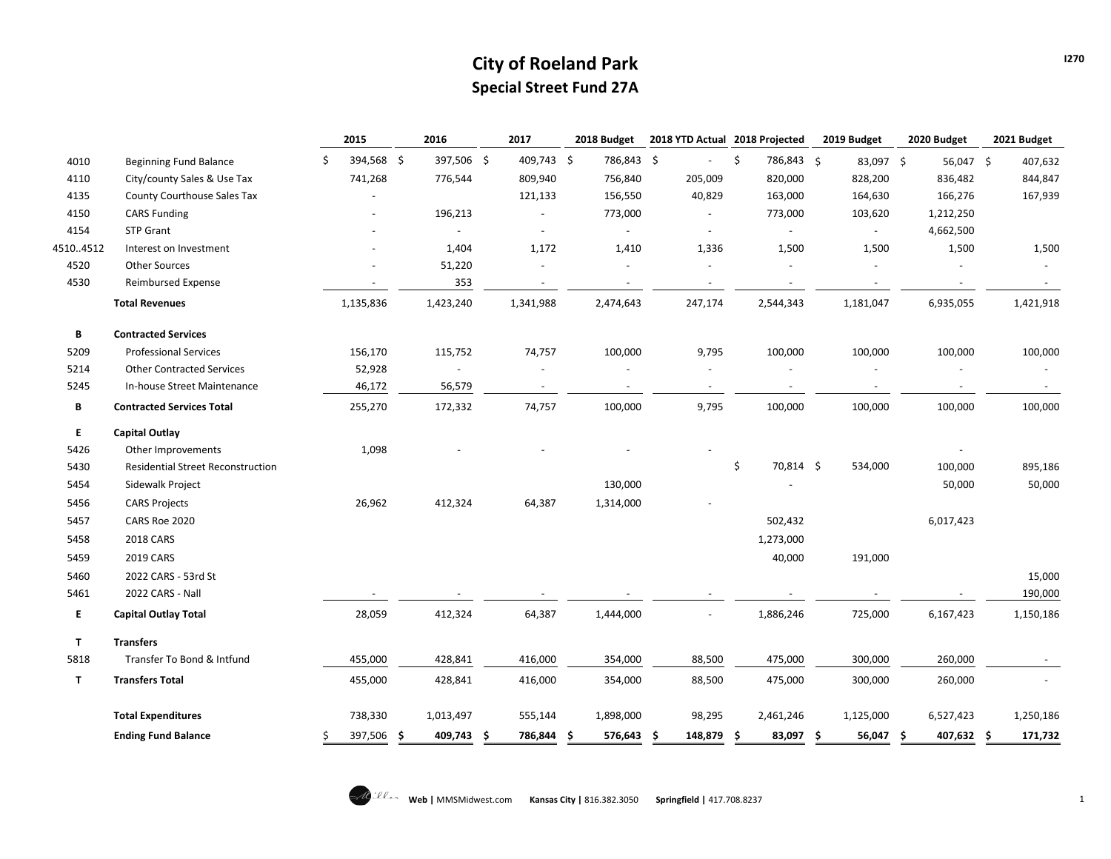## **City of Roeland Park Special Street Fund 27A**

|              |                                          |   | 2015       |     | 2016                     |     | 2017       |    | 2018 Budget | 2018 YTD Actual 2018 Projected |                |                          | 2019 Budget              | 2020 Budget      | 2021 Budget |
|--------------|------------------------------------------|---|------------|-----|--------------------------|-----|------------|----|-------------|--------------------------------|----------------|--------------------------|--------------------------|------------------|-------------|
| 4010         | <b>Beginning Fund Balance</b>            | Ś | 394,568 \$ |     | 397,506 \$               |     | 409,743 \$ |    | 786,843 \$  |                                |                | \$<br>786,843 \$         | 83,097 \$                | 56,047 \$        | 407,632     |
| 4110         | City/county Sales & Use Tax              |   | 741,268    |     | 776,544                  |     | 809,940    |    | 756,840     |                                | 205,009        | 820,000                  | 828,200                  | 836,482          | 844,847     |
| 4135         | County Courthouse Sales Tax              |   |            |     |                          |     | 121,133    |    | 156,550     |                                | 40,829         | 163,000                  | 164,630                  | 166,276          | 167,939     |
| 4150         | <b>CARS Funding</b>                      |   |            |     | 196,213                  |     | $\sim$     |    | 773,000     |                                | $\blacksquare$ | 773,000                  | 103,620                  | 1,212,250        |             |
| 4154         | <b>STP Grant</b>                         |   |            |     |                          |     |            |    |             |                                |                |                          | $\overline{\phantom{a}}$ | 4,662,500        |             |
| 45104512     | Interest on Investment                   |   |            |     | 1,404                    |     | 1,172      |    | 1,410       |                                | 1,336          | 1,500                    | 1,500                    | 1,500            | 1,500       |
| 4520         | <b>Other Sources</b>                     |   |            |     | 51,220                   |     |            |    |             |                                |                |                          |                          |                  |             |
| 4530         | <b>Reimbursed Expense</b>                |   |            |     | 353                      |     | $\sim$     |    | $\sim$      |                                | $\sim$         | $\overline{\phantom{a}}$ | $\sim$                   | $\sim$           |             |
|              | <b>Total Revenues</b>                    |   | 1,135,836  |     | 1,423,240                |     | 1,341,988  |    | 2,474,643   |                                | 247,174        | 2,544,343                | 1,181,047                | 6,935,055        | 1,421,918   |
| B            | <b>Contracted Services</b>               |   |            |     |                          |     |            |    |             |                                |                |                          |                          |                  |             |
| 5209         | <b>Professional Services</b>             |   | 156,170    |     | 115,752                  |     | 74,757     |    | 100,000     |                                | 9,795          | 100,000                  | 100,000                  | 100,000          | 100,000     |
| 5214         | <b>Other Contracted Services</b>         |   | 52,928     |     | $\overline{\phantom{a}}$ |     |            |    |             |                                |                |                          |                          |                  |             |
| 5245         | In-house Street Maintenance              |   | 46,172     |     | 56,579                   |     | $\sim$     |    | $\sim$      |                                | $\omega$       |                          |                          |                  |             |
| В            | <b>Contracted Services Total</b>         |   | 255,270    |     | 172,332                  |     | 74,757     |    | 100,000     |                                | 9,795          | 100,000                  | 100,000                  | 100,000          | 100,000     |
| E.           | <b>Capital Outlay</b>                    |   |            |     |                          |     |            |    |             |                                |                |                          |                          |                  |             |
| 5426         | Other Improvements                       |   | 1,098      |     |                          |     |            |    |             |                                |                |                          |                          |                  |             |
| 5430         | <b>Residential Street Reconstruction</b> |   |            |     |                          |     |            |    |             |                                |                | \$<br>70,814 \$          | 534,000                  | 100,000          | 895,186     |
| 5454         | Sidewalk Project                         |   |            |     |                          |     |            |    | 130,000     |                                |                |                          |                          | 50,000           | 50,000      |
| 5456         | <b>CARS Projects</b>                     |   | 26,962     |     | 412,324                  |     | 64,387     |    | 1,314,000   |                                |                |                          |                          |                  |             |
| 5457         | CARS Roe 2020                            |   |            |     |                          |     |            |    |             |                                |                | 502,432                  |                          | 6,017,423        |             |
| 5458         | 2018 CARS                                |   |            |     |                          |     |            |    |             |                                |                | 1,273,000                |                          |                  |             |
| 5459         | 2019 CARS                                |   |            |     |                          |     |            |    |             |                                |                | 40,000                   | 191,000                  |                  |             |
| 5460         | 2022 CARS - 53rd St                      |   |            |     |                          |     |            |    |             |                                |                |                          |                          |                  | 15,000      |
| 5461         | 2022 CARS - Nall                         |   |            |     |                          |     |            |    |             |                                |                |                          |                          |                  | 190,000     |
| E.           | <b>Capital Outlay Total</b>              |   | 28,059     |     | 412,324                  |     | 64,387     |    | 1,444,000   |                                |                | 1,886,246                | 725,000                  | 6,167,423        | 1,150,186   |
| $\mathsf{T}$ | <b>Transfers</b>                         |   |            |     |                          |     |            |    |             |                                |                |                          |                          |                  |             |
| 5818         | Transfer To Bond & Intfund               |   | 455,000    |     | 428,841                  |     | 416,000    |    | 354,000     |                                | 88,500         | 475,000                  | 300,000                  | 260,000          |             |
| $\mathbf{T}$ | <b>Transfers Total</b>                   |   | 455,000    |     | 428,841                  |     | 416,000    |    | 354,000     |                                | 88,500         | 475,000                  | 300,000                  | 260,000          |             |
|              | <b>Total Expenditures</b>                |   | 738,330    |     | 1,013,497                |     | 555,144    |    | 1,898,000   |                                | 98,295         | 2,461,246                | 1,125,000                | 6,527,423        | 1,250,186   |
|              | <b>Ending Fund Balance</b>               |   | 397,506    | \$. | 409,743                  | \$. | 786,844    | -S | 576,643     | -S                             | 148,879        | \$<br>83,097             | \$<br>56,047             | \$<br>407,632 \$ | 171,732     |
|              |                                          |   |            |     |                          |     |            |    |             |                                |                |                          |                          |                  |             |

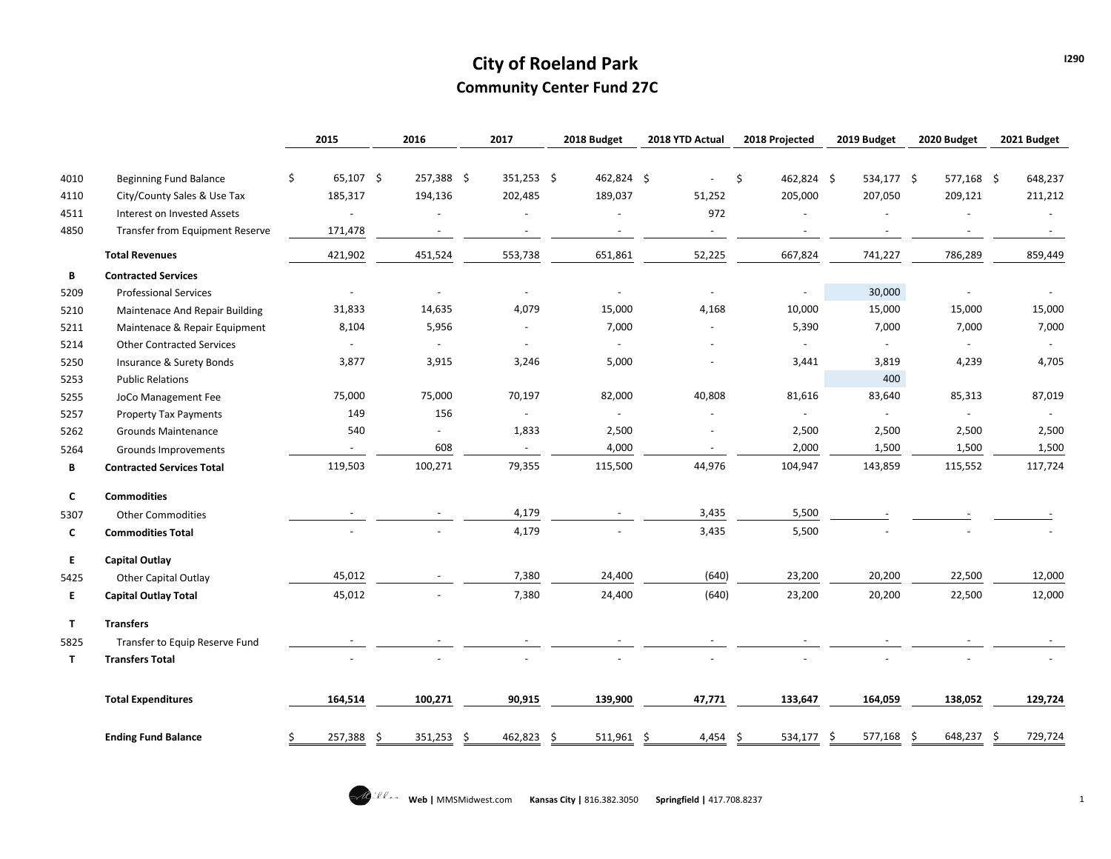# **City of Roeland Park Community Center Fund 27C**

|              |                                        | 2015                     | 2016       | 2017       | 2018 Budget              | 2018 YTD Actual | 2018 Projected      |     | 2019 Budget    |     | 2020 Budget    | 2021 Budget    |
|--------------|----------------------------------------|--------------------------|------------|------------|--------------------------|-----------------|---------------------|-----|----------------|-----|----------------|----------------|
|              |                                        |                          |            |            |                          |                 |                     |     |                |     |                |                |
| 4010         | Beginning Fund Balance                 | \$<br>$65,107$ \$        | 257,388 \$ | 351,253 \$ | 462,824 \$               |                 | \$<br>462,824 \$    |     | 534,177 \$     |     | 577,168 \$     | 648,237        |
| 4110         | City/County Sales & Use Tax            | 185,317                  | 194,136    | 202,485    | 189,037                  | 51,252          | 205,000             |     | 207,050        |     | 209,121        | 211,212        |
| 4511         | Interest on Invested Assets            |                          |            |            |                          | 972             |                     |     |                |     |                |                |
| 4850         | <b>Transfer from Equipment Reserve</b> | 171,478                  |            |            |                          |                 |                     |     |                |     |                |                |
|              | <b>Total Revenues</b>                  | 421,902                  | 451,524    | 553,738    | 651,861                  | 52,225          | 667,824             |     | 741,227        |     | 786,289        | 859,449        |
| В            | <b>Contracted Services</b>             |                          |            |            |                          |                 |                     |     |                |     |                |                |
| 5209         | <b>Professional Services</b>           | $\sim$                   | $\sim$     | $\sim$     | $\overline{\phantom{a}}$ | $\sim$          | $\blacksquare$      |     | 30,000         |     |                |                |
| 5210         | Maintenace And Repair Building         | 31,833                   | 14,635     | 4,079      | 15,000                   | 4,168           | 10,000              |     | 15,000         |     | 15,000         | 15,000         |
| 5211         | Maintenace & Repair Equipment          | 8,104                    | 5,956      |            | 7,000                    |                 | 5,390               |     | 7,000          |     | 7,000          | 7,000          |
| 5214         | <b>Other Contracted Services</b>       | $\overline{\phantom{a}}$ | $\sim$     |            | $\blacksquare$           |                 | $\blacksquare$      |     | $\blacksquare$ |     | $\sim$         | $\sim$         |
| 5250         | Insurance & Surety Bonds               | 3,877                    | 3,915      | 3,246      | 5,000                    |                 | 3,441               |     | 3,819          |     | 4,239          | 4,705          |
| 5253         | <b>Public Relations</b>                |                          |            |            |                          |                 |                     |     | 400            |     |                |                |
| 5255         | JoCo Management Fee                    | 75,000                   | 75,000     | 70,197     | 82,000                   | 40,808          | 81,616              |     | 83,640         |     | 85,313         | 87,019         |
| 5257         | <b>Property Tax Payments</b>           | 149                      | 156        |            | $\omega$                 |                 | $\bar{\phantom{a}}$ |     | $\omega$       |     | $\blacksquare$ | $\blacksquare$ |
| 5262         | <b>Grounds Maintenance</b>             | 540                      | $\sim$     | 1,833      | 2,500                    |                 | 2,500               |     | 2,500          |     | 2,500          | 2,500          |
| 5264         | Grounds Improvements                   | $\sim$                   | 608        | $\sim$     | 4,000                    | $\sim$          | 2,000               |     | 1,500          |     | 1,500          | 1,500          |
| В            | <b>Contracted Services Total</b>       | 119,503                  | 100,271    | 79,355     | 115,500                  | 44,976          | 104,947             |     | 143,859        |     | 115,552        | 117,724        |
| C            | <b>Commodities</b>                     |                          |            |            |                          |                 |                     |     |                |     |                |                |
| 5307         | <b>Other Commodities</b>               | $\overline{\phantom{a}}$ |            | 4,179      | $\sim$                   | 3,435           | 5,500               |     |                |     |                |                |
| C            | <b>Commodities Total</b>               |                          |            | 4,179      |                          | 3,435           | 5,500               |     |                |     |                |                |
| E.           | <b>Capital Outlay</b>                  |                          |            |            |                          |                 |                     |     |                |     |                |                |
| 5425         | <b>Other Capital Outlay</b>            | 45,012                   |            | 7,380      | 24,400                   | (640)           | 23,200              |     | 20,200         |     | 22,500         | 12,000         |
| Е.           | <b>Capital Outlay Total</b>            | 45,012                   |            | 7,380      | 24,400                   | (640)           | 23,200              |     | 20,200         |     | 22,500         | 12,000         |
| $\mathbf{T}$ | <b>Transfers</b>                       |                          |            |            |                          |                 |                     |     |                |     |                |                |
| 5825         | Transfer to Equip Reserve Fund         |                          |            |            |                          |                 |                     |     |                |     |                |                |
| T            | <b>Transfers Total</b>                 |                          |            |            |                          |                 |                     |     |                |     |                |                |
|              | <b>Total Expenditures</b>              | 164,514                  | 100,271    | 90,915     | 139,900                  | 47,771          | 133,647             |     | 164,059        |     | 138,052        | 129,724        |
|              | <b>Ending Fund Balance</b>             | \$<br>257,388 \$         | 351,253 \$ | 462,823 \$ | $511,961$ \$             | 4,454 \$        | 534,177             | -\$ | 577,168        | -\$ | 648,237 \$     | 729,724        |

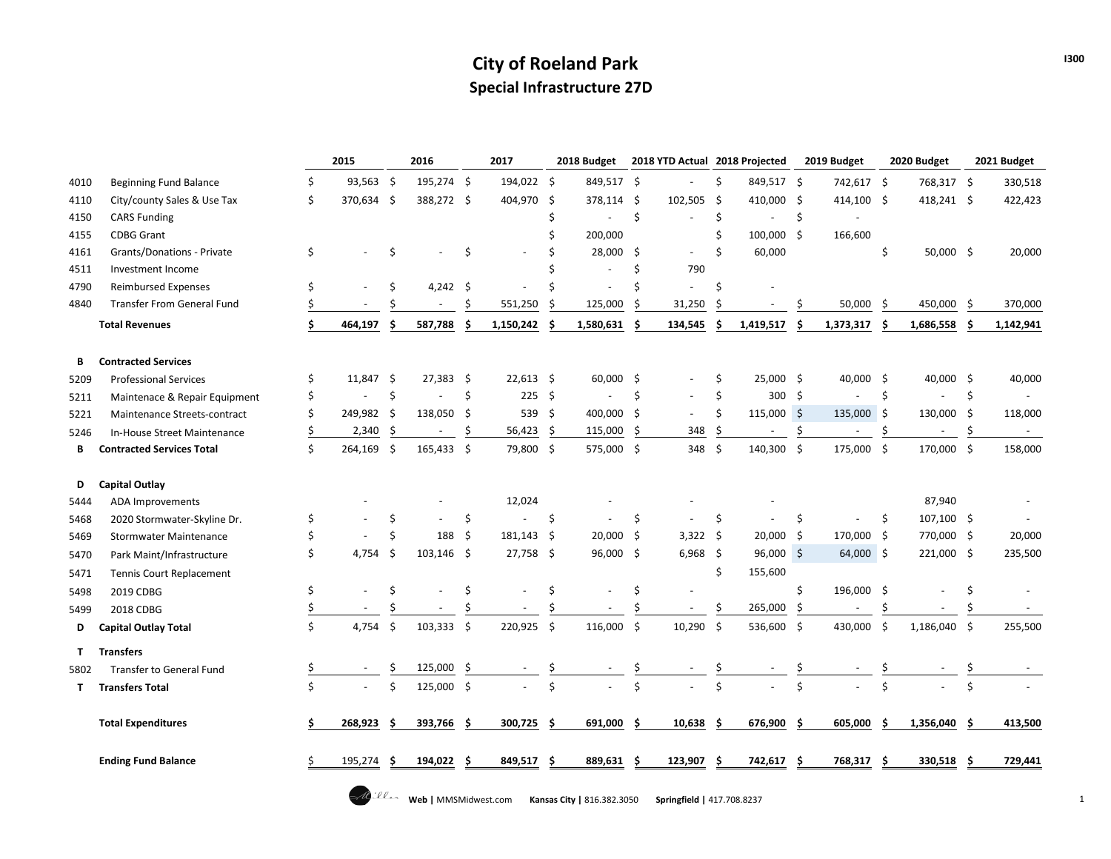## **City of Roeland Park Special Infrastructure 27D**

|      |                                   |    | 2015        |                    | 2016        |         | 2017        |                    | 2018 Budget |                           | 2018 YTD Actual 2018 Projected |                         |              |         | 2019 Budget |                    | 2020 Budget              |         | 2021 Budget |
|------|-----------------------------------|----|-------------|--------------------|-------------|---------|-------------|--------------------|-------------|---------------------------|--------------------------------|-------------------------|--------------|---------|-------------|--------------------|--------------------------|---------|-------------|
| 4010 | Beginning Fund Balance            | \$ | $93,563$ \$ |                    | 195,274 \$  |         | 194,022 \$  |                    | 849,517 \$  |                           |                                | \$                      | 849,517 \$   |         | 742,617 \$  |                    | 768,317 \$               |         | 330,518     |
| 4110 | City/county Sales & Use Tax       | \$ | 370,634 \$  |                    | 388,272 \$  |         | 404,970     | -\$                | 378,114 \$  |                           | 102,505                        | -\$                     | 410,000      | -\$     | 414,100 \$  |                    | 418,241 \$               |         | 422,423     |
| 4150 | <b>CARS Funding</b>               |    |             |                    |             |         |             | Ś                  |             | $\zeta$                   |                                | \$                      |              | \$      |             |                    |                          |         |             |
| 4155 | <b>CDBG Grant</b>                 |    |             |                    |             |         |             | Ś                  | 200,000     |                           |                                | Ś                       | 100,000 \$   |         | 166,600     |                    |                          |         |             |
| 4161 | Grants/Donations - Private        | \$ |             | \$                 |             | \$      |             |                    | 28,000 \$   |                           | $\omega$                       | \$                      | 60,000       |         |             | \$                 | $50,000$ \$              |         | 20,000      |
| 4511 | Investment Income                 |    |             |                    |             |         |             |                    |             | Ś                         | 790                            |                         |              |         |             |                    |                          |         |             |
| 4790 | <b>Reimbursed Expenses</b>        | \$ |             | \$                 | $4,242$ \$  |         |             |                    |             | Ś                         |                                | Ś                       |              |         |             |                    |                          |         |             |
| 4840 | <b>Transfer From General Fund</b> |    |             |                    |             | Ś       | 551,250     | Ŝ                  | 125,000     | Ś                         | 31,250                         | Ś                       |              | Ŝ       | 50,000      | Ŝ.                 | 450,000                  | Ŝ.      | 370,000     |
|      | <b>Total Revenues</b>             | \$ | 464,197     |                    | 587,788     |         | 1,150,242   | \$                 | 1,580,631   | Ś                         | 134,545                        | \$                      | 1,419,517    | \$.     | 1,373,317   | . Ś                | 1,686,558                |         | 1,142,941   |
| В    | <b>Contracted Services</b>        |    |             |                    |             |         |             |                    |             |                           |                                |                         |              |         |             |                    |                          |         |             |
| 5209 | <b>Professional Services</b>      | \$ | $11,847$ \$ |                    | $27,383$ \$ |         | $22,613$ \$ |                    | $60,000$ \$ |                           |                                | \$                      | $25,000$ \$  |         | $40,000$ \$ |                    | 40,000 \$                |         | 40,000      |
| 5211 | Maintenace & Repair Equipment     | \$ |             | \$                 |             | $\zeta$ | 225S        |                    | $\sim$      | \$                        |                                | \$                      | 300 \$       |         |             | $\mathsf{\hat{S}}$ | $\overline{\phantom{a}}$ | $\zeta$ | $\sim$      |
| 5221 | Maintenance Streets-contract      | \$ | 249,982 \$  |                    | 138,050 \$  |         | 539 \$      |                    | 400,000 \$  |                           |                                | \$                      | $115,000$ \$ |         | 135,000 \$  |                    | 130,000 \$               |         | 118,000     |
| 5246 | In-House Street Maintenance       |    | 2,340       | \$                 |             | Ŝ       | 56,423      | \$                 | 115,000     | Ŝ.                        | 348                            | \$                      |              | \$      |             | S                  | $\overline{\phantom{a}}$ | \$      |             |
| В    | <b>Contracted Services Total</b>  | Ś. | 264,169 \$  |                    | 165,433 \$  |         | 79,800 \$   |                    | 575,000 \$  |                           | 348 \$                         |                         | 140,300 \$   |         | 175,000 \$  |                    | 170,000 \$               |         | 158,000     |
| D    | Capital Outlay                    |    |             |                    |             |         |             |                    |             |                           |                                |                         |              |         |             |                    |                          |         |             |
| 5444 | <b>ADA Improvements</b>           |    |             |                    |             |         | 12,024      |                    |             |                           |                                |                         |              |         |             |                    | 87,940                   |         |             |
| 5468 | 2020 Stormwater-Skyline Dr.       | \$ |             | \$                 |             | \$      |             | \$                 |             | \$                        |                                | \$                      |              | \$      |             | \$                 | 107,100 \$               |         |             |
| 5469 | <b>Stormwater Maintenance</b>     |    |             | Ś.                 | 188         | -Ś      | 181,143 \$  |                    | 20,000 \$   |                           | $3,322$ \$                     |                         | 20,000 \$    |         | 170,000 \$  |                    | 770,000 \$               |         | 20,000      |
| 5470 | Park Maint/Infrastructure         | Ś. | 4,754       | Ŝ.                 | 103,146 \$  |         | 27,758 \$   |                    | 96,000 \$   |                           | $6,968$ \$                     |                         | $96,000$ \$  |         | 64,000 \$   |                    | 221,000 \$               |         | 235,500     |
| 5471 | Tennis Court Replacement          |    |             |                    |             |         |             |                    |             |                           |                                | \$                      | 155,600      |         |             |                    |                          |         |             |
| 5498 | 2019 CDBG                         | \$ |             | \$                 |             | Ś       |             | \$                 |             | Ś                         |                                |                         |              | \$      | 196,000 \$  |                    |                          | Ś       |             |
| 5499 | 2018 CDBG                         |    |             |                    |             |         |             |                    |             |                           |                                | \$                      | 265,000      | \$      |             |                    |                          |         |             |
| D    | <b>Capital Outlay Total</b>       | \$ | 4,754       | $\mathsf{\hat{S}}$ | 103,333 \$  |         | 220,925     | $\ddot{\varsigma}$ | 116,000 \$  |                           | $10,290$ \$                    |                         | 536,600 \$   |         | 430,000 \$  |                    | 1,186,040 \$             |         | 255,500     |
| T.   | <b>Transfers</b>                  |    |             |                    |             |         |             |                    |             |                           |                                |                         |              |         |             |                    |                          |         |             |
| 5802 | Transfer to General Fund          |    |             |                    | 125,000     | \$      |             | \$                 |             |                           |                                |                         |              | \$      |             |                    |                          |         |             |
| T.   | <b>Transfers Total</b>            | Ś  |             | Ś.                 | 125,000 \$  |         |             | $\mathsf{\hat{S}}$ |             | $\boldsymbol{\mathsf{S}}$ |                                | $\overline{\mathsf{S}}$ |              | $\zeta$ |             | ς                  |                          | Ś       |             |
|      | <b>Total Expenditures</b>         |    | 268,923     | S                  | 393,766     | -S      | 300,725     | -\$                | 691,000     | -\$                       | 10,638                         | -\$                     | 676,900      | -\$     | 605,000     | -S                 | 1,356,040                | -S      | 413,500     |
|      | <b>Ending Fund Balance</b>        |    | 195,274     |                    | 194,022     | .s      | 849,517     | Ŝ.                 | 889,631     | -S                        | 123,907                        | .s                      | 742,617      | Ŝ       | 768,317     | -Ś                 | 330,518                  | - S     | 729,441     |
|      |                                   |    |             |                    |             |         |             |                    |             |                           |                                |                         |              |         |             |                    |                          |         |             |

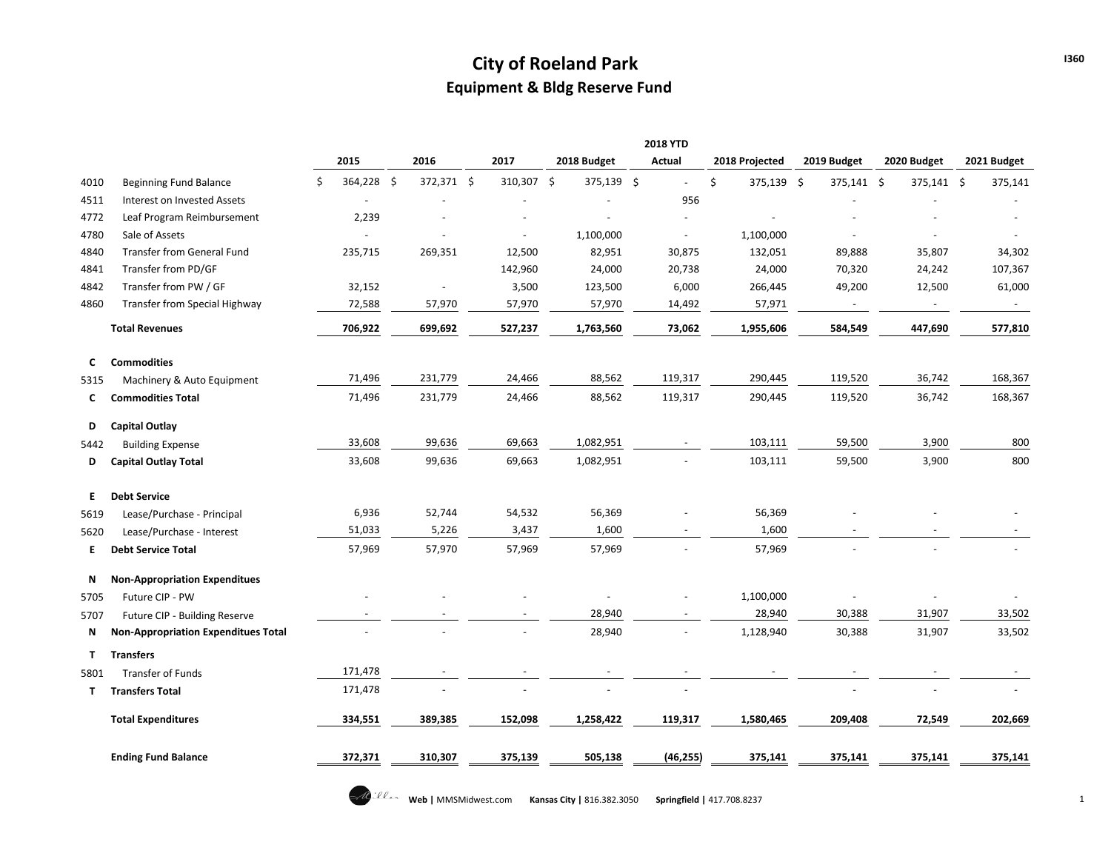# **City of Roeland Park Equipment & Bldg Reserve Fund**

|      |                                            |    |            |                          |                |             | <b>2018 YTD</b> |                  |             |             |             |
|------|--------------------------------------------|----|------------|--------------------------|----------------|-------------|-----------------|------------------|-------------|-------------|-------------|
|      |                                            |    | 2015       | 2016                     | 2017           | 2018 Budget | <b>Actual</b>   | 2018 Projected   | 2019 Budget | 2020 Budget | 2021 Budget |
| 4010 | <b>Beginning Fund Balance</b>              | Ŝ. | 364,228 \$ | 372,371 \$               | 310,307 \$     | 375,139 \$  | $\omega$        | \$<br>375,139 \$ | 375,141 \$  | 375,141 \$  | 375,141     |
| 4511 | Interest on Invested Assets                |    |            |                          |                |             | 956             |                  |             |             |             |
| 4772 | Leaf Program Reimbursement                 |    | 2,239      |                          |                |             |                 |                  |             |             |             |
| 4780 | Sale of Assets                             |    |            |                          | $\blacksquare$ | 1,100,000   | $\overline{a}$  | 1,100,000        |             |             |             |
| 4840 | <b>Transfer from General Fund</b>          |    | 235,715    | 269,351                  | 12,500         | 82,951      | 30,875          | 132,051          | 89,888      | 35,807      | 34,302      |
| 4841 | Transfer from PD/GF                        |    |            |                          | 142,960        | 24,000      | 20,738          | 24,000           | 70,320      | 24,242      | 107,367     |
| 4842 | Transfer from PW / GF                      |    | 32,152     | $\overline{\phantom{a}}$ | 3,500          | 123,500     | 6,000           | 266,445          | 49,200      | 12,500      | 61,000      |
| 4860 | Transfer from Special Highway              |    | 72,588     | 57,970                   | 57,970         | 57,970      | 14,492          | 57,971           | $\sim$      | $\sim$      | $\sim$      |
|      | <b>Total Revenues</b>                      |    | 706,922    | 699,692                  | 527,237        | 1,763,560   | 73,062          | 1,955,606        | 584,549     | 447,690     | 577,810     |
| C    | <b>Commodities</b>                         |    |            |                          |                |             |                 |                  |             |             |             |
| 5315 | Machinery & Auto Equipment                 |    | 71,496     | 231,779                  | 24,466         | 88,562      | 119,317         | 290,445          | 119,520     | 36,742      | 168,367     |
| C    | <b>Commodities Total</b>                   |    | 71,496     | 231,779                  | 24,466         | 88,562      | 119,317         | 290,445          | 119,520     | 36,742      | 168,367     |
| D    | Capital Outlay                             |    |            |                          |                |             |                 |                  |             |             |             |
| 5442 | <b>Building Expense</b>                    |    | 33,608     | 99,636                   | 69,663         | 1,082,951   |                 | 103,111          | 59,500      | 3,900       | 800         |
| D    | <b>Capital Outlay Total</b>                |    | 33,608     | 99,636                   | 69,663         | 1,082,951   |                 | 103,111          | 59,500      | 3,900       | 800         |
| E.   | <b>Debt Service</b>                        |    |            |                          |                |             |                 |                  |             |             |             |
| 5619 | Lease/Purchase - Principal                 |    | 6,936      | 52,744                   | 54,532         | 56,369      |                 | 56,369           |             |             |             |
| 5620 | Lease/Purchase - Interest                  |    | 51,033     | 5,226                    | 3,437          | 1,600       |                 | 1,600            |             |             |             |
| E.   | <b>Debt Service Total</b>                  |    | 57,969     | 57,970                   | 57,969         | 57,969      |                 | 57,969           |             |             |             |
| Ν    | <b>Non-Appropriation Expenditues</b>       |    |            |                          |                |             |                 |                  |             |             |             |
| 5705 | Future CIP - PW                            |    |            |                          |                |             |                 | 1,100,000        |             |             |             |
| 5707 | Future CIP - Building Reserve              |    | $\sim$     |                          |                | 28,940      |                 | 28,940           | 30,388      | 31,907      | 33,502      |
| N    | <b>Non-Appropriation Expenditues Total</b> |    |            |                          |                | 28,940      |                 | 1,128,940        | 30,388      | 31,907      | 33,502      |
| T    | <b>Transfers</b>                           |    |            |                          |                |             |                 |                  |             |             |             |
| 5801 | Transfer of Funds                          |    | 171,478    |                          |                |             |                 |                  |             |             |             |
| т    | <b>Transfers Total</b>                     |    | 171,478    |                          |                |             |                 |                  |             |             |             |
|      | <b>Total Expenditures</b>                  |    | 334,551    | 389,385                  | 152,098        | 1,258,422   | 119,317         | 1,580,465        | 209,408     | 72,549      | 202,669     |
|      | <b>Ending Fund Balance</b>                 |    | 372,371    | 310,307                  | 375,139        | 505,138     | (46, 255)       | 375,141          | 375,141     | 375,141     | 375,141     |

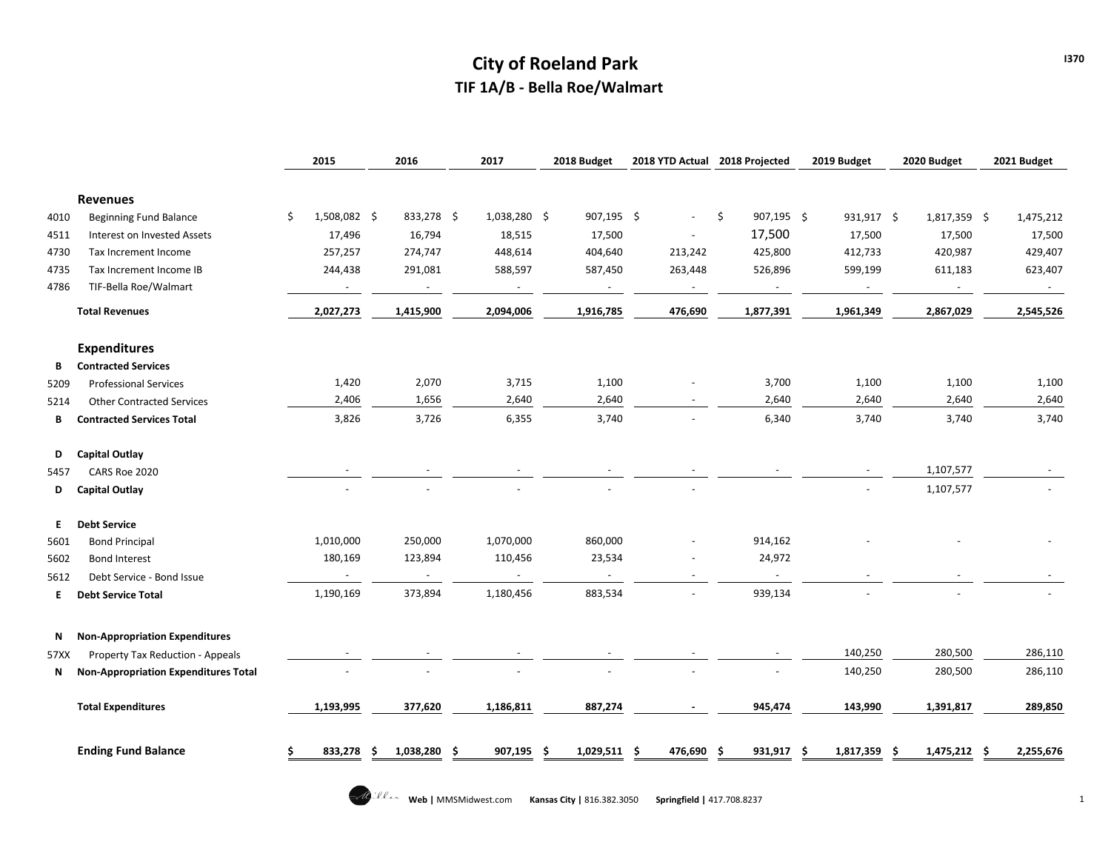# **City of Roeland Park TIF 1A/B - Bella Roe/Walmart**

|      |                                             |     | 2015                     | 2016 |              | 2017                     | 2018 Budget       | 2018 YTD Actual | 2018 Projected   | 2019 Budget              | 2020 Budget        | 2021 Budget |           |
|------|---------------------------------------------|-----|--------------------------|------|--------------|--------------------------|-------------------|-----------------|------------------|--------------------------|--------------------|-------------|-----------|
|      | <b>Revenues</b>                             |     |                          |      |              |                          |                   |                 |                  |                          |                    |             |           |
| 4010 | <b>Beginning Fund Balance</b>               | \$. | 1,508,082 \$             |      | 833,278 \$   | 1,038,280 \$             | 907,195 \$        | $\sim$          | \$<br>907,195 \$ | 931,917 \$               | 1,817,359 \$       |             | 1,475,212 |
| 4511 | Interest on Invested Assets                 |     | 17,496                   |      | 16,794       | 18,515                   | 17,500            |                 | 17,500           | 17,500                   | 17,500             |             | 17,500    |
| 4730 | Tax Increment Income                        |     | 257,257                  |      | 274,747      | 448,614                  | 404,640           | 213,242         | 425,800          | 412,733                  | 420,987            |             | 429,407   |
| 4735 | Tax Increment Income IB                     |     | 244,438                  |      | 291,081      | 588,597                  | 587,450           | 263,448         | 526,896          | 599,199                  | 611,183            |             | 623,407   |
| 4786 | TIF-Bella Roe/Walmart                       |     | $\overline{\phantom{a}}$ |      | $\sim$       | $\overline{\phantom{a}}$ |                   | $\blacksquare$  |                  | $\overline{\phantom{a}}$ |                    |             |           |
|      | <b>Total Revenues</b>                       |     | 2,027,273                |      | 1,415,900    | 2,094,006                | 1,916,785         | 476,690         | 1,877,391        | 1,961,349                | 2,867,029          |             | 2,545,526 |
|      | <b>Expenditures</b>                         |     |                          |      |              |                          |                   |                 |                  |                          |                    |             |           |
| В    | <b>Contracted Services</b>                  |     |                          |      |              |                          |                   |                 |                  |                          |                    |             |           |
| 5209 | <b>Professional Services</b>                |     | 1,420                    |      | 2,070        | 3,715                    | 1,100             |                 | 3,700            | 1,100                    | 1,100              |             | 1,100     |
| 5214 | <b>Other Contracted Services</b>            |     | 2,406                    |      | 1,656        | 2,640                    | 2,640             |                 | 2,640            | 2,640                    | 2,640              |             | 2,640     |
| В    | <b>Contracted Services Total</b>            |     | 3,826                    |      | 3,726        | 6,355                    | 3,740             |                 | 6,340            | 3,740                    | 3,740              |             | 3,740     |
| D    | <b>Capital Outlay</b>                       |     |                          |      |              |                          |                   |                 |                  |                          |                    |             |           |
| 5457 | CARS Roe 2020                               |     |                          |      |              |                          |                   |                 |                  |                          | 1,107,577          |             |           |
| D    | Capital Outlay                              |     |                          |      |              |                          |                   |                 |                  |                          | 1,107,577          |             |           |
| Е.   | <b>Debt Service</b>                         |     |                          |      |              |                          |                   |                 |                  |                          |                    |             |           |
| 5601 | <b>Bond Principal</b>                       |     | 1,010,000                |      | 250,000      | 1,070,000                | 860,000           |                 | 914,162          |                          |                    |             |           |
| 5602 | <b>Bond Interest</b>                        |     | 180,169                  |      | 123,894      | 110,456                  | 23,534            |                 | 24,972           |                          |                    |             |           |
| 5612 | Debt Service - Bond Issue                   |     | $\sim$                   |      | $\sim$       | $\blacksquare$           | $\sim$            |                 | $\sim$           |                          |                    |             |           |
| E.   | <b>Debt Service Total</b>                   |     | 1,190,169                |      | 373,894      | 1,180,456                | 883,534           |                 | 939,134          |                          |                    |             |           |
| N    | <b>Non-Appropriation Expenditures</b>       |     |                          |      |              |                          |                   |                 |                  |                          |                    |             |           |
| 57XX | Property Tax Reduction - Appeals            |     |                          |      |              |                          |                   |                 |                  | 140,250                  | 280,500            |             | 286,110   |
| N    | <b>Non-Appropriation Expenditures Total</b> |     |                          |      |              |                          |                   |                 |                  | 140,250                  | 280,500            |             | 286,110   |
|      | <b>Total Expenditures</b>                   |     | 1,193,995                |      | 377,620      | 1,186,811                | 887,274           |                 | 945,474          | 143,990                  | 1,391,817          |             | 289,850   |
|      | <b>Ending Fund Balance</b>                  |     | 833,278                  | S    | 1,038,280 \$ | 907,195                  | 1,029,511 \$<br>S | 476,690 \$      | 931,917          | 1,817,359                | 1,475,212 \$<br>-S |             | 2,255,676 |

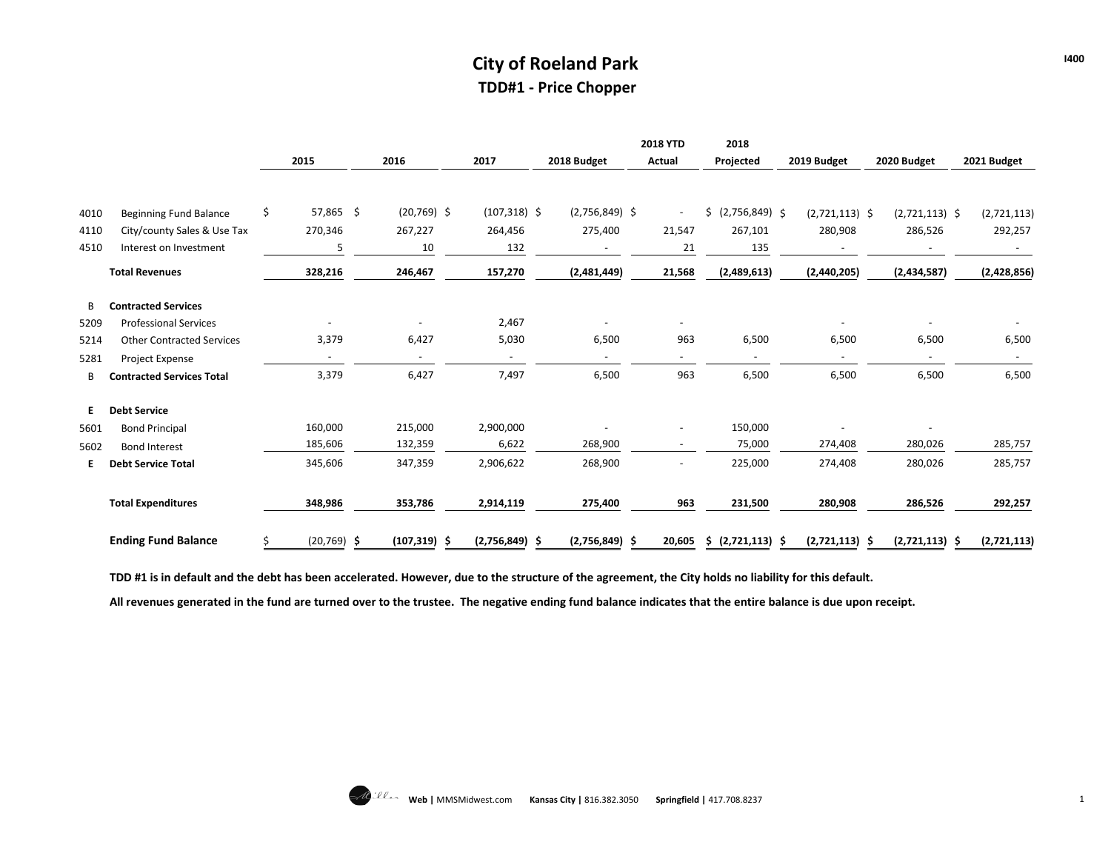#### **City of Roeland Park TDD#1 - Price Chopper**

|      |                                  |                 |                 |                  |                  | <b>2018 YTD</b>          | 2018                     |                  |                  |                   |
|------|----------------------------------|-----------------|-----------------|------------------|------------------|--------------------------|--------------------------|------------------|------------------|-------------------|
|      |                                  | 2015            | 2016            | 2017             | 2018 Budget      | <b>Actual</b>            | Projected                | 2019 Budget      | 2020 Budget      | 2021 Budget       |
|      |                                  |                 |                 |                  |                  |                          |                          |                  |                  |                   |
| 4010 | <b>Beginning Fund Balance</b>    | \$<br>57,865 \$ | $(20,769)$ \$   | $(107, 318)$ \$  | $(2,756,849)$ \$ | $\omega$                 | \$ (2,756,849) \$        | $(2,721,113)$ \$ | $(2,721,113)$ \$ | (2,721,113)       |
| 4110 | City/county Sales & Use Tax      | 270,346         | 267,227         | 264,456          | 275,400          | 21,547                   | 267,101                  | 280,908          | 286,526          | 292,257           |
| 4510 | Interest on Investment           | 5               | 10              | 132              |                  | 21                       | 135                      |                  |                  |                   |
|      | <b>Total Revenues</b>            | 328,216         | 246,467         | 157,270          | (2,481,449)      | 21,568                   | (2,489,613)              | (2,440,205)      | (2,434,587)      | (2,428,856)       |
| B    | <b>Contracted Services</b>       |                 |                 |                  |                  |                          |                          |                  |                  |                   |
| 5209 | <b>Professional Services</b>     |                 |                 | 2,467            |                  | $\overline{\phantom{a}}$ |                          |                  |                  |                   |
| 5214 | <b>Other Contracted Services</b> | 3,379           | 6,427           | 5,030            | 6,500            | 963                      | 6,500                    | 6,500            | 6,500            | 6,500             |
| 5281 | Project Expense                  |                 |                 |                  | $\sim$           | $\sim$                   | $\overline{\phantom{a}}$ |                  |                  |                   |
| B    | <b>Contracted Services Total</b> | 3,379           | 6,427           | 7,497            | 6,500            | 963                      | 6,500                    | 6,500            | 6,500            | 6,500             |
| E.   | <b>Debt Service</b>              |                 |                 |                  |                  |                          |                          |                  |                  |                   |
| 5601 | <b>Bond Principal</b>            | 160,000         | 215,000         | 2,900,000        |                  | $\overline{\phantom{a}}$ | 150,000                  |                  |                  |                   |
| 5602 | <b>Bond Interest</b>             | 185,606         | 132,359         | 6,622            | 268,900          | $\sim$                   | 75,000                   | 274,408          | 280,026          | 285,757           |
| Е.   | <b>Debt Service Total</b>        | 345,606         | 347,359         | 2,906,622        | 268,900          | $\overline{\phantom{a}}$ | 225,000                  | 274,408          | 280,026          | 285,757           |
|      | <b>Total Expenditures</b>        | 348,986         | 353,786         | 2,914,119        | 275,400          | 963                      | 231,500                  | 280,908          | 286,526          | 292,257           |
|      | <b>Ending Fund Balance</b>       | $(20, 769)$ \$  | $(107, 319)$ \$ | $(2,756,849)$ \$ | $(2,756,849)$ \$ | 20,605                   | \$ (2,721,113) \$        | $(2,721,113)$ \$ | (2,721,113)      | (2,721,113)<br>-S |

**TDD #1 is in default and the debt has been accelerated. However, due to the structure of the agreement, the City holds no liability for this default.** 

**All revenues generated in the fund are turned over to the trustee. The negative ending fund balance indicates that the entire balance is due upon receipt.**

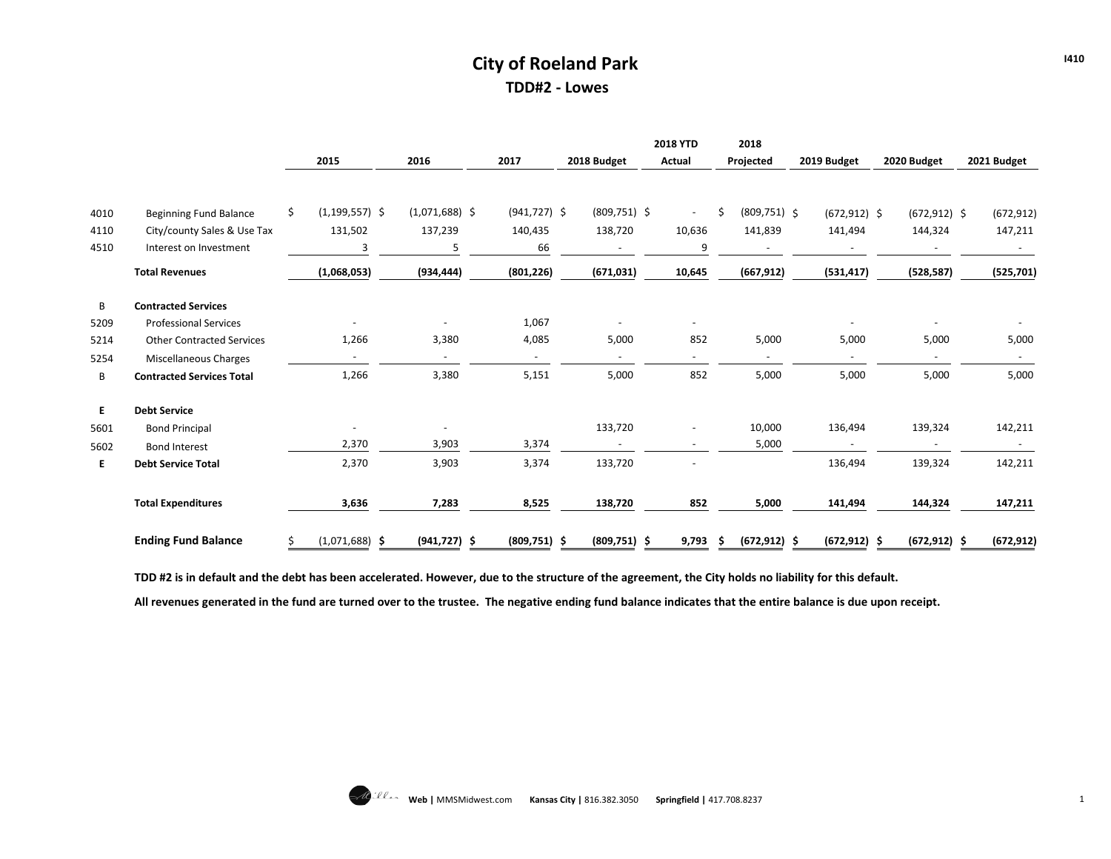#### **City of Roeland Park TDD#2 - Lowes**

|      |                                  |    |                          |                          |                 |                | <b>2018 YTD</b>          | 2018                     |                          |                 |             |
|------|----------------------------------|----|--------------------------|--------------------------|-----------------|----------------|--------------------------|--------------------------|--------------------------|-----------------|-------------|
|      |                                  |    | 2015                     | 2016                     | 2017            | 2018 Budget    | <b>Actual</b>            | Projected                | 2019 Budget              | 2020 Budget     | 2021 Budget |
|      |                                  |    |                          |                          |                 |                |                          |                          |                          |                 |             |
| 4010 | Beginning Fund Balance           | Ś. | $(1, 199, 557)$ \$       | $(1,071,688)$ \$         | $(941, 727)$ \$ | $(809,751)$ \$ | $\sim$                   | $(809, 751)$ \$          | $(672, 912)$ \$          | $(672, 912)$ \$ | (672, 912)  |
| 4110 | City/county Sales & Use Tax      |    | 131,502                  | 137,239                  | 140,435         | 138,720        | 10,636                   | 141,839                  | 141,494                  | 144,324         | 147,211     |
| 4510 | Interest on Investment           |    | 3                        |                          | 66              |                | 9                        |                          |                          |                 |             |
|      | <b>Total Revenues</b>            |    | (1,068,053)              | (934, 444)               | (801, 226)      | (671, 031)     | 10,645                   | (667, 912)               | (531, 417)               | (528, 587)      | (525, 701)  |
| В    | <b>Contracted Services</b>       |    |                          |                          |                 |                |                          |                          |                          |                 |             |
| 5209 | <b>Professional Services</b>     |    |                          | $\overline{\phantom{a}}$ | 1,067           |                | $\overline{\phantom{a}}$ |                          | $\overline{a}$           |                 |             |
| 5214 | <b>Other Contracted Services</b> |    | 1,266                    | 3,380                    | 4,085           | 5,000          | 852                      | 5,000                    | 5,000                    | 5,000           | 5,000       |
| 5254 | Miscellaneous Charges            |    | $\sim$                   | $\sim$                   | $\sim$          | $\sim$         | $\overline{\phantom{a}}$ | $\overline{\phantom{a}}$ | $\overline{\phantom{a}}$ |                 |             |
| В    | <b>Contracted Services Total</b> |    | 1,266                    | 3,380                    | 5,151           | 5,000          | 852                      | 5,000                    | 5,000                    | 5,000           | 5,000       |
| E.   | <b>Debt Service</b>              |    |                          |                          |                 |                |                          |                          |                          |                 |             |
| 5601 | <b>Bond Principal</b>            |    | $\overline{\phantom{a}}$ | $\overline{\phantom{a}}$ |                 | 133,720        |                          | 10,000                   | 136,494                  | 139,324         | 142,211     |
| 5602 | <b>Bond Interest</b>             |    | 2,370                    | 3,903                    | 3,374           | $\sim$         | $\overline{\phantom{0}}$ | 5,000                    | $\sim$                   |                 | $\sim$      |
| Е.   | <b>Debt Service Total</b>        |    | 2,370                    | 3,903                    | 3,374           | 133,720        |                          |                          | 136,494                  | 139,324         | 142,211     |
|      | <b>Total Expenditures</b>        |    | 3,636                    | 7,283                    | 8,525           | 138,720        | 852                      | 5,000                    | 141,494                  | 144,324         | 147,211     |
|      | <b>Ending Fund Balance</b>       |    | $(1,071,688)$ \$         | $(941, 727)$ \$          | $(809,751)$ \$  | $(809,751)$ \$ | 9,793                    | $(672, 912)$ \$          | $(672, 912)$ \$          | $(672, 912)$ \$ | (672, 912)  |

**TDD #2 is in default and the debt has been accelerated. However, due to the structure of the agreement, the City holds no liability for this default.** 

**All revenues generated in the fund are turned over to the trustee. The negative ending fund balance indicates that the entire balance is due upon receipt.**

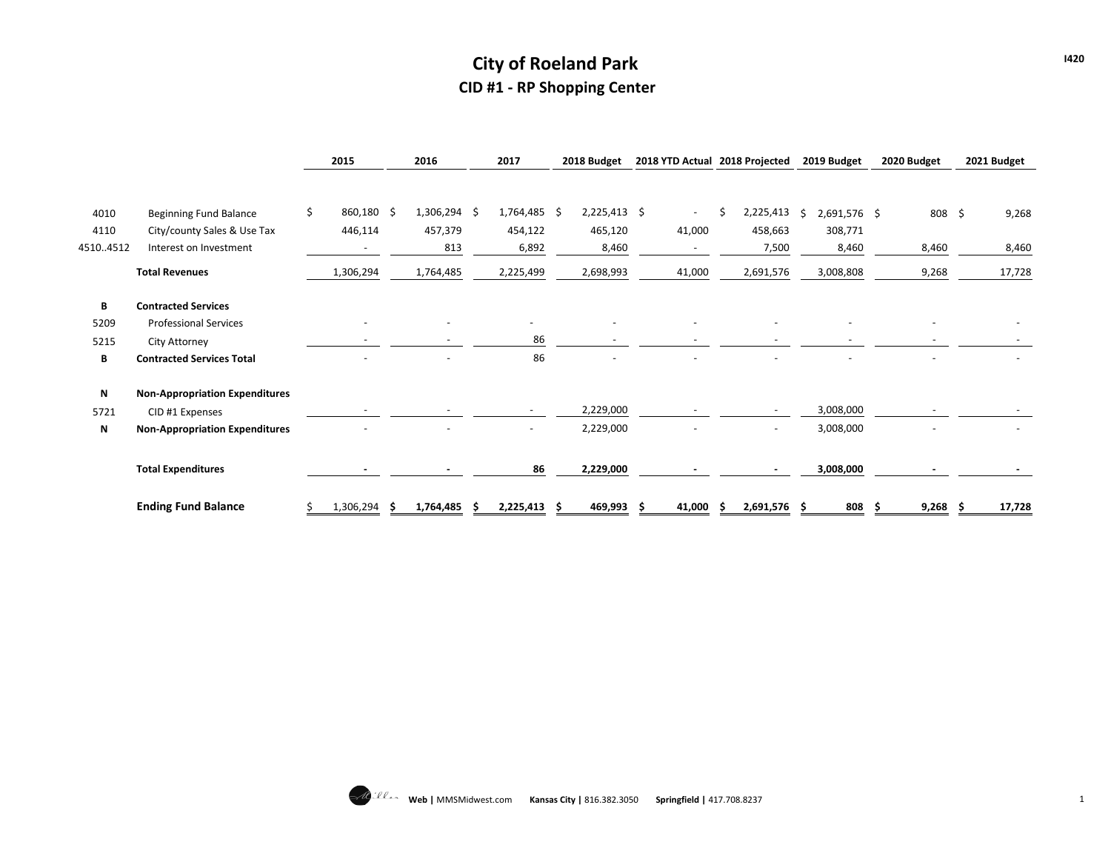# **City of Roeland Park CID #1 - RP Shopping Center**

|          |                                       |     | 2015                     | 2016           | 2017           |  | 2018 Budget              |  | 2018 YTD Actual 2018 Projected |    |              |    | 2019 Budget   |  | 2020 Budget |  | 2021 Budget |
|----------|---------------------------------------|-----|--------------------------|----------------|----------------|--|--------------------------|--|--------------------------------|----|--------------|----|---------------|--|-------------|--|-------------|
| 4010     | <b>Beginning Fund Balance</b>         | \$. | 860,180 \$               | $1,306,294$ \$ | 1,764,485 \$   |  | $2,225,413$ \$           |  | $\sim$                         | \$ | 2,225,413    | Ŝ. | 2,691,576 \$  |  | 808 \$      |  | 9,268       |
| 4110     | City/county Sales & Use Tax           |     | 446,114                  | 457,379        | 454,122        |  | 465,120                  |  | 41,000                         |    | 458,663      |    | 308,771       |  |             |  |             |
| 45104512 | Interest on Investment                |     |                          | 813            | 6,892          |  | 8,460                    |  |                                |    | 7,500        |    | 8,460         |  | 8,460       |  | 8,460       |
|          | <b>Total Revenues</b>                 |     | 1,306,294                | 1,764,485      | 2,225,499      |  | 2,698,993                |  | 41,000                         |    | 2,691,576    |    | 3,008,808     |  | 9,268       |  | 17,728      |
| В        | <b>Contracted Services</b>            |     |                          |                |                |  |                          |  |                                |    |              |    |               |  |             |  |             |
| 5209     | <b>Professional Services</b>          |     | $\overline{\phantom{a}}$ |                |                |  |                          |  |                                |    |              |    |               |  |             |  |             |
| 5215     | City Attorney                         |     | $\overline{\phantom{0}}$ |                | 86             |  | $\overline{\phantom{m}}$ |  |                                |    |              |    |               |  |             |  |             |
| В        | <b>Contracted Services Total</b>      |     | $\blacksquare$           | ۰              | 86             |  |                          |  |                                |    |              |    |               |  |             |  |             |
| N        | <b>Non-Appropriation Expenditures</b> |     |                          |                |                |  |                          |  |                                |    |              |    |               |  |             |  |             |
| 5721     | CID #1 Expenses                       |     |                          |                |                |  | 2,229,000                |  |                                |    |              |    | 3,008,000     |  |             |  |             |
| N        | <b>Non-Appropriation Expenditures</b> |     |                          |                |                |  | 2,229,000                |  |                                |    |              |    | 3,008,000     |  |             |  |             |
|          | <b>Total Expenditures</b>             |     |                          |                | 86             |  | 2,229,000                |  |                                |    |              |    | 3,008,000     |  |             |  |             |
|          | <b>Ending Fund Balance</b>            |     | 1,306,294                | 1,764,485      | $2,225,413$ \$ |  | 469,993                  |  | 41,000                         |    | 2,691,576 \$ |    | $808 \quad $$ |  | $9,268$ \$  |  | 17,728      |

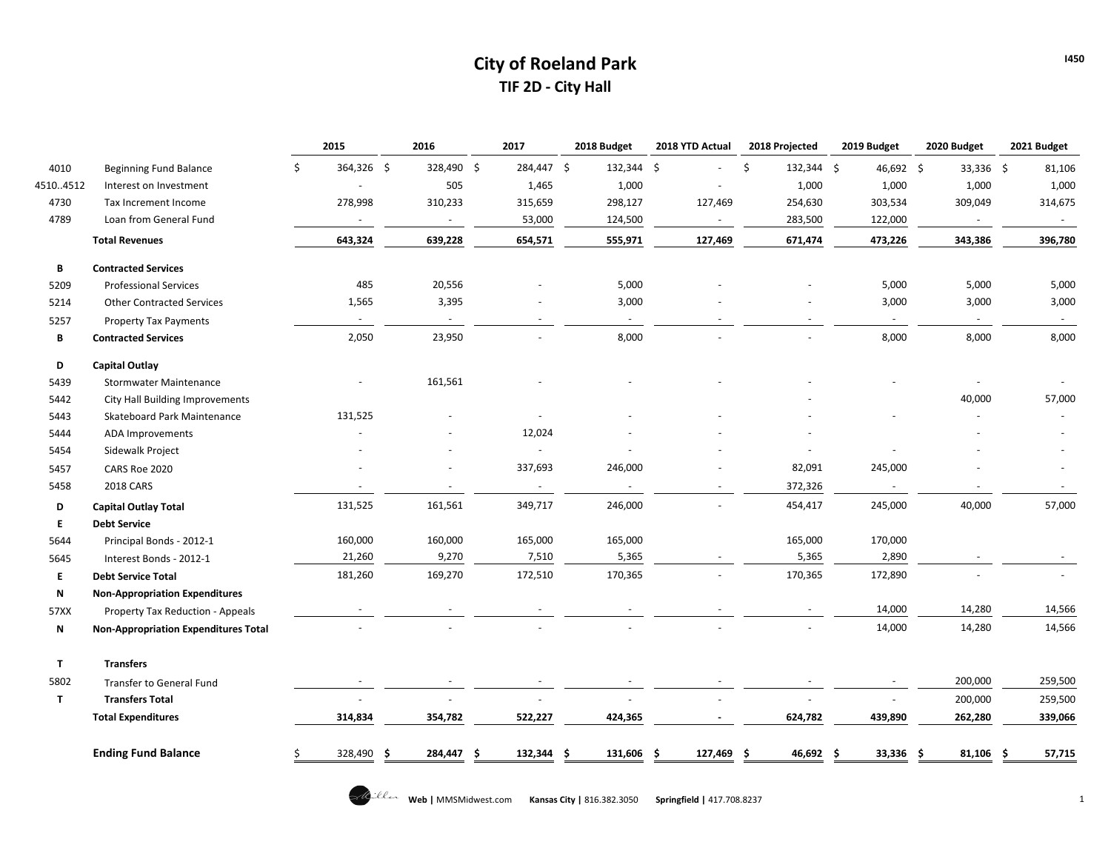## **City of Roeland Park TIF 2D - City Hall**

| 4010<br>45104512<br>4730<br>4789<br>B<br>5209<br>5214<br>5257<br>B<br>D<br>5439 | <b>Beginning Fund Balance</b><br>Interest on Investment<br>Tax Increment Income<br>Loan from General Fund<br><b>Total Revenues</b><br><b>Contracted Services</b><br><b>Professional Services</b><br><b>Other Contracted Services</b><br><b>Property Tax Payments</b><br><b>Contracted Services</b><br>Capital Outlay<br><b>Stormwater Maintenance</b> | \$<br>364,326 \$<br>278,998<br>$\sim$<br>643,324<br>485<br>1,565<br>$\overline{\phantom{a}}$<br>2,050 | 328,490 \$<br>505<br>310,233<br>$\sim$<br>639,228<br>20,556<br>3,395<br>23,950 | 284,447 \$<br>1,465<br>315,659<br>53,000<br>654,571 | 132,344 \$<br>1,000<br>298,127<br>124,500<br>555,971<br>5,000<br>3,000 | 127,469<br>$\sim$<br>127,469 | \$<br>132,344 \$<br>1,000<br>254,630<br>283,500<br>671,474 | 46,692 \$<br>1,000<br>303,534<br>122,000<br>473,226<br>5,000<br>3,000 | 33,336 \$<br>1,000<br>309,049<br>$\sim$<br>343,386<br>5,000<br>3,000 | 81,106<br>1,000<br>314,675<br>$\sim$<br>396,780<br>5,000<br>3,000 |
|---------------------------------------------------------------------------------|-------------------------------------------------------------------------------------------------------------------------------------------------------------------------------------------------------------------------------------------------------------------------------------------------------------------------------------------------------|-------------------------------------------------------------------------------------------------------|--------------------------------------------------------------------------------|-----------------------------------------------------|------------------------------------------------------------------------|------------------------------|------------------------------------------------------------|-----------------------------------------------------------------------|----------------------------------------------------------------------|-------------------------------------------------------------------|
|                                                                                 |                                                                                                                                                                                                                                                                                                                                                       |                                                                                                       |                                                                                |                                                     |                                                                        |                              |                                                            |                                                                       |                                                                      |                                                                   |
|                                                                                 |                                                                                                                                                                                                                                                                                                                                                       |                                                                                                       |                                                                                |                                                     |                                                                        |                              |                                                            |                                                                       |                                                                      |                                                                   |
|                                                                                 |                                                                                                                                                                                                                                                                                                                                                       |                                                                                                       |                                                                                |                                                     |                                                                        |                              |                                                            |                                                                       |                                                                      |                                                                   |
|                                                                                 |                                                                                                                                                                                                                                                                                                                                                       |                                                                                                       |                                                                                |                                                     |                                                                        |                              |                                                            |                                                                       |                                                                      |                                                                   |
|                                                                                 |                                                                                                                                                                                                                                                                                                                                                       |                                                                                                       |                                                                                |                                                     |                                                                        |                              |                                                            |                                                                       |                                                                      |                                                                   |
|                                                                                 |                                                                                                                                                                                                                                                                                                                                                       |                                                                                                       |                                                                                |                                                     |                                                                        |                              |                                                            |                                                                       |                                                                      |                                                                   |
|                                                                                 |                                                                                                                                                                                                                                                                                                                                                       |                                                                                                       |                                                                                |                                                     |                                                                        |                              |                                                            |                                                                       |                                                                      |                                                                   |
|                                                                                 |                                                                                                                                                                                                                                                                                                                                                       |                                                                                                       |                                                                                |                                                     |                                                                        |                              |                                                            |                                                                       |                                                                      |                                                                   |
|                                                                                 |                                                                                                                                                                                                                                                                                                                                                       |                                                                                                       |                                                                                |                                                     |                                                                        |                              |                                                            |                                                                       | $\sim$                                                               | $\sim$                                                            |
|                                                                                 |                                                                                                                                                                                                                                                                                                                                                       |                                                                                                       |                                                                                |                                                     | 8,000                                                                  |                              |                                                            | 8,000                                                                 | 8,000                                                                | 8,000                                                             |
|                                                                                 |                                                                                                                                                                                                                                                                                                                                                       |                                                                                                       |                                                                                |                                                     |                                                                        |                              |                                                            |                                                                       |                                                                      |                                                                   |
|                                                                                 |                                                                                                                                                                                                                                                                                                                                                       |                                                                                                       | 161,561                                                                        |                                                     |                                                                        |                              |                                                            |                                                                       |                                                                      |                                                                   |
| 5442                                                                            | City Hall Building Improvements                                                                                                                                                                                                                                                                                                                       |                                                                                                       |                                                                                |                                                     |                                                                        |                              |                                                            |                                                                       | 40,000                                                               | 57,000                                                            |
| 5443                                                                            | Skateboard Park Maintenance                                                                                                                                                                                                                                                                                                                           | 131,525                                                                                               |                                                                                |                                                     |                                                                        |                              |                                                            |                                                                       |                                                                      |                                                                   |
| 5444                                                                            | ADA Improvements                                                                                                                                                                                                                                                                                                                                      |                                                                                                       |                                                                                | 12,024                                              |                                                                        |                              |                                                            |                                                                       |                                                                      |                                                                   |
| 5454                                                                            | Sidewalk Project                                                                                                                                                                                                                                                                                                                                      |                                                                                                       |                                                                                | $\sim$                                              |                                                                        |                              |                                                            |                                                                       |                                                                      |                                                                   |
| 5457                                                                            | CARS Roe 2020                                                                                                                                                                                                                                                                                                                                         |                                                                                                       |                                                                                | 337,693                                             | 246,000                                                                |                              | 82,091                                                     | 245,000                                                               |                                                                      |                                                                   |
| 5458                                                                            | <b>2018 CARS</b>                                                                                                                                                                                                                                                                                                                                      | $\sim$                                                                                                |                                                                                | $\sim$                                              | $\sim$                                                                 | ÷.                           | 372,326                                                    |                                                                       |                                                                      |                                                                   |
| D                                                                               | <b>Capital Outlay Total</b>                                                                                                                                                                                                                                                                                                                           | 131,525                                                                                               | 161,561                                                                        | 349,717                                             | 246,000                                                                |                              | 454,417                                                    | 245,000                                                               | 40,000                                                               | 57,000                                                            |
| E.                                                                              | <b>Debt Service</b>                                                                                                                                                                                                                                                                                                                                   |                                                                                                       |                                                                                |                                                     |                                                                        |                              |                                                            |                                                                       |                                                                      |                                                                   |
| 5644                                                                            | Principal Bonds - 2012-1                                                                                                                                                                                                                                                                                                                              | 160,000                                                                                               | 160,000                                                                        | 165,000                                             | 165,000                                                                |                              | 165,000                                                    | 170,000                                                               |                                                                      |                                                                   |
| 5645                                                                            | Interest Bonds - 2012-1                                                                                                                                                                                                                                                                                                                               | 21,260                                                                                                | 9,270                                                                          | 7,510                                               | 5,365                                                                  |                              | 5,365                                                      | 2,890                                                                 | $\sim$                                                               | $\sim$                                                            |
| E.                                                                              | <b>Debt Service Total</b>                                                                                                                                                                                                                                                                                                                             | 181,260                                                                                               | 169,270                                                                        | 172,510                                             | 170,365                                                                |                              | 170,365                                                    | 172,890                                                               |                                                                      | $\sim$                                                            |
| N                                                                               | <b>Non-Appropriation Expenditures</b>                                                                                                                                                                                                                                                                                                                 |                                                                                                       |                                                                                |                                                     |                                                                        |                              |                                                            |                                                                       |                                                                      |                                                                   |
| 57XX                                                                            | Property Tax Reduction - Appeals                                                                                                                                                                                                                                                                                                                      |                                                                                                       |                                                                                |                                                     |                                                                        |                              |                                                            | 14,000                                                                | 14,280                                                               | 14,566                                                            |
| N                                                                               | <b>Non-Appropriation Expenditures Total</b>                                                                                                                                                                                                                                                                                                           |                                                                                                       |                                                                                |                                                     |                                                                        |                              |                                                            | 14,000                                                                | 14,280                                                               | 14,566                                                            |
| $\mathbf{T}$                                                                    | <b>Transfers</b>                                                                                                                                                                                                                                                                                                                                      |                                                                                                       |                                                                                |                                                     |                                                                        |                              |                                                            |                                                                       |                                                                      |                                                                   |
| 5802                                                                            | <b>Transfer to General Fund</b>                                                                                                                                                                                                                                                                                                                       |                                                                                                       |                                                                                |                                                     |                                                                        |                              |                                                            |                                                                       | 200,000                                                              | 259,500                                                           |
| $\mathbf{T}$                                                                    | <b>Transfers Total</b>                                                                                                                                                                                                                                                                                                                                |                                                                                                       |                                                                                |                                                     |                                                                        |                              |                                                            |                                                                       | 200,000                                                              | 259,500                                                           |
|                                                                                 | <b>Total Expenditures</b>                                                                                                                                                                                                                                                                                                                             | 314,834                                                                                               | 354,782                                                                        | 522,227                                             | 424,365                                                                |                              | 624,782                                                    | 439,890                                                               | 262,280                                                              | 339,066                                                           |
|                                                                                 | <b>Ending Fund Balance</b>                                                                                                                                                                                                                                                                                                                            | 328,490                                                                                               | 284,447<br>-Ś                                                                  | 132,344<br>Ŝ.                                       | 131,606<br>.S                                                          | 127,469<br>. S               | \$.<br>46,692 \$                                           | 33,336                                                                | 81,106                                                               | 57,715                                                            |



**I450**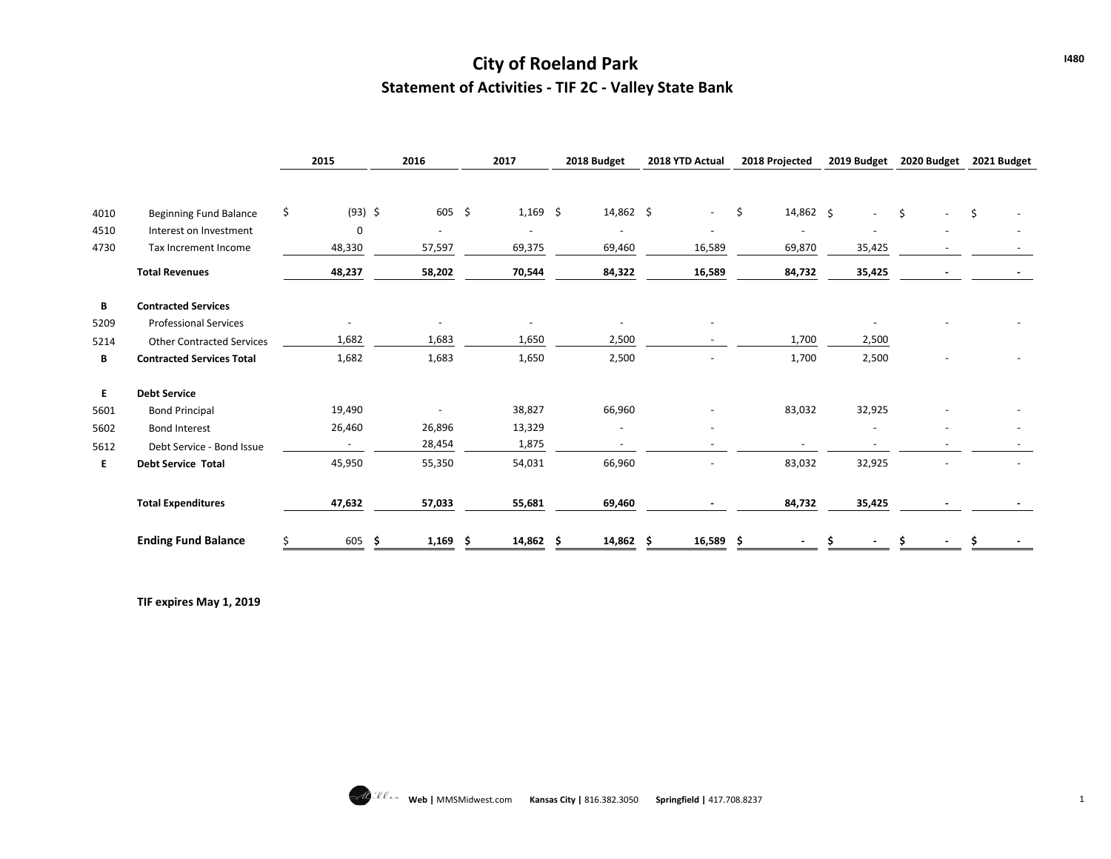## **City of Roeland Park Statement of Activities - TIF 2C - Valley State Bank**

|      |                                  | 2015                     | 2016          | 2017       | 2018 Budget        | 2018 YTD Actual | 2018 Projected           | 2019 Budget | 2020 Budget    | 2021 Budget |
|------|----------------------------------|--------------------------|---------------|------------|--------------------|-----------------|--------------------------|-------------|----------------|-------------|
|      |                                  |                          |               |            |                    |                 |                          |             |                |             |
| 4010 | <b>Beginning Fund Balance</b>    | \$<br>$(93)$ \$          | $605 \quad $$ | $1,169$ \$ | $14,862 \div$      | $\sim$          | \$<br>14,862 \$          |             | \$             | $\zeta$     |
| 4510 | Interest on Investment           | 0                        |               | ٠          |                    |                 | ٠                        |             |                |             |
| 4730 | Tax Increment Income             | 48,330                   | 57,597        | 69,375     | 69,460             | 16,589          | 69,870                   | 35,425      |                |             |
|      | <b>Total Revenues</b>            | 48,237                   | 58,202        | 70,544     | 84,322             | 16,589          | 84,732                   | 35,425      | $\blacksquare$ | $\sim$      |
| В    | <b>Contracted Services</b>       |                          |               |            |                    |                 |                          |             |                |             |
| 5209 | <b>Professional Services</b>     | $\overline{\phantom{0}}$ |               |            |                    |                 |                          |             |                |             |
| 5214 | <b>Other Contracted Services</b> | 1,682                    | 1,683         | 1,650      | 2,500              |                 | 1,700                    | 2,500       |                |             |
| В    | <b>Contracted Services Total</b> | 1,682                    | 1,683         | 1,650      | 2,500              |                 | 1,700                    | 2,500       |                |             |
| E.   | <b>Debt Service</b>              |                          |               |            |                    |                 |                          |             |                |             |
| 5601 | <b>Bond Principal</b>            | 19,490                   |               | 38,827     | 66,960             |                 | 83,032                   | 32,925      |                |             |
| 5602 | <b>Bond Interest</b>             | 26,460                   | 26,896        | 13,329     |                    |                 |                          |             |                |             |
| 5612 | Debt Service - Bond Issue        | $\sim$                   | 28,454        | 1,875      | $\sim$             |                 | $\overline{\phantom{a}}$ |             |                |             |
| E.   | <b>Debt Service Total</b>        | 45,950                   | 55,350        | 54,031     | 66,960             |                 | 83,032                   | 32,925      |                |             |
|      | <b>Total Expenditures</b>        | 47,632                   | 57,033        | 55,681     | 69,460             |                 | 84,732                   | 35,425      |                |             |
|      | <b>Ending Fund Balance</b>       | 605                      | 1,169<br>-\$  | 14,862     | $14,862$ \$<br>- S | 16,589          | .S                       |             |                |             |

**TIF expires May 1, 2019**

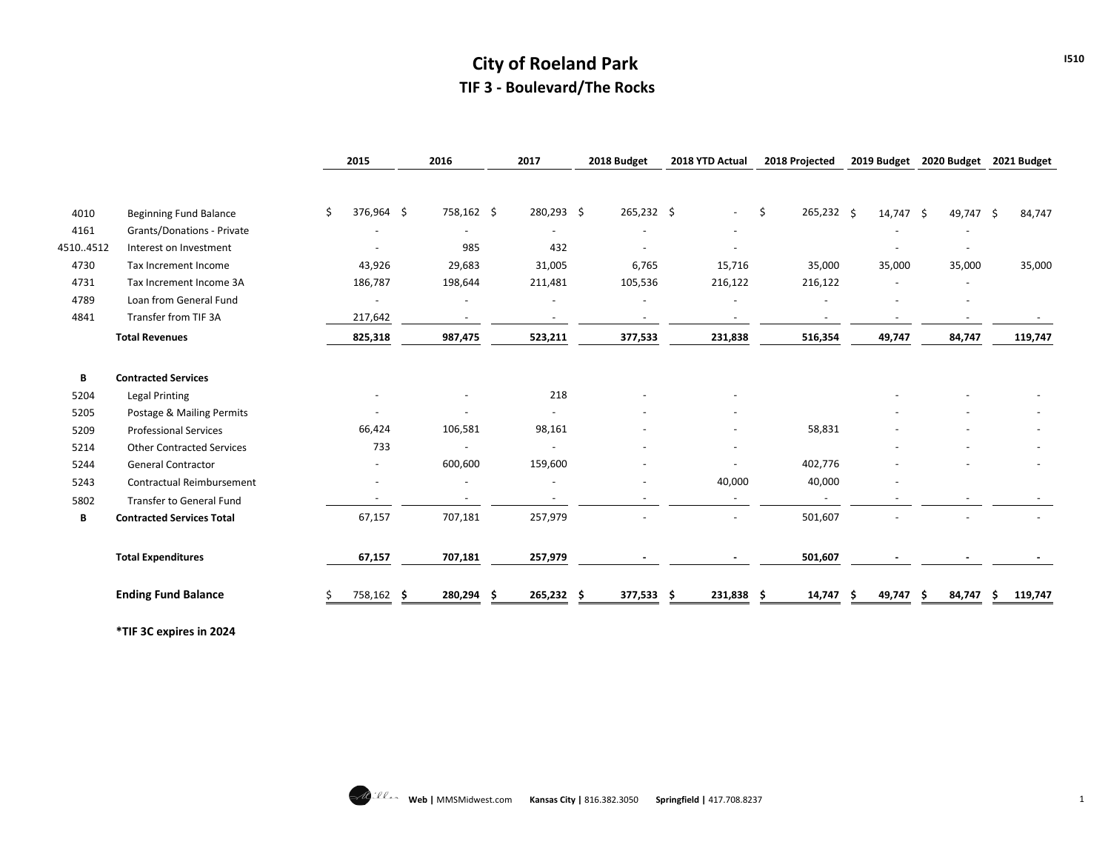# **City of Roeland Park TIF 3 - Boulevard/The Rocks**

|          |                                  | 2015                     | 2016                     | 2017                     | 2018 Budget              | 2018 YTD Actual | 2018 Projected   | 2019 Budget | 2020 Budget              | 2021 Budget    |
|----------|----------------------------------|--------------------------|--------------------------|--------------------------|--------------------------|-----------------|------------------|-------------|--------------------------|----------------|
| 4010     | <b>Beginning Fund Balance</b>    | 376,964 \$<br>\$         | 758,162 \$               | 280,293 \$               | 265,232 \$               | $\sim$          | 265,232 \$<br>\$ | 14,747 \$   | 49,747 \$                | 84,747         |
| 4161     | Grants/Donations - Private       | $\overline{\phantom{0}}$ | $\overline{\phantom{a}}$ | $\overline{\phantom{a}}$ |                          | $\blacksquare$  |                  |             | $\overline{\phantom{a}}$ |                |
| 45104512 | Interest on Investment           |                          | 985                      | 432                      |                          |                 |                  |             |                          |                |
| 4730     | Tax Increment Income             | 43,926                   | 29,683                   | 31,005                   | 6,765                    | 15,716          | 35,000           | 35,000      | 35,000                   | 35,000         |
| 4731     | Tax Increment Income 3A          | 186,787                  | 198,644                  | 211,481                  | 105,536                  | 216,122         | 216,122          |             |                          |                |
| 4789     | Loan from General Fund           | $\blacksquare$           |                          |                          |                          |                 |                  |             |                          |                |
| 4841     | Transfer from TIF 3A             | 217,642                  | $\overline{\phantom{a}}$ | $\blacksquare$           | $\overline{\phantom{a}}$ | $\blacksquare$  |                  |             |                          |                |
|          | <b>Total Revenues</b>            | 825,318                  | 987,475                  | 523,211                  | 377,533                  | 231,838         | 516,354          | 49,747      | 84,747                   | 119,747        |
| В        | <b>Contracted Services</b>       |                          |                          |                          |                          |                 |                  |             |                          |                |
| 5204     | <b>Legal Printing</b>            |                          |                          | 218                      |                          |                 |                  |             |                          |                |
| 5205     | Postage & Mailing Permits        |                          | $\overline{\phantom{a}}$ | $\overline{\phantom{a}}$ |                          |                 |                  |             |                          |                |
| 5209     | <b>Professional Services</b>     | 66,424                   | 106,581                  | 98,161                   |                          |                 | 58,831           |             |                          |                |
| 5214     | <b>Other Contracted Services</b> | 733                      |                          |                          |                          | ٠               |                  |             |                          |                |
| 5244     | General Contractor               |                          | 600,600                  | 159,600                  |                          |                 | 402,776          |             |                          |                |
| 5243     | Contractual Reimbursement        |                          | $\overline{\phantom{a}}$ |                          |                          | 40,000          | 40,000           |             |                          |                |
| 5802     | Transfer to General Fund         |                          |                          |                          |                          |                 | $\blacksquare$   |             |                          |                |
| В        | <b>Contracted Services Total</b> | 67,157                   | 707,181                  | 257,979                  |                          |                 | 501,607          |             |                          |                |
|          | <b>Total Expenditures</b>        | 67,157                   | 707,181                  | 257,979                  |                          |                 | 501,607          |             |                          |                |
|          | <b>Ending Fund Balance</b>       | 758,162                  | 280,294<br>-S            | 265,232                  | 377,533 \$<br>.s         | 231,838         | 14,747<br>-S     | 49,747      | 84,747<br>Ŝ              | 119,747<br>\$. |

**\*TIF 3C expires in 2024**



**I510**